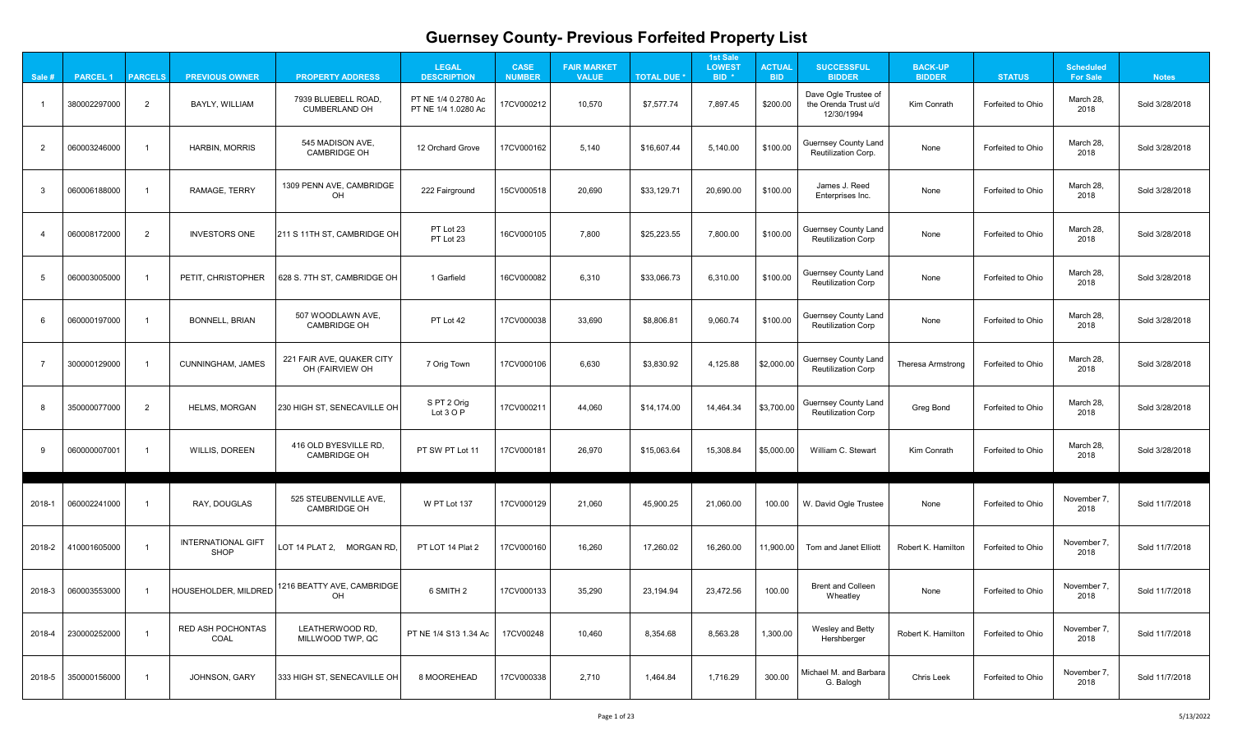| j                  |  |
|--------------------|--|
| 3                  |  |
| 3                  |  |
| $\mathbf{\hat{5}}$ |  |
| }                  |  |
| 3                  |  |
| S                  |  |
| $\mathbf{\hat{z}}$ |  |
| S                  |  |
| י                  |  |
| $\mathbf{\hat{5}}$ |  |
| S                  |  |
| $\mathbf{\S}$      |  |
|                    |  |
|                    |  |

| Sale # | <b>PARCEL 1</b> | <b>PARCELS</b> | <b>PREVIOUS OWNER</b>                    | <b>PROPERTY ADDRESS</b>                      | <b>LEGAL</b><br><b>DESCRIPTION</b>         | <b>CASE</b><br><b>NUMBER</b> | <b>FAIR MARKET</b><br><b>VALUE</b> | <b>TOTAL DUE *</b> | <b>1st Sale</b><br><b>LOWEST</b><br>BID <sup>*</sup> | <b>ACTUAL</b><br><b>BID</b> | <b>SUCCESSFUL</b><br><b>BIDDER</b>                         | <b>BACK-UP</b><br><b>BIDDER</b> | <b>STATUS</b>     | <b>Scheduled</b><br><b>For Sale</b> | <b>Notes</b>   |
|--------|-----------------|----------------|------------------------------------------|----------------------------------------------|--------------------------------------------|------------------------------|------------------------------------|--------------------|------------------------------------------------------|-----------------------------|------------------------------------------------------------|---------------------------------|-------------------|-------------------------------------|----------------|
|        | 380002297000    | $\overline{2}$ | BAYLY, WILLIAM                           | 7939 BLUEBELL ROAD,<br><b>CUMBERLAND OH</b>  | PT NE 1/4 0.2780 Ac<br>PT NE 1/4 1.0280 Ac | 17CV000212                   | 10,570                             | \$7,577.74         | 7,897.45                                             | \$200.00                    | Dave Ogle Trustee of<br>the Orenda Trust u/d<br>12/30/1994 | <b>Kim Conrath</b>              | Forfeited to Ohio | March 28,<br>2018                   | Sold 3/28/2018 |
| 2      | 060003246000    |                | <b>HARBIN, MORRIS</b>                    | 545 MADISON AVE,<br><b>CAMBRIDGE OH</b>      | 12 Orchard Grove                           | 17CV000162                   | 5,140                              | \$16,607.44        | 5,140.00                                             | \$100.00                    | <b>Guernsey County Land</b><br><b>Reutilization Corp.</b>  | None                            | Forfeited to Ohio | March 28,<br>2018                   | Sold 3/28/2018 |
|        | 060006188000    |                | RAMAGE, TERRY                            | 1309 PENN AVE, CAMBRIDGE<br>OH               | 222 Fairground                             | 15CV000518                   | 20,690                             | \$33,129.71        | 20,690.00                                            | \$100.00                    | James J. Reed<br>Enterprises Inc.                          | None                            | Forfeited to Ohio | March 28,<br>2018                   | Sold 3/28/2018 |
|        | 060008172000    | $\overline{2}$ | <b>INVESTORS ONE</b>                     | 211 S 11TH ST, CAMBRIDGE OF                  | PT Lot 23<br>PT Lot 23                     | 16CV000105                   | 7,800                              | \$25,223.55        | 7,800.00                                             | \$100.00                    | <b>Guernsey County Land</b><br><b>Reutilization Corp</b>   | None                            | Forfeited to Ohio | March 28,<br>2018                   | Sold 3/28/2018 |
|        | 060003005000    |                | PETIT, CHRISTOPHER                       | 628 S. 7TH ST, CAMBRIDGE OH                  | 1 Garfield                                 | 16CV000082                   | 6,310                              | \$33,066.73        | 6,310.00                                             | \$100.00                    | <b>Guernsey County Land</b><br><b>Reutilization Corp</b>   | None                            | Forfeited to Ohio | March 28,<br>2018                   | Sold 3/28/2018 |
|        | 060000197000    |                | <b>BONNELL, BRIAN</b>                    | 507 WOODLAWN AVE,<br><b>CAMBRIDGE OH</b>     | PT Lot 42                                  | 17CV000038                   | 33,690                             | \$8,806.81         | 9,060.74                                             | \$100.00                    | <b>Guernsey County Land</b><br><b>Reutilization Corp</b>   | None                            | Forfeited to Ohio | March 28,<br>2018                   | Sold 3/28/2018 |
|        | 300000129000    |                | <b>CUNNINGHAM, JAMES</b>                 | 221 FAIR AVE, QUAKER CITY<br>OH (FAIRVIEW OH | 7 Orig Town                                | 17CV000106                   | 6,630                              | \$3,830.92         | 4,125.88                                             | \$2,000.00                  | <b>Guernsey County Land</b><br><b>Reutilization Corp</b>   | Theresa Armstrong               | Forfeited to Ohio | March 28,<br>2018                   | Sold 3/28/2018 |
|        | 350000077000    | 2              | <b>HELMS, MORGAN</b>                     | 230 HIGH ST, SENECAVILLE OH                  | S PT 2 Orig<br>Lot 3 O P                   | 17CV000211                   | 44,060                             | \$14,174.00        | 14,464.34                                            | \$3,700.00                  | <b>Guernsey County Land</b><br><b>Reutilization Corp</b>   | <b>Greg Bond</b>                | Forfeited to Ohio | March 28,<br>2018                   | Sold 3/28/2018 |
|        | 060000007001    |                | <b>WILLIS, DOREEN</b>                    | 416 OLD BYESVILLE RD,<br><b>CAMBRIDGE OH</b> | PT SW PT Lot 11                            | 17CV000181                   | 26,970                             | \$15,063.64        | 15,308.84                                            | \$5,000.00                  | William C. Stewart                                         | <b>Kim Conrath</b>              | Forfeited to Ohio | March 28,<br>2018                   | Sold 3/28/2018 |
| 2018-1 | 060002241000    |                | RAY, DOUGLAS                             | 525 STEUBENVILLE AVE,<br><b>CAMBRIDGE OH</b> | W PT Lot 137                               | 17CV000129                   | 21,060                             | 45,900.25          | 21,060.00                                            | 100.00                      | W. David Ogle Trustee                                      | None                            | Forfeited to Ohio | November 7,<br>2018                 | Sold 11/7/2018 |
| 2018-2 | 410001605000    |                | <b>INTERNATIONAL GIFT</b><br><b>SHOP</b> | LOT 14 PLAT 2, MORGAN RD                     | PT LOT 14 Plat 2                           | 17CV000160                   | 16,260                             | 17,260.02          | 16,260.00                                            | 11,900.00                   | <b>Tom and Janet Elliott</b>                               | <b>Robert K. Hamilton</b>       | Forfeited to Ohio | November 7,<br>2018                 | Sold 11/7/2018 |
| 2018-3 | 060003553000    |                | HOUSEHOLDER, MILDRED                     | 1216 BEATTY AVE, CAMBRIDGE<br>OH             | 6 SMITH 2                                  | 17CV000133                   | 35,290                             | 23,194.94          | 23,472.56                                            | 100.00                      | <b>Brent and Colleen</b><br>Wheatley                       | None                            | Forfeited to Ohio | November 7,<br>2018                 | Sold 11/7/2018 |
| 2018-4 | 230000252000    |                | <b>RED ASH POCHONTAS</b><br><b>COAL</b>  | LEATHERWOOD RD,<br>MILLWOOD TWP, QC          | PT NE 1/4 S13 1.34 Ac                      | 17CV00248                    | 10,460                             | 8,354.68           | 8,563.28                                             | 1,300.00                    | Wesley and Betty<br>Hershberger                            | <b>Robert K. Hamilton</b>       | Forfeited to Ohio | November 7,<br>2018                 | Sold 11/7/2018 |
| 2018-5 | 350000156000    |                | <b>JOHNSON, GARY</b>                     | 333 HIGH ST, SENECAVILLE OH                  | 8 MOOREHEAD                                | 17CV000338                   | 2,710                              | 1,464.84           | 1,716.29                                             | 300.00                      | Michael M. and Barbara<br>G. Balogh                        | <b>Chris Leek</b>               | Forfeited to Ohio | November 7,<br>2018                 | Sold 11/7/2018 |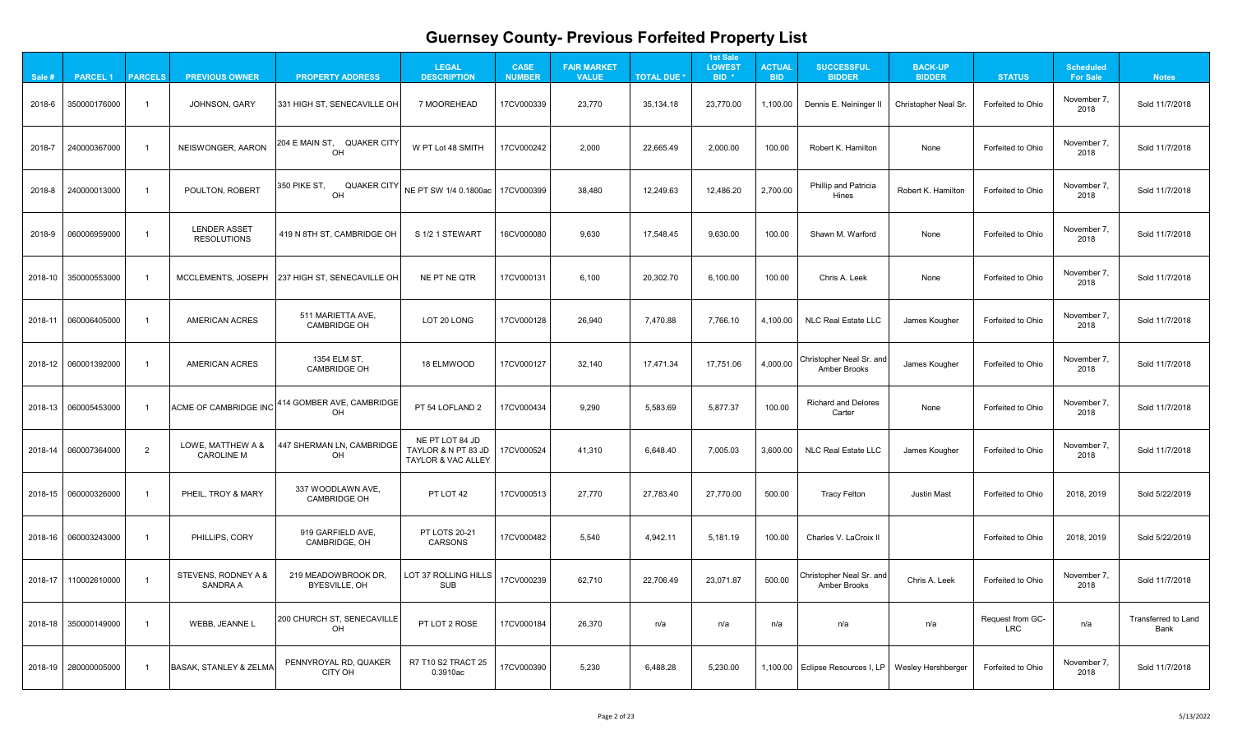| 18   |
|------|
| 18   |
| 18   |
| 18   |
| 18   |
| 18   |
| 18   |
| 18   |
| 18   |
| 19   |
| 19   |
| 18   |
| Land |
| 18   |
|      |

| Sale #  | <b>PARCEL1</b>       | <b>PARCELS</b> | <b>PREVIOUS OWNER</b>                     | <b>PROPERTY ADDRESS</b>                          | <b>LEGAL</b><br><b>DESCRIPTION</b>                                      | <b>CASE</b><br><b>NUMBER</b> | <b>FAIR MARKET</b><br><b>VALUE</b> | <b>TOTAL DUE *</b> | <b>1st Sale</b><br><b>LOWEST</b><br>BID <sup>*</sup> | <b>ACTUAL</b><br><b>BID</b> | <b>SUCCESSFUL</b><br><b>BIDDER</b>                     | <b>BACK-UP</b><br><b>BIDDER</b> | <b>STATUS</b>                  | <b>Scheduled</b><br><b>For Sale</b> | <b>Notes</b>                              |
|---------|----------------------|----------------|-------------------------------------------|--------------------------------------------------|-------------------------------------------------------------------------|------------------------------|------------------------------------|--------------------|------------------------------------------------------|-----------------------------|--------------------------------------------------------|---------------------------------|--------------------------------|-------------------------------------|-------------------------------------------|
| 2018-6  | 350000176000         |                | <b>JOHNSON, GARY</b>                      | 331 HIGH ST, SENECAVILLE OH                      | 7 MOOREHEAD                                                             | 17CV000339                   | 23,770                             | 35,134.18          | 23,770.00                                            | 1,100.00                    | Dennis E. Neininger II                                 | <b>Christopher Neal Sr.</b>     | Forfeited to Ohio              | November 7,<br>2018                 | Sold 11/7/2018                            |
| 2018-7  | 240000367000         |                | NEISWONGER, AARON                         | 204 E MAIN ST, QUAKER CITY<br>OH                 | W PT Lot 48 SMITH                                                       | 17CV000242                   | 2,000                              | 22,665.49          | 2,000.00                                             | 100.00                      | Robert K. Hamilton                                     | None                            | Forfeited to Ohio              | November 7,<br>2018                 | Sold 11/7/2018                            |
| 2018-8  | 240000013000         |                | <b>POULTON, ROBERT</b>                    | 350 PIKE ST,<br><b>QUAKER CITY</b><br>OH         | NE PT SW 1/4 0.1800ac   17CV000399                                      |                              | 38,480                             | 12,249.63          | 12,486.20                                            | 2,700.00                    | <b>Phillip and Patricia</b><br>Hines                   | Robert K. Hamilton              | Forfeited to Ohio              | November 7,<br>2018                 | Sold 11/7/2018                            |
| 2018-9  | 060006959000         |                | <b>LENDER ASSET</b><br><b>RESOLUTIONS</b> | 419 N 8TH ST, CAMBRIDGE OH                       | S 1/2 1 STEWART                                                         | 16CV000080                   | 9,630                              | 17,548.45          | 9,630.00                                             | 100.00                      | Shawn M. Warford                                       | None                            | Forfeited to Ohio              | November 7,<br>2018                 | Sold 11/7/2018                            |
|         | 2018-10 350000553000 |                |                                           | MCCLEMENTS, JOSEPH   237 HIGH ST, SENECAVILLE OH | NE PT NE QTR                                                            | 17CV000131                   | 6,100                              | 20,302.70          | 6,100.00                                             | 100.00                      | Chris A. Leek                                          | None                            | Forfeited to Ohio              | November 7,<br>2018                 | Sold 11/7/2018                            |
|         | 2018-11 060006405000 |                | <b>AMERICAN ACRES</b>                     | 511 MARIETTA AVE,<br><b>CAMBRIDGE OH</b>         | LOT 20 LONG                                                             | 17CV000128                   | 26,940                             | 7,470.88           | 7,766.10                                             | 4,100.00                    | <b>NLC Real Estate LLC</b>                             | James Kougher                   | Forfeited to Ohio              | November 7,<br>2018                 | Sold 11/7/2018                            |
|         | 2018-12 060001392000 |                | <b>AMERICAN ACRES</b>                     | 1354 ELM ST,<br><b>CAMBRIDGE OH</b>              | 18 ELMWOOD                                                              | 17CV000127                   | 32,140                             | 17,471.34          | 17,751.06                                            | 4,000.00                    | Christopher Neal Sr. and<br><b>Amber Brooks</b>        | James Kougher                   | Forfeited to Ohio              | November 7,<br>2018                 | Sold 11/7/2018                            |
|         | 2018-13 060005453000 |                | <b>ACME OF CAMBRIDGE INC</b>              | 414 GOMBER AVE, CAMBRIDGE<br>OH                  | PT 54 LOFLAND 2                                                         | 17CV000434                   | 9,290                              | 5,583.69           | 5,877.37                                             | 100.00                      | <b>Richard and Delores</b><br>Carter                   | None                            | Forfeited to Ohio              | November 7<br>2018                  | Sold 11/7/2018                            |
|         | 2018-14 060007364000 | $\overline{2}$ | LOWE, MATTHEW A &<br><b>CAROLINE M</b>    | 447 SHERMAN LN, CAMBRIDGE<br><b>OH</b>           | NE PT LOT 84 JD<br>TAYLOR & N PT 83 JD<br><b>TAYLOR &amp; VAC ALLEY</b> | 17CV000524                   | 41,310                             | 6,648.40           | 7,005.03                                             | 3,600.00                    | <b>NLC Real Estate LLC</b>                             | James Kougher                   | Forfeited to Ohio              | November 7,<br>2018                 | Sold 11/7/2018                            |
|         |                      |                | PHEIL, TROY & MARY                        | 337 WOODLAWN AVE,<br><b>CAMBRIDGE OH</b>         | PT LOT 42                                                               | 17CV000513                   | 27,770                             | 27,783.40          | 27,770.00                                            | 500.00                      | <b>Tracy Felton</b>                                    | <b>Justin Mast</b>              | Forfeited to Ohio              | 2018, 2019                          | Sold 5/22/2019                            |
|         |                      |                | PHILLIPS, CORY                            | 919 GARFIELD AVE,<br><b>CAMBRIDGE, OH</b>        | <b>PT LOTS 20-21</b><br><b>CARSONS</b>                                  | 17CV000482                   | 5,540                              | 4,942.11           | 5,181.19                                             | 100.00                      | Charles V. LaCroix II                                  |                                 | Forfeited to Ohio              | 2018, 2019                          | Sold 5/22/2019                            |
| 2018-17 | 110002610000         |                | STEVENS, RODNEY A &<br><b>SANDRA A</b>    | 219 MEADOWBROOK DR<br>BYESVILLE, OH              | LOT 37 ROLLING HILLS<br><b>SUB</b>                                      | 17CV000239                   | 62,710                             | 22,706.49          | 23,071.87                                            | 500.00                      | <b>Christopher Neal Sr. and</b><br><b>Amber Brooks</b> | Chris A. Leek                   | Forfeited to Ohio              | November 7,<br>2018                 | Sold 11/7/2018                            |
|         | 2018-18 350000149000 |                | WEBB, JEANNE L                            | 200 CHURCH ST, SENECAVILLE<br>OH                 | PT LOT 2 ROSE                                                           | 17CV000184                   | 26,370                             | n/a                | n/a                                                  | n/a                         | n/a                                                    | n/a                             | Request from GC-<br><b>LRC</b> | n/a                                 | <b>Transferred to Land</b><br><b>Bank</b> |
|         | 2018-19 280000005000 |                | BASAK, STANLEY & ZELMA                    | PENNYROYAL RD, QUAKER<br>CITY OH                 | R7 T10 S2 TRACT 25<br>0.3910ac                                          | 17CV000390                   | 5,230                              | 6,488.28           | 5,230.00                                             |                             | 1,100.00 Eclipse Resources I, LP   Wesley Hershberger  |                                 | Forfeited to Ohio              | November 7,<br>2018                 | Sold 11/7/2018                            |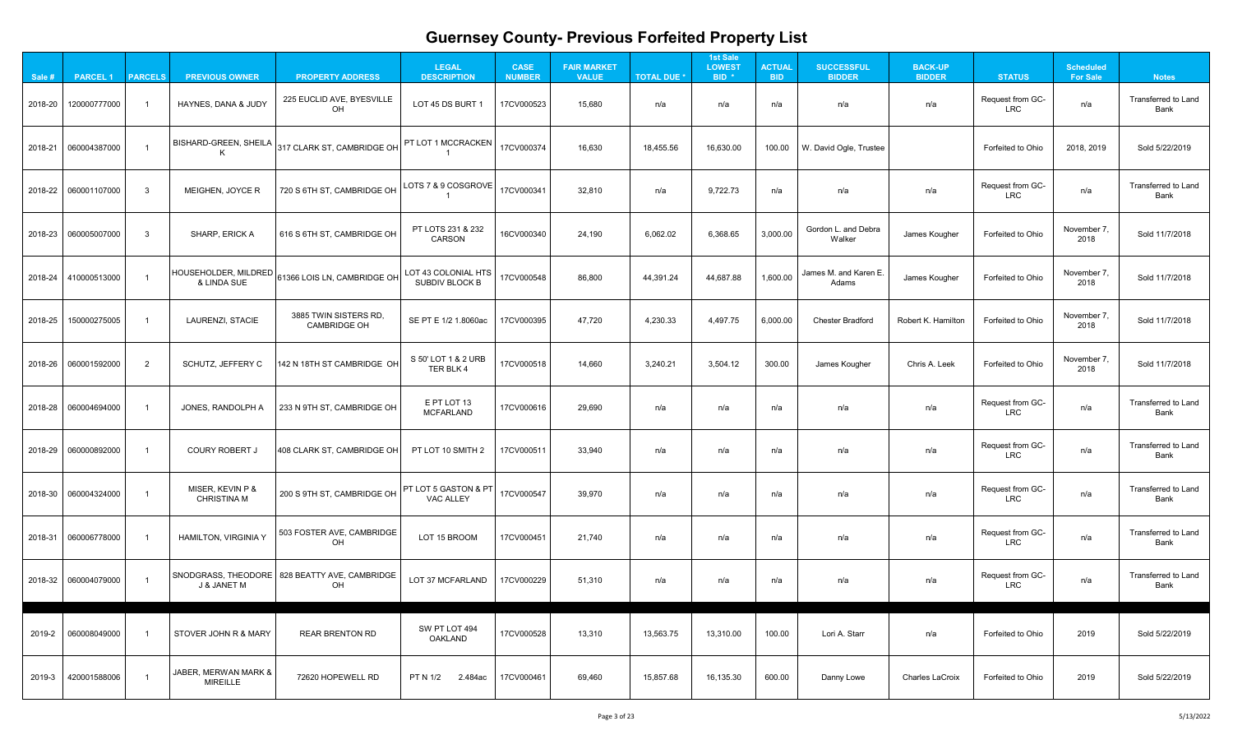| ınd |
|-----|
| ۱   |
| ınd |
| 3   |
| 3   |
|     |
| 3   |
| ınd |
| ınd |
| ınd |
| ınd |
| ınd |
| €   |
|     |
|     |

| Sale #  | <b>PARCEL1</b>         | <b>PARCELS</b> | <b>PREVIOUS OWNER</b>                   | <b>PROPERTY ADDRESS</b>                               | <b>LEGAL</b><br><b>DESCRIPTION</b>                  | <b>CASE</b><br><b>NUMBER</b> | <b>FAIR MARKET</b><br><b>VALUE</b> | <b>TOTAL DUE *</b> | <b>1st Sale</b><br><b>LOWEST</b><br>BID <sup>*</sup> | <b>ACTUAL</b><br><b>BID</b> | <b>SUCCESSFUL</b><br><b>BIDDER</b> | <b>BACK-UP</b><br><b>BIDDER</b> | <b>STATUS</b>                  | <b>Scheduled</b><br><b>For Sale</b> | <b>Notes</b>                              |
|---------|------------------------|----------------|-----------------------------------------|-------------------------------------------------------|-----------------------------------------------------|------------------------------|------------------------------------|--------------------|------------------------------------------------------|-----------------------------|------------------------------------|---------------------------------|--------------------------------|-------------------------------------|-------------------------------------------|
| 2018-20 | 120000777000           |                | HAYNES, DANA & JUDY                     | 225 EUCLID AVE, BYESVILLE<br>OH                       | LOT 45 DS BURT 1                                    | 17CV000523                   | 15,680                             | n/a                | n/a                                                  | n/a                         | n/a                                | n/a                             | Request from GC-<br><b>LRC</b> | n/a                                 | <b>Transferred to Land</b><br><b>Bank</b> |
|         | 2018-21 060004387000   |                | BISHARD-GREEN, SHEILA                   | 317 CLARK ST, CAMBRIDGE OH                            | PT LOT 1 MCCRACKEN                                  | 17CV000374                   | 16,630                             | 18,455.56          | 16,630.00                                            | 100.00                      | W. David Ogle, Trustee             |                                 | Forfeited to Ohio              | 2018, 2019                          | Sold 5/22/2019                            |
|         | 2018-22 060001107000   | $\mathbf{3}$   | MEIGHEN, JOYCE R                        | 720 S 6TH ST, CAMBRIDGE OH                            | LOTS 7 & 9 $\mathsf{COS}{\mathsf{GROVE}}$ $ $       | 17CV000341                   | 32,810                             | n/a                | 9,722.73                                             | n/a                         | n/a                                | n/a                             | Request from GC-<br><b>LRC</b> | n/a                                 | <b>Transferred to Land</b><br>Bank        |
|         | 2018-23 060005007000   | $\mathbf{3}$   | SHARP, ERICK A                          | 616 S 6TH ST, CAMBRIDGE OH                            | PT LOTS 231 & 232<br><b>CARSON</b>                  | 16CV000340                   | 24,190                             | 6,062.02           | 6,368.65                                             | 3,000.00                    | Gordon L. and Debra<br>Walker      | James Kougher                   | Forfeited to Ohio              | November 7,<br>2018                 | Sold 11/7/2018                            |
|         | 2018-24   410000513000 |                | HOUSEHOLDER, MILDRED<br>& LINDA SUE     | 61366 LOIS LN, CAMBRIDGE OH                           | LOT 43 COLONIAL HTS<br><b>SUBDIV BLOCK B</b>        | 17CV000548                   | 86,800                             | 44,391.24          | 44,687.88                                            | 1,600.00                    | James M. and Karen E.<br>Adams     | James Kougher                   | Forfeited to Ohio              | November 7,<br>2018                 | Sold 11/7/2018                            |
| 2018-25 | 150000275005           |                | <b>LAURENZI, STACIE</b>                 | 3885 TWIN SISTERS RD,<br><b>CAMBRIDGE OH</b>          | SE PT E 1/2 1.8060ac                                | 17CV000395                   | 47,720                             | 4,230.33           | 4,497.75                                             | 6,000.00                    | <b>Chester Bradford</b>            | Robert K. Hamilton              | Forfeited to Ohio              | November 7,<br>2018                 | Sold 11/7/2018                            |
|         | 2018-26 060001592000   | $\overline{2}$ | <b>SCHUTZ, JEFFERY C</b>                | 142 N 18TH ST CAMBRIDGE OH                            | S 50' LOT 1 & 2 URB<br>TER BLK 4                    | 17CV000518                   | 14,660                             | 3,240.21           | 3,504.12                                             | 300.00                      | James Kougher                      | Chris A. Leek                   | Forfeited to Ohio              | November 7,<br>2018                 | Sold 11/7/2018                            |
|         | 2018-28 060004694000   |                | JONES, RANDOLPH A                       | 233 N 9TH ST, CAMBRIDGE OH                            | E PT LOT 13<br><b>MCFARLAND</b>                     | 17CV000616                   | 29,690                             | n/a                | n/a                                                  | n/a                         | n/a                                | n/a                             | Request from GC-<br><b>LRC</b> | n/a                                 | <b>Transferred to Land</b><br><b>Bank</b> |
|         | 2018-29 060000892000   |                | <b>COURY ROBERT J</b>                   | 408 CLARK ST, CAMBRIDGE OH                            | PT LOT 10 SMITH 2                                   | 17CV000511                   | 33,940                             | n/a                | n/a                                                  | n/a                         | n/a                                | n/a                             | Request from GC-<br><b>LRC</b> | n/a                                 | Transferred to Land<br><b>Bank</b>        |
|         | 2018-30 060004324000   |                | MISER, KEVIN P &<br><b>CHRISTINA M</b>  | 200 S 9TH ST, CAMBRIDGE OH                            | <b>PT LOT 5 GASTON &amp; PT</b><br><b>VAC ALLEY</b> | 17CV000547                   | 39,970                             | n/a                | n/a                                                  | n/a                         | n/a                                | n/a                             | Request from GC-<br><b>LRC</b> | n/a                                 | <b>Transferred to Land</b><br><b>Bank</b> |
|         | 2018-31 060006778000   |                | <b>HAMILTON, VIRGINIA Y</b>             | 503 FOSTER AVE, CAMBRIDGE<br><b>OH</b>                | LOT 15 BROOM                                        | 17CV000451                   | 21,740                             | n/a                | n/a                                                  | n/a                         | n/a                                | n/a                             | Request from GC-<br><b>LRC</b> | n/a                                 | <b>Transferred to Land</b><br><b>Bank</b> |
|         | 2018-32 060004079000   |                | <b>J &amp; JANET M</b>                  | SNODGRASS, THEODORE   828 BEATTY AVE, CAMBRIDGE<br>OH | LOT 37 MCFARLAND                                    | 17CV000229                   | 51,310                             | n/a                | n/a                                                  | n/a                         | n/a                                | n/a                             | Request from GC-<br><b>LRC</b> | n/a                                 | <b>Transferred to Land</b><br><b>Bank</b> |
| 2019-2  | 060008049000           |                | STOVER JOHN R & MARY                    | <b>REAR BRENTON RD</b>                                | SW PT LOT 494<br><b>OAKLAND</b>                     | 17CV000528                   | 13,310                             | 13,563.75          | 13,310.00                                            | 100.00                      | Lori A. Starr                      | n/a                             | Forfeited to Ohio              | 2019                                | Sold 5/22/2019                            |
| 2019-3  | 420001588006           |                | JABER, MERWAN MARK &<br><b>MIREILLE</b> | 72620 HOPEWELL RD                                     | PT N 1/2<br>2.484ac                                 | 17CV000461                   | 69,460                             | 15,857.68          | 16,135.30                                            | 600.00                      | Danny Lowe                         | <b>Charles LaCroix</b>          | Forfeited to Ohio              | 2019                                | Sold 5/22/2019                            |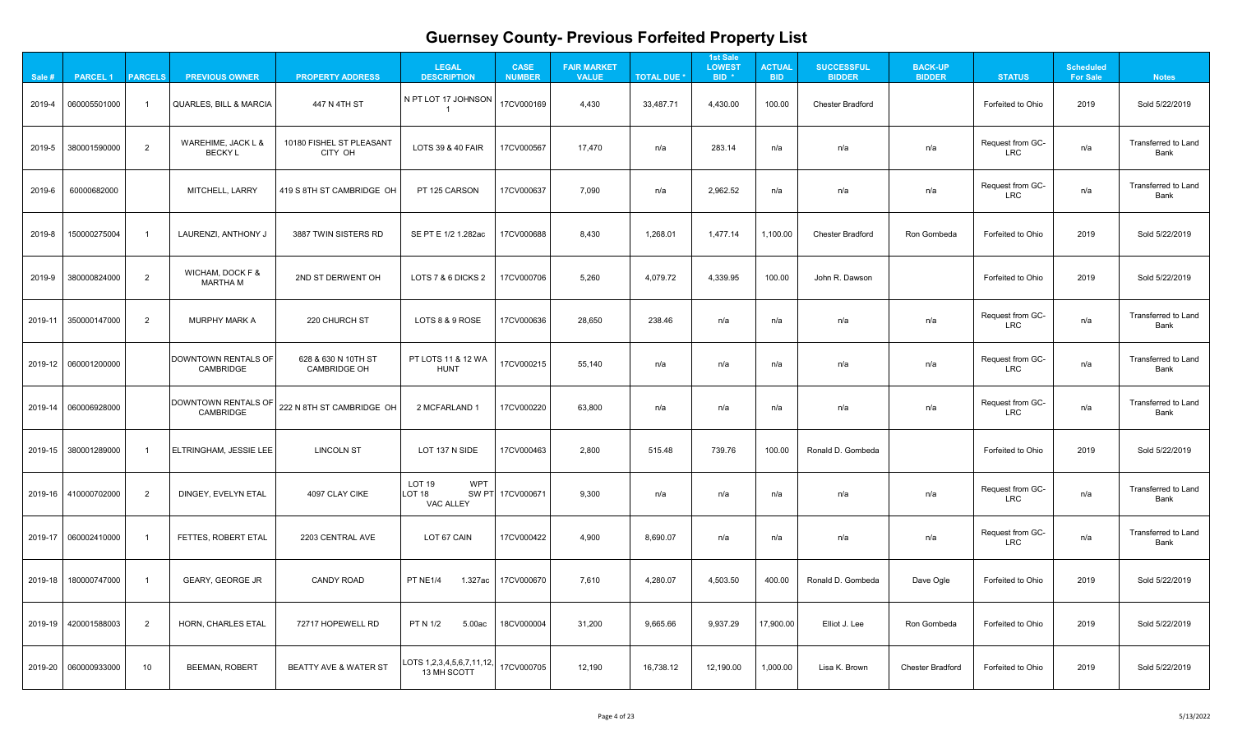| 19   |
|------|
| Land |
| Land |
| 19   |
| 19   |
| Land |
| Land |
| Land |
| 19   |
| Land |
| Land |
| 19   |
| 19   |
| 19   |
|      |

| Sale # | <b>PARCEL 1</b>                      | <b>PARCELS</b>  | <b>PREVIOUS OWNER</b>                          | <b>PROPERTY ADDRESS</b>                    | <b>LEGAL</b><br><b>DESCRIPTION</b>                            | <b>CASE</b><br><b>NUMBER</b> | <b>FAIR MARKET</b><br><b>VALUE</b> | <b>TOTAL DUE *</b> | <b>1st Sale</b><br><b>LOWEST</b><br>BID <sup>*</sup> | <b>ACTUAL</b><br><b>BID</b> | <b>SUCCESSFUL</b><br><b>BIDDER</b> | <b>BACK-UP</b><br><b>BIDDER</b> | <b>STATUS</b>                  | <b>Scheduled</b><br><b>For Sale</b> | <b>Notes</b>                              |
|--------|--------------------------------------|-----------------|------------------------------------------------|--------------------------------------------|---------------------------------------------------------------|------------------------------|------------------------------------|--------------------|------------------------------------------------------|-----------------------------|------------------------------------|---------------------------------|--------------------------------|-------------------------------------|-------------------------------------------|
| 2019-4 | 060005501000                         |                 | <b>QUARLES, BILL &amp; MARCIA</b>              | 447 N 4TH ST                               | N PT LOT 17 JOHNSON                                           | 17CV000169                   | 4,430                              | 33,487.71          | 4,430.00                                             | 100.00                      | <b>Chester Bradford</b>            |                                 | Forfeited to Ohio              | 2019                                | Sold 5/22/2019                            |
| 2019-5 | 380001590000                         | $\overline{2}$  | WAREHIME, JACK L &<br><b>BECKY L</b>           | 10180 FISHEL ST PLEASANT<br>CITY OH        | LOTS 39 & 40 FAIR                                             | 17CV000567                   | 17,470                             | n/a                | 283.14                                               | n/a                         | n/a                                | n/a                             | Request from GC-<br><b>LRC</b> | n/a                                 | <b>Transferred to Land</b><br><b>Bank</b> |
| 2019-6 | 60000682000                          |                 | <b>MITCHELL, LARRY</b>                         | 419 S 8TH ST CAMBRIDGE OH                  | PT 125 CARSON                                                 | 17CV000637                   | 7,090                              | n/a                | 2,962.52                                             | n/a                         | n/a                                | n/a                             | Request from GC-<br><b>LRC</b> | n/a                                 | <b>Transferred to Land</b><br>Bank        |
| 2019-8 | 150000275004                         |                 | LAURENZI, ANTHONY J                            | 3887 TWIN SISTERS RD                       | SE PT E 1/2 1.282ac                                           | 17CV000688                   | 8,430                              | 1,268.01           | 1,477.14                                             | 1,100.00                    | <b>Chester Bradford</b>            | Ron Gombeda                     | Forfeited to Ohio              | 2019                                | Sold 5/22/2019                            |
| 2019-9 | 380000824000                         | $\overline{2}$  | WICHAM, DOCK F &<br><b>MARTHA M</b>            | 2ND ST DERWENT OH                          | LOTS 7 & 6 DICKS 2                                            | 17CV000706                   | 5,260                              | 4,079.72           | 4,339.95                                             | 100.00                      | John R. Dawson                     |                                 | Forfeited to Ohio              | 2019                                | Sold 5/22/2019                            |
|        |                                      | $\overline{2}$  | <b>MURPHY MARK A</b>                           | 220 CHURCH ST                              | LOTS 8 & 9 ROSE                                               | 17CV000636                   | 28,650                             | 238.46             | n/a                                                  | n/a                         | n/a                                | n/a                             | Request from GC-<br><b>LRC</b> | n/a                                 | <b>Transferred to Land</b><br><b>Bank</b> |
|        | $\vert$ 2019-12 $\vert$ 060001200000 |                 | DOWNTOWN RENTALS OF<br><b>CAMBRIDGE</b>        | 628 & 630 N 10TH ST<br><b>CAMBRIDGE OH</b> | PT LOTS 11 & 12 WA<br><b>HUNT</b>                             | 17CV000215                   | 55,140                             | n/a                | n/a                                                  | n/a                         | n/a                                | n/a                             | Request from GC-<br><b>LRC</b> | n/a                                 | <b>Transferred to Land</b><br><b>Bank</b> |
|        | 2019-14 060006928000                 |                 | <b>DOWNTOWN RENTALS OF</b><br><b>CAMBRIDGE</b> | 222 N 8TH ST CAMBRIDGE OH                  | 2 MCFARLAND 1                                                 | 17CV000220                   | 63,800                             | n/a                | n/a                                                  | n/a                         | n/a                                | n/a                             | Request from GC-<br><b>LRC</b> | n/a                                 | <b>Transferred to Land</b><br><b>Bank</b> |
|        | 2019-15 380001289000                 |                 | <b>ELTRINGHAM, JESSIE LEE</b>                  | <b>LINCOLN ST</b>                          | LOT 137 N SIDE                                                | 17CV000463                   | 2,800                              | 515.48             | 739.76                                               | 100.00                      | Ronald D. Gombeda                  |                                 | <b>Forfeited to Ohio</b>       | 2019                                | Sold 5/22/2019                            |
|        | 2019-16 410000702000                 | 2               | DINGEY, EVELYN ETAL                            | 4097 CLAY CIKE                             | <b>WPT</b><br>LOT 19<br>LOT <sub>18</sub><br><b>VAC ALLEY</b> | SW PT 17CV000671             | 9,300                              | n/a                | n/a                                                  | n/a                         | n/a                                | n/a                             | Request from GC-<br><b>LRC</b> | n/a                                 | <b>Transferred to Land</b><br><b>Bank</b> |
|        |                                      |                 | <b>FETTES, ROBERT ETAL</b>                     | 2203 CENTRAL AVE                           | LOT 67 CAIN                                                   | 17CV000422                   | 4,900                              | 8,690.07           | n/a                                                  | n/a                         | n/a                                | n/a                             | Request from GC-<br><b>LRC</b> | n/a                                 | <b>Transferred to Land</b><br><b>Bank</b> |
|        | 2019-18   180000747000               |                 | <b>GEARY, GEORGE JR</b>                        | <b>CANDY ROAD</b>                          | 1.327ac<br>PT NE1/4                                           | 17CV000670                   | 7,610                              | 4,280.07           | 4,503.50                                             | 400.00                      | Ronald D. Gombeda                  | Dave Ogle                       | Forfeited to Ohio              | 2019                                | Sold 5/22/2019                            |
|        | $2019-19$   420001588003             | $\overline{2}$  | <b>HORN, CHARLES ETAL</b>                      | 72717 HOPEWELL RD                          | PT N 1/2<br>5.00ac                                            | 18CV000004                   | 31,200                             | 9,665.66           | 9,937.29                                             | 17,900.00                   | Elliot J. Lee                      | Ron Gombeda                     | Forfeited to Ohio              | 2019                                | Sold 5/22/2019                            |
|        | $\vert$ 2019-20 $\vert$ 060000933000 | 10 <sup>°</sup> | <b>BEEMAN, ROBERT</b>                          | <b>BEATTY AVE &amp; WATER ST</b>           | LOTS $1,2,3,4,5,6,7,11,12,$<br>13 MH SCOTT                    | 17CV000705                   | 12,190                             | 16,738.12          | 12,190.00                                            | 1,000.00                    | Lisa K. Brown                      | <b>Chester Bradford</b>         | Forfeited to Ohio              | 2019                                | Sold 5/22/2019                            |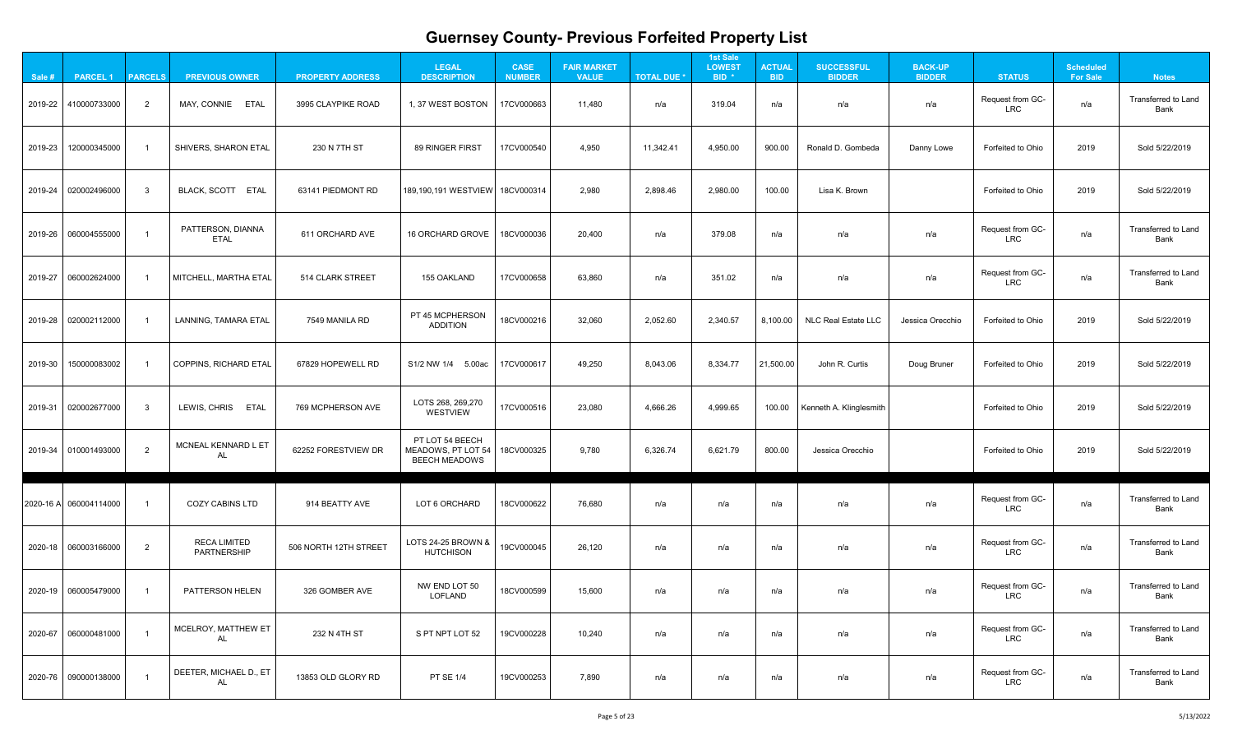| Land |
|------|
| 19   |
| 19   |
| Land |
| Land |
| 19   |
| 19   |
| 19   |
| 19   |
| Land |
| Land |
| Land |
| Land |
| Land |
|      |

| Sale #  | <b>PARCEL 1</b>        | <b>PARCELS</b> | <b>PREVIOUS OWNER</b>                     | <b>PROPERTY ADDRESS</b> | <b>LEGAL</b><br><b>DESCRIPTION</b>                            | <b>CASE</b><br><b>NUMBER</b> | <b>FAIR MARKET</b><br><b>VALUE</b> | <b>TOTAL DUE *</b> | <b>1st Sale</b><br><b>LOWEST</b><br>BID <sup>*</sup> | <b>ACTUAL</b><br><b>BID</b> | <b>SUCCESSFUL</b><br><b>BIDDER</b> | <b>BACK-UP</b><br><b>BIDDER</b> | <b>STATUS</b>                  | <b>Scheduled</b><br><b>For Sale</b> | <b>Notes</b>                              |
|---------|------------------------|----------------|-------------------------------------------|-------------------------|---------------------------------------------------------------|------------------------------|------------------------------------|--------------------|------------------------------------------------------|-----------------------------|------------------------------------|---------------------------------|--------------------------------|-------------------------------------|-------------------------------------------|
|         | 2019-22 410000733000   | $\overline{2}$ | MAY, CONNIE ETAL                          | 3995 CLAYPIKE ROAD      | 1, 37 WEST BOSTON                                             | 17CV000663                   | 11,480                             | n/a                | 319.04                                               | n/a                         | n/a                                | n/a                             | Request from GC-<br><b>LRC</b> | n/a                                 | <b>Transferred to Land</b><br><b>Bank</b> |
| 2019-23 | 120000345000           |                | <b>SHIVERS, SHARON ETAL</b>               | 230 N 7TH ST            | 89 RINGER FIRST                                               | 17CV000540                   | 4,950                              | 11,342.41          | 4,950.00                                             | 900.00                      | Ronald D. Gombeda                  | Danny Lowe                      | Forfeited to Ohio              | 2019                                | Sold 5/22/2019                            |
|         | 2019-24 020002496000   | $\mathbf{3}$   | BLACK, SCOTT ETAL                         | 63141 PIEDMONT RD       | 189,190,191 WESTVIEW   18CV000314                             |                              | 2,980                              | 2,898.46           | 2,980.00                                             | 100.00                      | Lisa K. Brown                      |                                 | Forfeited to Ohio              | 2019                                | Sold 5/22/2019                            |
|         | 2019-26 060004555000   |                | PATTERSON, DIANNA<br><b>ETAL</b>          | 611 ORCHARD AVE         | <b>16 ORCHARD GROVE</b>                                       | 18CV000036                   | 20,400                             | n/a                | 379.08                                               | n/a                         | n/a                                | n/a                             | Request from GC-<br><b>LRC</b> | n/a                                 | <b>Transferred to Land</b><br><b>Bank</b> |
|         | 2019-27 060002624000   |                | MITCHELL, MARTHA ETAL                     | 514 CLARK STREET        | 155 OAKLAND                                                   | 17CV000658                   | 63,860                             | n/a                | 351.02                                               | n/a                         | n/a                                | n/a                             | Request from GC-<br><b>LRC</b> | n/a                                 | <b>Transferred to Land</b><br><b>Bank</b> |
|         | 2019-28 020002112000   |                | LANNING, TAMARA ETAL                      | 7549 MANILA RD          | PT 45 MCPHERSON<br><b>ADDITION</b>                            | 18CV000216                   | 32,060                             | 2,052.60           | 2,340.57                                             | 8,100.00                    | <b>NLC Real Estate LLC</b>         | Jessica Orecchio                | Forfeited to Ohio              | 2019                                | Sold 5/22/2019                            |
| 2019-30 | 150000083002           |                | COPPINS, RICHARD ETAL                     | 67829 HOPEWELL RD       | S1/2 NW 1/4 5.00ac                                            | 17CV000617                   | 49,250                             | 8,043.06           | 8,334.77                                             | 21,500.00                   | John R. Curtis                     | Doug Bruner                     | Forfeited to Ohio              | 2019                                | Sold 5/22/2019                            |
|         | 2019-31 020002677000   | $\mathbf{3}$   | LEWIS, CHRIS ETAL                         | 769 MCPHERSON AVE       | LOTS 268, 269, 270<br><b>WESTVIEW</b>                         | 17CV000516                   | 23,080                             | 4,666.26           | 4,999.65                                             | 100.00                      | Kenneth A. Klinglesmith            |                                 | Forfeited to Ohio              | 2019                                | Sold 5/22/2019                            |
|         | 2019-34 010001493000   | $\overline{2}$ | MCNEAL KENNARD L ET<br><b>AL</b>          | 62252 FORESTVIEW DR     | PT LOT 54 BEECH<br>MEADOWS, PT LOT 54<br><b>BEECH MEADOWS</b> | 18CV000325                   | 9,780                              | 6,326.74           | 6,621.79                                             | 800.00                      | Jessica Orecchio                   |                                 | Forfeited to Ohio              | 2019                                | Sold 5/22/2019                            |
|         | 2020-16 A 060004114000 |                | <b>COZY CABINS LTD</b>                    | 914 BEATTY AVE          | LOT 6 ORCHARD                                                 | 18CV000622                   | 76,680                             | n/a                | n/a                                                  | n/a                         | n/a                                | n/a                             | Request from GC-<br><b>LRC</b> | n/a                                 | <b>Transferred to Land</b><br><b>Bank</b> |
|         | 2020-18 060003166000   | $\overline{2}$ | <b>RECA LIMITED</b><br><b>PARTNERSHIP</b> | 506 NORTH 12TH STREET   | LOTS 24-25 BROWN &  <br><b>HUTCHISON</b>                      | 19CV000045                   | 26,120                             | n/a                | n/a                                                  | n/a                         | n/a                                | n/a                             | Request from GC-<br><b>LRC</b> | n/a                                 | <b>Transferred to Land</b><br><b>Bank</b> |
|         |                        |                | <b>PATTERSON HELEN</b>                    | 326 GOMBER AVE          | NW END LOT 50<br><b>LOFLAND</b>                               | 18CV000599                   | 15,600                             | n/a                | n/a                                                  | n/a                         | n/a                                | n/a                             | Request from GC-<br><b>LRC</b> | n/a                                 | <b>Transferred to Land</b><br><b>Bank</b> |
|         | 2020-67 060000481000   |                | MCELROY, MATTHEW ET<br>AL                 | 232 N 4TH ST            | S PT NPT LOT 52                                               | 19CV000228                   | 10,240                             | n/a                | n/a                                                  | n/a                         | n/a                                | n/a                             | Request from GC-<br><b>LRC</b> | n/a                                 | <b>Transferred to Land</b><br><b>Bank</b> |
|         | 2020-76 090000138000   |                | DEETER, MICHAEL D., ET<br>AL              | 13853 OLD GLORY RD      | <b>PT SE 1/4</b>                                              | 19CV000253                   | 7,890                              | n/a                | n/a                                                  | n/a                         | n/a                                | n/a                             | Request from GC-<br><b>LRC</b> | n/a                                 | <b>Transferred to Land</b><br><b>Bank</b> |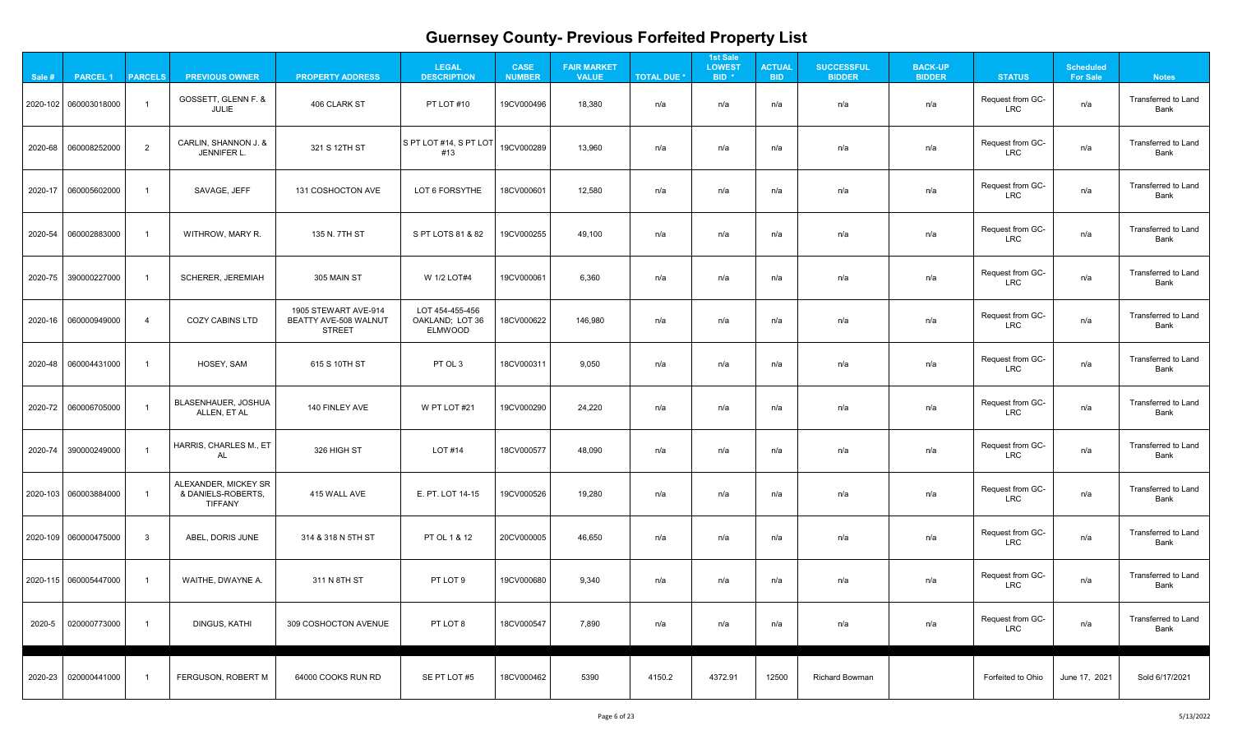| ınd |
|-----|
| ınd |
| ınd |
| ınd |
| ınd |
| ınd |
| ınd |
| ınd |
| ınd |
| ind |
| ınd |
| ınd |
| ınd |
|     |
|     |

| Sale # | <b>PARCEL 1</b>          | <b>PARCELS</b> | <b>PREVIOUS OWNER</b>                                        | <b>PROPERTY ADDRESS</b>                                        | <b>LEGAL</b><br><b>DESCRIPTION</b>            | <b>CASE</b><br><b>NUMBER</b> | <b>FAIR MARKET</b><br><b>VALUE</b> | <b>TOTAL DUE *</b> | <b>1st Sale</b><br><b>LOWEST</b><br>BID <sup>*</sup> | <b>ACTUAL</b><br><b>BID</b> | <b>SUCCESSFUL</b><br><b>BIDDER</b> | <b>BACK-UP</b><br><b>BIDDER</b> | <b>STATUS</b>                  | <b>Scheduled</b><br><b>For Sale</b> | <b>Notes</b>                              |
|--------|--------------------------|----------------|--------------------------------------------------------------|----------------------------------------------------------------|-----------------------------------------------|------------------------------|------------------------------------|--------------------|------------------------------------------------------|-----------------------------|------------------------------------|---------------------------------|--------------------------------|-------------------------------------|-------------------------------------------|
|        | $ 2020-102 060003018000$ |                | GOSSETT, GLENN F. &<br><b>JULIE</b>                          | 406 CLARK ST                                                   | PT LOT #10                                    | 19CV000496                   | 18,380                             | n/a                | n/a                                                  | n/a                         | n/a                                | n/a                             | Request from GC-<br><b>LRC</b> | n/a                                 | <b>Transferred to Land</b><br><b>Bank</b> |
|        |                          | $\overline{2}$ | CARLIN, SHANNON J. &<br>JENNIFER L.                          | 321 S 12TH ST                                                  | $ S$ PT LOT #14, S PT LOT<br>#13              | 19CV000289                   | 13,960                             | n/a                | n/a                                                  | n/a                         | n/a                                | n/a                             | Request from GC-<br><b>LRC</b> | n/a                                 | <b>Transferred to Land</b><br><b>Bank</b> |
|        | 2020-17 060005602000     |                | SAVAGE, JEFF                                                 | 131 COSHOCTON AVE                                              | LOT 6 FORSYTHE                                | 18CV000601                   | 12,580                             | n/a                | n/a                                                  | n/a                         | n/a                                | n/a                             | Request from GC-<br><b>LRC</b> | n/a                                 | <b>Transferred to Land</b><br><b>Bank</b> |
|        | 2020-54 060002883000     |                | WITHROW, MARY R.                                             | 135 N. 7TH ST                                                  | S PT LOTS 81 & 82                             | 19CV000255                   | 49,100                             | n/a                | n/a                                                  | n/a                         | n/a                                | n/a                             | Request from GC-<br><b>LRC</b> | n/a                                 | <b>Transferred to Land</b><br><b>Bank</b> |
|        | 2020-75 390000227000     |                | SCHERER, JEREMIAH                                            | 305 MAIN ST                                                    | W 1/2 LOT#4                                   | 19CV000061                   | 6,360                              | n/a                | n/a                                                  | n/a                         | n/a                                | n/a                             | Request from GC-<br><b>LRC</b> | n/a                                 | Transferred to Land<br><b>Bank</b>        |
|        | 2020-16 060000949000     | $\overline{4}$ | <b>COZY CABINS LTD</b>                                       | 1905 STEWART AVE-914<br>BEATTY AVE-508 WALNUT<br><b>STREET</b> | LOT 454-455-456<br>OAKLAND; LOT 36<br>ELMWOOD | 18CV000622                   | 146,980                            | n/a                | n/a                                                  | n/a                         | n/a                                | n/a                             | Request from GC-<br><b>LRC</b> | n/a                                 | <b>Transferred to Land</b><br><b>Bank</b> |
|        | 2020-48 060004431000     |                | HOSEY, SAM                                                   | 615 S 10TH ST                                                  | PT OL 3                                       | 18CV000311                   | 9,050                              | n/a                | n/a                                                  | n/a                         | n/a                                | n/a                             | Request from GC-<br><b>LRC</b> | n/a                                 | <b>Transferred to Land</b><br><b>Bank</b> |
|        | 2020-72 060006705000     |                | <b>BLASENHAUER, JOSHUA</b><br>ALLEN, ET AL                   | 140 FINLEY AVE                                                 | W PT LOT #21                                  | 19CV000290                   | 24,220                             | n/a                | n/a                                                  | n/a                         | n/a                                | n/a                             | Request from GC-<br><b>LRC</b> | n/a                                 | <b>Transferred to Land</b><br><b>Bank</b> |
|        | 2020-74 390000249000     |                | HARRIS, CHARLES M., ET<br><b>AL</b>                          | 326 HIGH ST                                                    | <b>LOT #14</b>                                | 18CV000577                   | 48,090                             | n/a                | n/a                                                  | n/a                         | n/a                                | n/a                             | Request from GC-<br><b>LRC</b> | n/a                                 | <b>Transferred to Land</b><br><b>Bank</b> |
|        | 2020-103 060003884000    |                | ALEXANDER, MICKEY SR<br>& DANIELS-ROBERTS,<br><b>TIFFANY</b> | 415 WALL AVE                                                   | E. PT. LOT 14-15                              | 19CV000526                   | 19,280                             | n/a                | n/a                                                  | n/a                         | n/a                                | n/a                             | Request from GC-<br><b>LRC</b> | n/a                                 | Transferred to Land<br>Bank               |
|        | 2020-109 060000475000    | $\mathbf{3}$   | ABEL, DORIS JUNE                                             | 314 & 318 N 5TH ST                                             | PT OL 1 & 12                                  | 20CV000005                   | 46,650                             | n/a                | n/a                                                  | n/a                         | n/a                                | n/a                             | Request from GC-<br><b>LRC</b> | n/a                                 | <b>Transferred to Land</b><br><b>Bank</b> |
|        | 2020-115 060005447000    |                | WAITHE, DWAYNE A.                                            | 311 N 8TH ST                                                   | PT LOT 9                                      | 19CV000680                   | 9,340                              | n/a                | n/a                                                  | n/a                         | n/a                                | n/a                             | Request from GC-<br><b>LRC</b> | n/a                                 | Transferred to Land<br><b>Bank</b>        |
| 2020-5 | 020000773000             |                | <b>DINGUS, KATHI</b>                                         | 309 COSHOCTON AVENUE                                           | PT LOT 8                                      | 18CV000547                   | 7,890                              | n/a                | n/a                                                  | n/a                         | n/a                                | n/a                             | Request from GC-<br><b>LRC</b> | n/a                                 | <b>Transferred to Land</b><br><b>Bank</b> |
|        | 2020-23 020000441000     |                | FERGUSON, ROBERT M                                           | 64000 COOKS RUN RD                                             | SE PT LOT #5                                  | 18CV000462                   | 5390                               | 4150.2             | 4372.91                                              | 12500                       | <b>Richard Bowman</b>              |                                 | Forfeited to Ohio              | June 17, 2021                       | Sold 6/17/2021                            |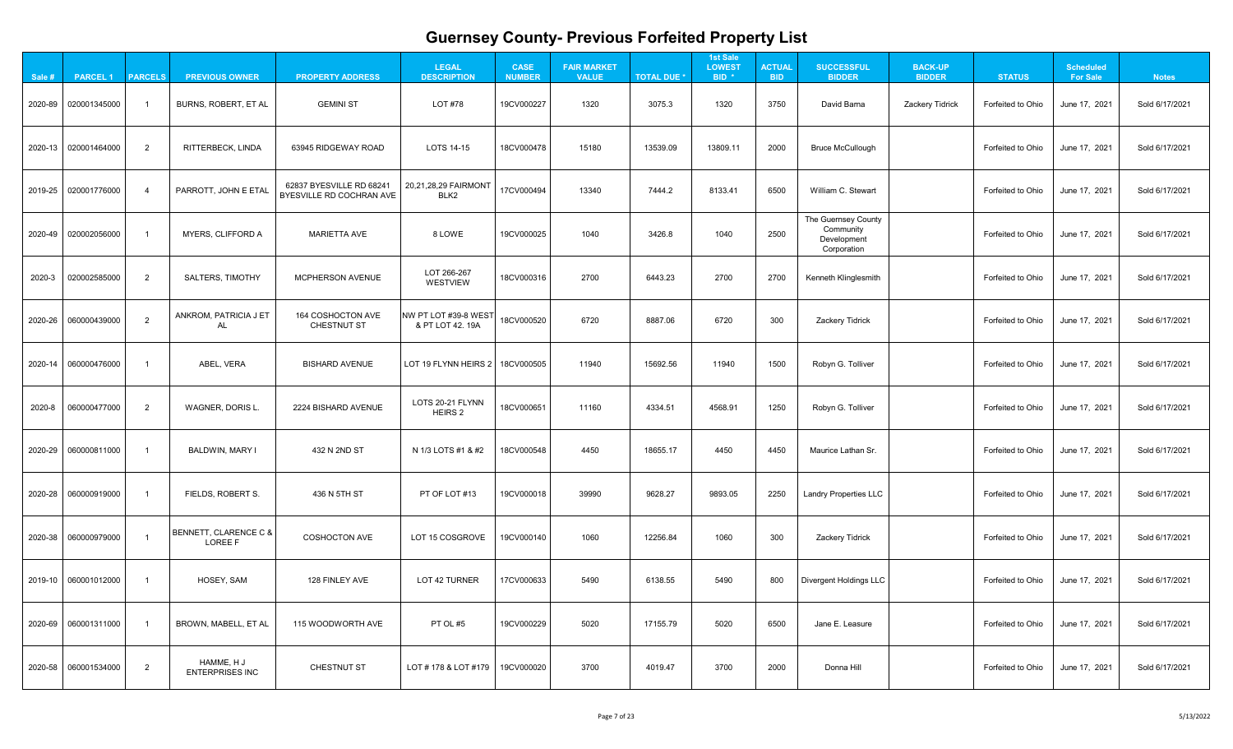| $\mathbf{A}$                                                     |  |
|------------------------------------------------------------------|--|
| 1<br>֧֧֧֧֧֧ׅ֧ׅ֧ׅ֧ׅ֧֧֧֚֚֚֚֚֚֚֚֚֚֚֚֚֚֚֚֚֚֚֚֚֚֚֚֚֚֚֚֚֚֚֚֚֚֝֓֝֜֜֜֜֝֬ |  |
| 21                                                               |  |
| 1<br>?                                                           |  |
| 1<br>l                                                           |  |
|                                                                  |  |
| 21                                                               |  |
| 21                                                               |  |
| 21                                                               |  |
| 21                                                               |  |
| 21                                                               |  |
| $\overline{21}$                                                  |  |
| 1<br>2                                                           |  |
| 1<br>י                                                           |  |

| Sale # | <b>PARCEL 1</b>      | <b>PARCELS</b> | <b>PREVIOUS OWNER</b>                   | <b>PROPERTY ADDRESS</b>                              | <b>LEGAL</b><br><b>DESCRIPTION</b>       | <b>CASE</b><br><b>NUMBER</b> | <b>FAIR MARKET</b><br><b>VALUE</b> | <b>TOTAL DUE *</b> | <b>1st Sale</b><br><b>LOWEST</b><br>BID <sup>*</sup> | <b>ACTUAL</b><br><b>BID</b> | <b>SUCCESSFUL</b><br><b>BIDDER</b>                             | <b>BACK-UP</b><br><b>BIDDER</b> | <b>STATUS</b>     | <b>Scheduled</b><br><b>For Sale</b> | <b>Notes</b>   |
|--------|----------------------|----------------|-----------------------------------------|------------------------------------------------------|------------------------------------------|------------------------------|------------------------------------|--------------------|------------------------------------------------------|-----------------------------|----------------------------------------------------------------|---------------------------------|-------------------|-------------------------------------|----------------|
|        | 2020-89 020001345000 |                | <b>BURNS, ROBERT, ET AL</b>             | <b>GEMINI ST</b>                                     | <b>LOT #78</b>                           | 19CV000227                   | 1320                               | 3075.3             | 1320                                                 | 3750                        | David Barna                                                    | <b>Zackery Tidrick</b>          | Forfeited to Ohio | June 17, 2021                       | Sold 6/17/2021 |
|        | 2020-13 020001464000 | $\overline{2}$ | RITTERBECK, LINDA                       | 63945 RIDGEWAY ROAD                                  | LOTS 14-15                               | 18CV000478                   | 15180                              | 13539.09           | 13809.11                                             | 2000                        | <b>Bruce McCullough</b>                                        |                                 | Forfeited to Ohio | June 17, 2021                       | Sold 6/17/2021 |
|        | 2019-25 020001776000 |                | PARROTT, JOHN E ETAL                    | 62837 BYESVILLE RD 68241<br>BYESVILLE RD COCHRAN AVE | 20,21,28,29 FAIRMONT<br>BLK <sub>2</sub> | 17CV000494                   | 13340                              | 7444.2             | 8133.41                                              | 6500                        | William C. Stewart                                             |                                 | Forfeited to Ohio | June 17, 2021                       | Sold 6/17/2021 |
|        | 2020-49 020002056000 |                | <b>MYERS, CLIFFORD A</b>                | <b>MARIETTA AVE</b>                                  | 8 LOWE                                   | 19CV000025                   | 1040                               | 3426.8             | 1040                                                 | 2500                        | The Guernsey County<br>Community<br>Development<br>Corporation |                                 | Forfeited to Ohio | June 17, 2021                       | Sold 6/17/2021 |
| 2020-3 | 020002585000         | $\overline{2}$ | <b>SALTERS, TIMOTHY</b>                 | <b>MCPHERSON AVENUE</b>                              | LOT 266-267<br>WESTVIEW                  | 18CV000316                   | 2700                               | 6443.23            | 2700                                                 | 2700                        | Kenneth Klinglesmith                                           |                                 | Forfeited to Ohio | June 17, 2021                       | Sold 6/17/2021 |
|        | 2020-26 060000439000 | $\overline{2}$ | ANKROM, PATRICIA J ET<br>AL             | <b>164 COSHOCTON AVE</b><br><b>CHESTNUT ST</b>       | NW PT LOT #39-8 WEST<br>& PT LOT 42. 19A | 18CV000520                   | 6720                               | 8887.06            | 6720                                                 | 300                         | <b>Zackery Tidrick</b>                                         |                                 | Forfeited to Ohio | June 17, 2021                       | Sold 6/17/2021 |
|        | 2020-14 060000476000 |                | ABEL, VERA                              | <b>BISHARD AVENUE</b>                                | LOT 19 FLYNN HEIRS 2                     | 18CV000505                   | 11940                              | 15692.56           | 11940                                                | 1500                        | Robyn G. Tolliver                                              |                                 | Forfeited to Ohio | June 17, 2021                       | Sold 6/17/2021 |
| 2020-8 | 060000477000         | $\overline{2}$ | WAGNER, DORIS L.                        | 2224 BISHARD AVENUE                                  | LOTS 20-21 FLYNN<br>HEIRS 2              | 18CV000651                   | 11160                              | 4334.51            | 4568.91                                              | 1250                        | Robyn G. Tolliver                                              |                                 | Forfeited to Ohio | June 17, 2021                       | Sold 6/17/2021 |
|        | 2020-29 060000811000 |                | <b>BALDWIN, MARY I</b>                  | 432 N 2ND ST                                         | N 1/3 LOTS #1 & #2                       | 18CV000548                   | 4450                               | 18655.17           | 4450                                                 | 4450                        | Maurice Lathan Sr.                                             |                                 | Forfeited to Ohio | June 17, 2021                       | Sold 6/17/2021 |
|        |                      |                | FIELDS, ROBERT S.                       | 436 N 5TH ST                                         | PT OF LOT #13                            | 19CV000018                   | 39990                              | 9628.27            | 9893.05                                              | 2250                        | <b>Landry Properties LLC</b>                                   |                                 | Forfeited to Ohio | June 17, 2021                       | Sold 6/17/2021 |
|        |                      |                | BENNETT, CLARENCE C &<br><b>LOREE F</b> | <b>COSHOCTON AVE</b>                                 | LOT 15 COSGROVE                          | 19CV000140                   | 1060                               | 12256.84           | 1060                                                 | 300                         | <b>Zackery Tidrick</b>                                         |                                 | Forfeited to Ohio | June 17, 2021                       | Sold 6/17/2021 |
|        | 2019-10 060001012000 |                | HOSEY, SAM                              | 128 FINLEY AVE                                       | <b>LOT 42 TURNER</b>                     | 17CV000633                   | 5490                               | 6138.55            | 5490                                                 | 800                         | <b>Divergent Holdings LLC</b>                                  |                                 | Forfeited to Ohio | June 17, 2021                       | Sold 6/17/2021 |
|        |                      |                | BROWN, MABELL, ET AL                    | 115 WOODWORTH AVE                                    | PT OL #5                                 | 19CV000229                   | 5020                               | 17155.79           | 5020                                                 | 6500                        | Jane E. Leasure                                                |                                 | Forfeited to Ohio | June 17, 2021                       | Sold 6/17/2021 |
|        | 2020-58 060001534000 | $\overline{2}$ | HAMME, H J<br><b>ENTERPRISES INC</b>    | CHESTNUT ST                                          | LOT # 178 & LOT #179                     | 19CV000020                   | 3700                               | 4019.47            | 3700                                                 | 2000                        | Donna Hill                                                     |                                 | Forfeited to Ohio | June 17, 2021                       | Sold 6/17/2021 |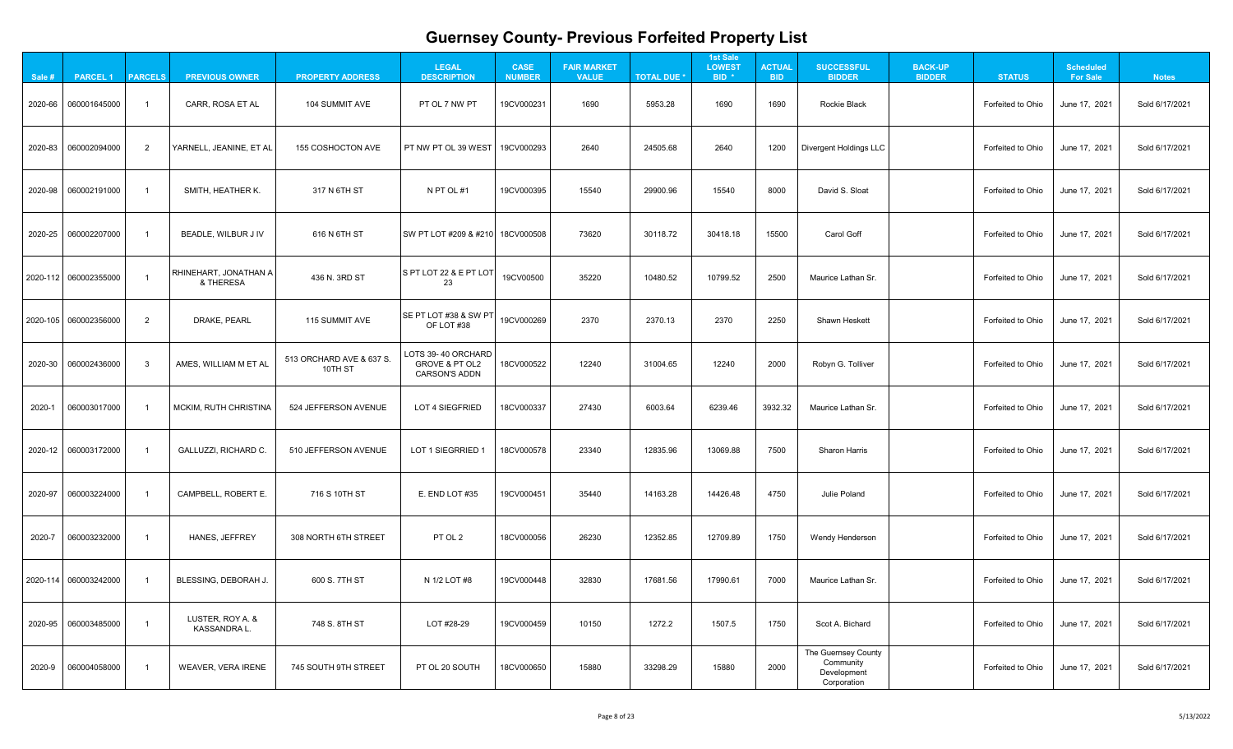| $\mathbf{A}$                                                     |  |
|------------------------------------------------------------------|--|
| 1<br>֧֧֧֧֧֧ׅ֧ׅ֧ׅ֧ׅ֧֧֧֚֚֚֚֚֚֚֚֚֚֚֚֚֚֚֚֚֚֚֚֚֚֚֚֚֚֚֚֚֚֚֚֚֚֝֓֝֜֜֜֜֝֬ |  |
| 21                                                               |  |
| 1<br>?                                                           |  |
| 1<br>l                                                           |  |
|                                                                  |  |
| 21                                                               |  |
| 21                                                               |  |
| 21                                                               |  |
| 21                                                               |  |
| 21                                                               |  |
| $\overline{21}$                                                  |  |
| 1<br>2                                                           |  |
| $\overline{\mathbf{1}}$<br>י                                     |  |

| Sale # | <b>PARCEL 1</b>         | <b>PARCELS</b> | <b>PREVIOUS OWNER</b>                  | <b>PROPERTY ADDRESS</b>             | <b>LEGAL</b><br><b>DESCRIPTION</b>                                      | <b>CASE</b><br><b>NUMBER</b> | <b>FAIR MARKET</b><br><b>VALUE</b> | <b>TOTAL DUE *</b> | <b>1st Sale</b><br><b>LOWEST</b><br>BID <sup>*</sup> | <b>ACTUAL</b><br><b>BID</b> | <b>SUCCESSFUL</b><br><b>BIDDER</b>                             | <b>BACK-UP</b><br><b>BIDDER</b> | <b>STATUS</b>     | <b>Scheduled</b><br><b>For Sale</b> | <b>Notes</b>   |
|--------|-------------------------|----------------|----------------------------------------|-------------------------------------|-------------------------------------------------------------------------|------------------------------|------------------------------------|--------------------|------------------------------------------------------|-----------------------------|----------------------------------------------------------------|---------------------------------|-------------------|-------------------------------------|----------------|
|        | 2020-66 060001645000    |                | CARR, ROSA ET AL                       | 104 SUMMIT AVE                      | PT OL 7 NW PT                                                           | 19CV000231                   | 1690                               | 5953.28            | 1690                                                 | 1690                        | Rockie Black                                                   |                                 | Forfeited to Ohio | June 17, 2021                       | Sold 6/17/2021 |
|        |                         | $\overline{2}$ | YARNELL, JEANINE, ET AL                | 155 COSHOCTON AVE                   | FT NW PT OL 39 WEST                                                     | 19CV000293                   | 2640                               | 24505.68           | 2640                                                 | 1200                        | Divergent Holdings LLC                                         |                                 | Forfeited to Ohio | June 17, 2021                       | Sold 6/17/2021 |
|        | 2020-98 060002191000    |                | SMITH, HEATHER K.                      | 317 N 6TH ST                        | N PT OL #1                                                              | 19CV000395                   | 15540                              | 29900.96           | 15540                                                | 8000                        | David S. Sloat                                                 |                                 | Forfeited to Ohio | June 17, 2021                       | Sold 6/17/2021 |
|        | 2020-25 060002207000    |                | BEADLE, WILBUR J IV                    | 616 N 6TH ST                        | SW PT LOT #209 & #210                                                   | 18CV000508                   | 73620                              | 30118.72           | 30418.18                                             | 15500                       | Carol Goff                                                     |                                 | Forfeited to Ohio | June 17, 2021                       | Sold 6/17/2021 |
|        | 2020-112 060002355000   |                | RHINEHART, JONATHAN A<br>& THERESA     | 436 N. 3RD ST                       | S PT LOT 22 & E PT LOT<br>23                                            | 19CV00500                    | 35220                              | 10480.52           | 10799.52                                             | 2500                        | Maurice Lathan Sr.                                             |                                 | Forfeited to Ohio | June 17, 2021                       | Sold 6/17/2021 |
|        | 2020-105 060002356000   | $\overline{2}$ | DRAKE, PEARL                           | 115 SUMMIT AVE                      | <b>SE PT LOT #38 &amp; SW PT</b><br>OF LOT #38                          | 19CV000269                   | 2370                               | 2370.13            | 2370                                                 | 2250                        | <b>Shawn Heskett</b>                                           |                                 | Forfeited to Ohio | June 17, 2021                       | Sold 6/17/2021 |
|        | 2020-30 060002436000    | $\mathbf{3}$   | AMES, WILLIAM M ET AL                  | 513 ORCHARD AVE & 637 S.<br>10TH ST | LOTS 39-40 ORCHARD<br><b>GROVE &amp; PT OL2</b><br><b>CARSON'S ADDN</b> | 18CV000522                   | 12240                              | 31004.65           | 12240                                                | 2000                        | Robyn G. Tolliver                                              |                                 | Forfeited to Ohio | June 17, 2021                       | Sold 6/17/2021 |
| 2020-1 | 060003017000            |                | <b>MCKIM, RUTH CHRISTINA</b>           | 524 JEFFERSON AVENUE                | <b>LOT 4 SIEGFRIED</b>                                                  | 18CV000337                   | 27430                              | 6003.64            | 6239.46                                              | 3932.32                     | Maurice Lathan Sr.                                             |                                 | Forfeited to Ohio | June 17, 2021                       | Sold 6/17/2021 |
|        | 2020-12 060003172000    |                | <b>GALLUZZI, RICHARD C.</b>            | 510 JEFFERSON AVENUE                | LOT 1 SIEGRRIED 1                                                       | 18CV000578                   | 23340                              | 12835.96           | 13069.88                                             | 7500                        | <b>Sharon Harris</b>                                           |                                 | Forfeited to Ohio | June 17, 2021                       | Sold 6/17/2021 |
|        | 2020-97 060003224000    |                | CAMPBELL, ROBERT E.                    | 716 S 10TH ST                       | E. END LOT #35                                                          | 19CV000451                   | 35440                              | 14163.28           | 14426.48                                             | 4750                        | <b>Julie Poland</b>                                            |                                 | Forfeited to Ohio | June 17, 2021                       | Sold 6/17/2021 |
| 2020-7 | 060003232000            |                | HANES, JEFFREY                         | 308 NORTH 6TH STREET                | PT OL 2                                                                 | 18CV000056                   | 26230                              | 12352.85           | 12709.89                                             | 1750                        | <b>Wendy Henderson</b>                                         |                                 | Forfeited to Ohio | June 17, 2021                       | Sold 6/17/2021 |
|        | 2020-114   060003242000 |                | BLESSING, DEBORAH J.                   | 600 S. 7TH ST                       | N 1/2 LOT #8                                                            | 19CV000448                   | 32830                              | 17681.56           | 17990.61                                             | 7000                        | Maurice Lathan Sr.                                             |                                 | Forfeited to Ohio | June 17, 2021                       | Sold 6/17/2021 |
|        | 2020-95 060003485000    |                | LUSTER, ROY A. &<br><b>KASSANDRA L</b> | 748 S. 8TH ST                       | LOT #28-29                                                              | 19CV000459                   | 10150                              | 1272.2             | 1507.5                                               | 1750                        | Scot A. Bichard                                                |                                 | Forfeited to Ohio | June 17, 2021                       | Sold 6/17/2021 |
| 2020-9 | 060004058000            |                | <b>WEAVER, VERA IRENE</b>              | 745 SOUTH 9TH STREET                | PT OL 20 SOUTH                                                          | 18CV000650                   | 15880                              | 33298.29           | 15880                                                | 2000                        | The Guernsey County<br>Community<br>Development<br>Corporation |                                 | Forfeited to Ohio | June 17, 2021                       | Sold 6/17/2021 |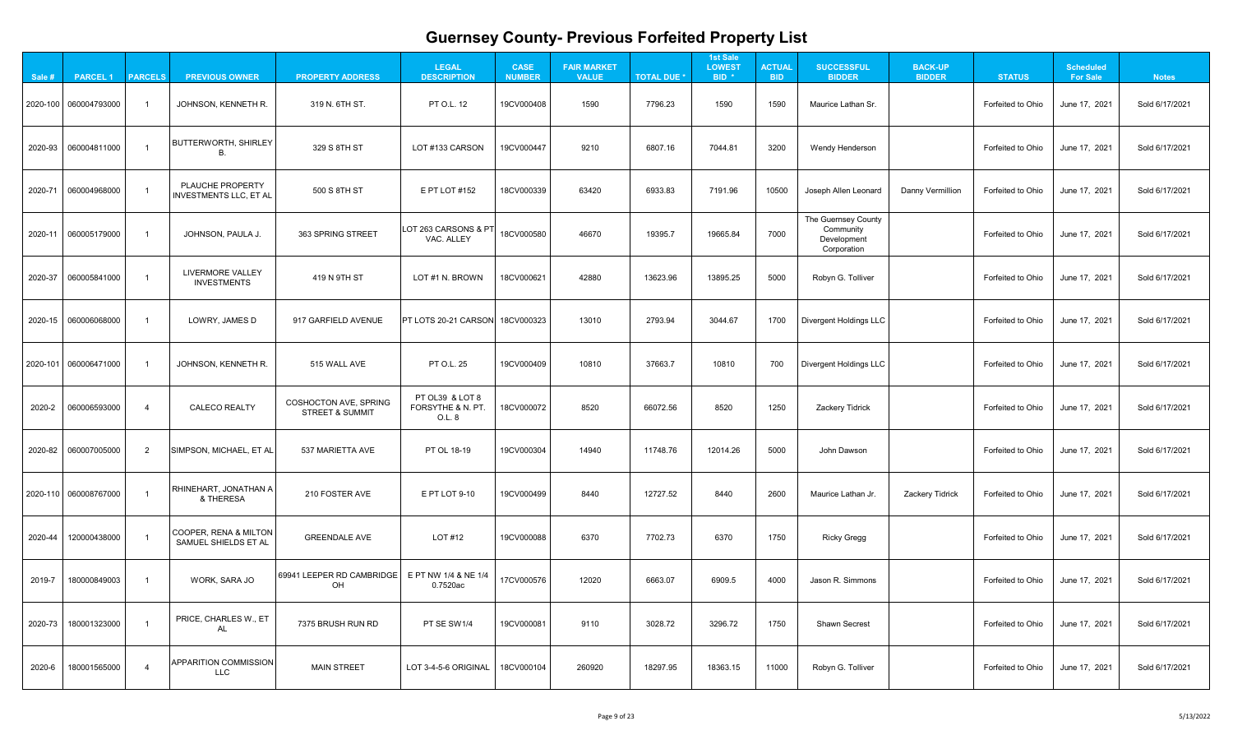| $\mathbf{A}$                                                     |  |
|------------------------------------------------------------------|--|
| 1<br>֧֧֧֧֧֧ׅ֧ׅ֧ׅ֧ׅ֧֧֧֚֚֚֚֚֚֚֚֚֚֚֚֚֚֚֚֚֚֚֚֚֚֚֚֚֚֚֚֚֚֚֚֚֚֝֓֝֜֜֜֜֝֬ |  |
| 21                                                               |  |
| 1<br>?                                                           |  |
| 1<br>l                                                           |  |
|                                                                  |  |
| 21                                                               |  |
| 21                                                               |  |
| 21                                                               |  |
| 21                                                               |  |
| 21                                                               |  |
| $\overline{21}$                                                  |  |
| 1<br>2                                                           |  |
| 1<br>י                                                           |  |

| Sale #  | <b>PARCEL 1</b>       | <b>PARCELS</b> | <b>PREVIOUS OWNER</b>                             | <b>PROPERTY ADDRESS</b>                                    | <b>LEGAL</b><br><b>DESCRIPTION</b>             | <b>CASE</b><br><b>NUMBER</b> | <b>FAIR MARKET</b><br><b>VALUE</b> | <b>TOTAL DUE *</b> | <b>1st Sale</b><br><b>LOWEST</b><br>BID <sup>*</sup> | <b>ACTUAL</b><br><b>BID</b> | <b>SUCCESSFUL</b><br><b>BIDDER</b>                             | <b>BACK-UP</b><br><b>BIDDER</b> | <b>STATUS</b>     | <b>Scheduled</b><br><b>For Sale</b> | <b>Notes</b>   |
|---------|-----------------------|----------------|---------------------------------------------------|------------------------------------------------------------|------------------------------------------------|------------------------------|------------------------------------|--------------------|------------------------------------------------------|-----------------------------|----------------------------------------------------------------|---------------------------------|-------------------|-------------------------------------|----------------|
|         | 2020-100 060004793000 |                | JOHNSON, KENNETH R.                               | 319 N. 6TH ST.                                             | <b>PT O.L. 12</b>                              | 19CV000408                   | 1590                               | 7796.23            | 1590                                                 | 1590                        | Maurice Lathan Sr.                                             |                                 | Forfeited to Ohio | June 17, 2021                       | Sold 6/17/2021 |
|         |                       |                | <b>BUTTERWORTH, SHIRLEY</b>                       | 329 S 8TH ST                                               | LOT #133 CARSON                                | 19CV000447                   | 9210                               | 6807.16            | 7044.81                                              | 3200                        | <b>Wendy Henderson</b>                                         |                                 | Forfeited to Ohio | June 17, 2021                       | Sold 6/17/2021 |
|         | 2020-71 060004968000  |                | PLAUCHE PROPERTY<br><b>INVESTMENTS LLC, ET AL</b> | 500 S 8TH ST                                               | E PT LOT #152                                  | 18CV000339                   | 63420                              | 6933.83            | 7191.96                                              | 10500                       | Joseph Allen Leonard                                           | <b>Danny Vermillion</b>         | Forfeited to Ohio | June 17, 2021                       | Sold 6/17/2021 |
|         | 2020-11 060005179000  |                | JOHNSON, PAULA J.                                 | 363 SPRING STREET                                          | LOT 263 CARSONS & PT<br>VAC. ALLEY             | 18CV000580                   | 46670                              | 19395.7            | 19665.84                                             | 7000                        | The Guernsey County<br>Community<br>Development<br>Corporation |                                 | Forfeited to Ohio | June 17, 2021                       | Sold 6/17/2021 |
|         | 2020-37 060005841000  |                | <b>LIVERMORE VALLEY</b><br><b>INVESTMENTS</b>     | 419 N 9TH ST                                               | LOT #1 N. BROWN                                | 18CV000621                   | 42880                              | 13623.96           | 13895.25                                             | 5000                        | Robyn G. Tolliver                                              |                                 | Forfeited to Ohio | June 17, 2021                       | Sold 6/17/2021 |
|         | 2020-15 060006068000  |                | LOWRY, JAMES D                                    | 917 GARFIELD AVENUE                                        | PT LOTS 20-21 CARSON 18CV000323                |                              | 13010                              | 2793.94            | 3044.67                                              | 1700                        | <b>Divergent Holdings LLC</b>                                  |                                 | Forfeited to Ohio | June 17, 2021                       | Sold 6/17/2021 |
|         | 2020-101 060006471000 |                | JOHNSON, KENNETH R.                               | 515 WALL AVE                                               | PT O.L. 25                                     | 19CV000409                   | 10810                              | 37663.7            | 10810                                                | 700                         | <b>Divergent Holdings LLC</b>                                  |                                 | Forfeited to Ohio | June 17, 2021                       | Sold 6/17/2021 |
|         |                       | $\overline{4}$ | <b>CALECO REALTY</b>                              | <b>COSHOCTON AVE, SPRING</b><br><b>STREET &amp; SUMMIT</b> | PT OL39 & LOT 8<br>FORSYTHE & N. PT.<br>O.L. 8 | 18CV000072                   | 8520                               | 66072.56           | 8520                                                 | 1250                        | Zackery Tidrick                                                |                                 | Forfeited to Ohio | June 17, 2021                       | Sold 6/17/2021 |
|         |                       | $\overline{2}$ | SIMPSON, MICHAEL, ET AL                           | 537 MARIETTA AVE                                           | PT OL 18-19                                    | 19CV000304                   | 14940                              | 11748.76           | 12014.26                                             | 5000                        | John Dawson                                                    |                                 | Forfeited to Ohio | June 17, 2021                       | Sold 6/17/2021 |
|         | 2020-110 060008767000 |                | RHINEHART, JONATHAN A<br>& THERESA                | 210 FOSTER AVE                                             | E PT LOT 9-10                                  | 19CV000499                   | 8440                               | 12727.52           | 8440                                                 | 2600                        | Maurice Lathan Jr.                                             | <b>Zackery Tidrick</b>          | Forfeited to Ohio | June 17, 2021                       | Sold 6/17/2021 |
| 2020-44 | 120000438000          |                | COOPER, RENA & MILTON<br>SAMUEL SHIELDS ET AL     | <b>GREENDALE AVE</b>                                       | LOT #12                                        | 19CV000088                   | 6370                               | 7702.73            | 6370                                                 | 1750                        | <b>Ricky Gregg</b>                                             |                                 | Forfeited to Ohio | June 17, 2021                       | Sold 6/17/2021 |
| 2019-7  | 180000849003          |                | WORK, SARA JO                                     | 69941 LEEPER RD CAMBRIDGE<br>OH                            | E PT NW 1/4 & NE 1/4<br>0.7520ac               | 17CV000576                   | 12020                              | 6663.07            | 6909.5                                               | 4000                        | Jason R. Simmons                                               |                                 | Forfeited to Ohio | June 17, 2021                       | Sold 6/17/2021 |
| 2020-73 | 180001323000          |                | PRICE, CHARLES W., ET<br><b>AL</b>                | 7375 BRUSH RUN RD                                          | PT SE SW1/4                                    | 19CV000081                   | 9110                               | 3028.72            | 3296.72                                              | 1750                        | <b>Shawn Secrest</b>                                           |                                 | Forfeited to Ohio | June 17, 2021                       | Sold 6/17/2021 |
| 2020-6  | 180001565000          |                | <b>APPARITION COMMISSION</b><br>LLC               | <b>MAIN STREET</b>                                         | LOT 3-4-5-6 ORIGINAL                           | 18CV000104                   | 260920                             | 18297.95           | 18363.15                                             | 11000                       | Robyn G. Tolliver                                              |                                 | Forfeited to Ohio | June 17, 2021                       | Sold 6/17/2021 |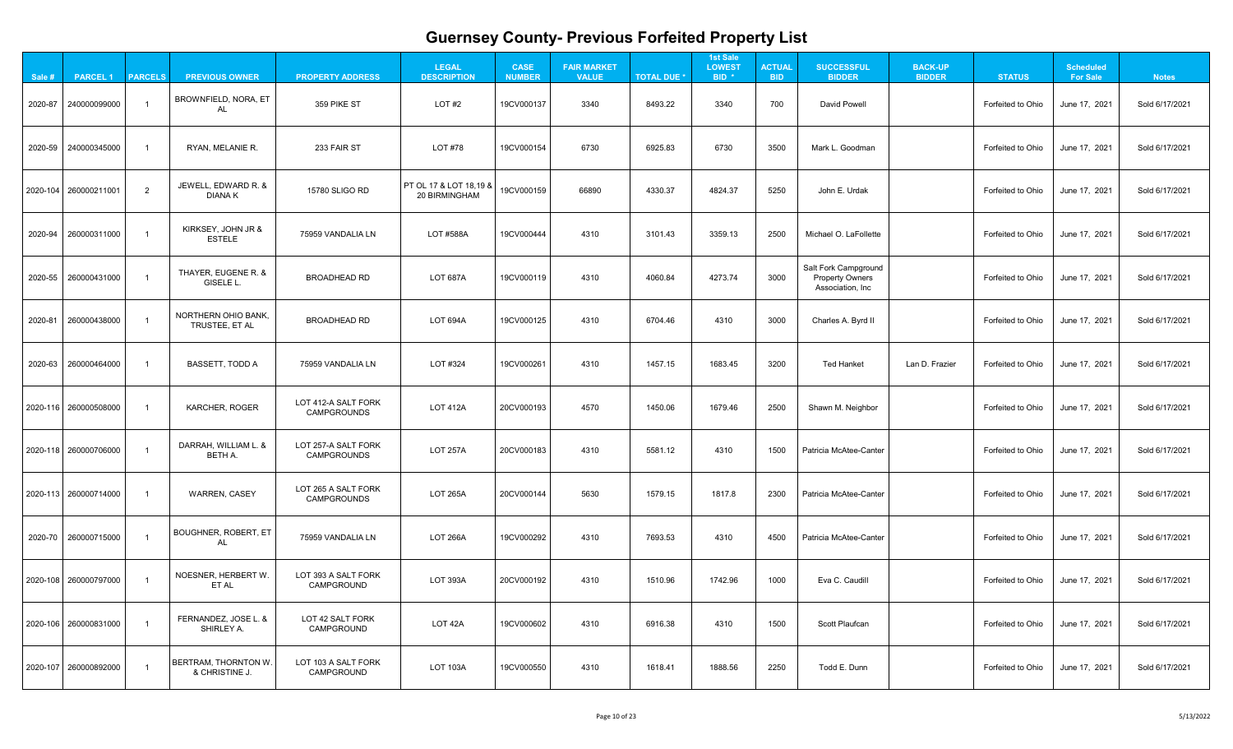| $\mathbf{A}$                                                     |  |
|------------------------------------------------------------------|--|
| 1<br>֧֧֧֧֧֧ׅ֧ׅ֧ׅ֧ׅ֧֧֧֚֚֚֚֚֚֚֚֚֚֚֚֚֚֚֚֚֚֚֚֚֚֚֚֚֚֚֚֚֚֚֚֚֚֝֓֝֜֜֜֜֝֬ |  |
| 21                                                               |  |
| 1<br>?                                                           |  |
| 1<br>l                                                           |  |
|                                                                  |  |
| 21                                                               |  |
| 21                                                               |  |
| 21                                                               |  |
| 21                                                               |  |
| 21                                                               |  |
| $\overline{21}$                                                  |  |
| 1<br>2                                                           |  |
| 1<br>י                                                           |  |

| Sale #  | <b>PARCEL 1</b>         | <b>PARCELS</b> | <b>PREVIOUS OWNER</b>                     | <b>PROPERTY ADDRESS</b>                   | <b>LEGAL</b><br><b>DESCRIPTION</b>                            | <b>CASE</b><br><b>NUMBER</b> | <b>FAIR MARKET</b><br><b>VALUE</b> | <b>TOTAL DUE *</b> | <b>1st Sale</b><br><b>LOWEST</b><br>BID <sup>*</sup> | <b>ACTUAL</b><br><b>BID</b> | <b>SUCCESSFUL</b><br><b>BIDDER</b>                                        | <b>BACK-UP</b><br><b>BIDDER</b> | <b>STATUS</b>            | <b>Scheduled</b><br><b>For Sale</b> | <b>Notes</b>   |
|---------|-------------------------|----------------|-------------------------------------------|-------------------------------------------|---------------------------------------------------------------|------------------------------|------------------------------------|--------------------|------------------------------------------------------|-----------------------------|---------------------------------------------------------------------------|---------------------------------|--------------------------|-------------------------------------|----------------|
| 2020-87 | 240000099000            |                | BROWNFIELD, NORA, ET<br><b>AL</b>         | 359 PIKE ST                               | LOT#2                                                         | 19CV000137                   | 3340                               | 8493.22            | 3340                                                 | 700                         | <b>David Powell</b>                                                       |                                 | Forfeited to Ohio        | June 17, 2021                       | Sold 6/17/2021 |
|         | 2020-59 240000345000    |                | RYAN, MELANIE R.                          | 233 FAIR ST                               | LOT #78                                                       | 19CV000154                   | 6730                               | 6925.83            | 6730                                                 | 3500                        | Mark L. Goodman                                                           |                                 | Forfeited to Ohio        | June 17, 2021                       | Sold 6/17/2021 |
|         | 2020-104 260000211001   | $\overline{2}$ | JEWELL, EDWARD R. &<br><b>DIANAK</b>      | 15780 SLIGO RD                            | <b>PT OL 17 &amp; LOT 18,19 &amp;</b><br><b>20 BIRMINGHAM</b> | 19CV000159                   | 66890                              | 4330.37            | 4824.37                                              | 5250                        | John E. Urdak                                                             |                                 | Forfeited to Ohio        | June 17, 2021                       | Sold 6/17/2021 |
|         | 2020-94 260000311000    |                | KIRKSEY, JOHN JR &<br><b>ESTELE</b>       | 75959 VANDALIA LN                         | <b>LOT #588A</b>                                              | 19CV000444                   | 4310                               | 3101.43            | 3359.13                                              | 2500                        | Michael O. LaFollette                                                     |                                 | Forfeited to Ohio        | June 17, 2021                       | Sold 6/17/2021 |
|         | 2020-55 260000431000    |                | THAYER, EUGENE R. &<br>GISELE L.          | <b>BROADHEAD RD</b>                       | <b>LOT 687A</b>                                               | 19CV000119                   | 4310                               | 4060.84            | 4273.74                                              | 3000                        | <b>Salt Fork Campground</b><br><b>Property Owners</b><br>Association, Inc |                                 | Forfeited to Ohio        | June 17, 2021                       | Sold 6/17/2021 |
|         | 2020-81 260000438000    |                | NORTHERN OHIO BANK,<br>TRUSTEE, ET AL     | <b>BROADHEAD RD</b>                       | LOT 694A                                                      | 19CV000125                   | 4310                               | 6704.46            | 4310                                                 | 3000                        | Charles A. Byrd II                                                        |                                 | Forfeited to Ohio        | June 17, 2021                       | Sold 6/17/2021 |
|         | 2020-63 260000464000    |                | <b>BASSETT, TODD A</b>                    | 75959 VANDALIA LN                         | LOT #324                                                      | 19CV000261                   | 4310                               | 1457.15            | 1683.45                                              | 3200                        | <b>Ted Hanket</b>                                                         | Lan D. Frazier                  | Forfeited to Ohio        | June 17, 2021                       | Sold 6/17/2021 |
|         | 2020-116   260000508000 |                | <b>KARCHER, ROGER</b>                     | LOT 412-A SALT FORK<br><b>CAMPGROUNDS</b> | <b>LOT 412A</b>                                               | 20CV000193                   | 4570                               | 1450.06            | 1679.46                                              | 2500                        | Shawn M. Neighbor                                                         |                                 | <b>Forfeited to Ohio</b> | June 17, 2021                       | Sold 6/17/2021 |
|         | 2020-118   260000706000 |                | DARRAH, WILLIAM L. &<br><b>BETH A.</b>    | LOT 257-A SALT FORK<br><b>CAMPGROUNDS</b> | <b>LOT 257A</b>                                               | 20CV000183                   | 4310                               | 5581.12            | 4310                                                 | 1500                        | Patricia McAtee-Canter                                                    |                                 | Forfeited to Ohio        | June 17, 2021                       | Sold 6/17/2021 |
|         | 2020-113 260000714000   |                | <b>WARREN, CASEY</b>                      | LOT 265 A SALT FORK<br><b>CAMPGROUNDS</b> | <b>LOT 265A</b>                                               | 20CV000144                   | 5630                               | 1579.15            | 1817.8                                               | 2300                        | <b>Patricia McAtee-Canter</b>                                             |                                 | Forfeited to Ohio        | June 17, 2021                       | Sold 6/17/2021 |
|         | 2020-70 260000715000    |                | <b>BOUGHNER, ROBERT, ET</b><br>AL         | 75959 VANDALIA LN                         | <b>LOT 266A</b>                                               | 19CV000292                   | 4310                               | 7693.53            | 4310                                                 | 4500                        | Patricia McAtee-Canter                                                    |                                 | Forfeited to Ohio        | June 17, 2021                       | Sold 6/17/2021 |
|         | 2020-108 260000797000   |                | NOESNER, HERBERT W.<br>ET AL              | LOT 393 A SALT FORK<br>CAMPGROUND         | <b>LOT 393A</b>                                               | 20CV000192                   | 4310                               | 1510.96            | 1742.96                                              | 1000                        | Eva C. Caudill                                                            |                                 | Forfeited to Ohio        | June 17, 2021                       | Sold 6/17/2021 |
|         | 2020-106   260000831000 |                | FERNANDEZ, JOSE L. &<br><b>SHIRLEY A.</b> | LOT 42 SALT FORK<br><b>CAMPGROUND</b>     | LOT 42A                                                       | 19CV000602                   | 4310                               | 6916.38            | 4310                                                 | 1500                        | <b>Scott Plaufcan</b>                                                     |                                 | Forfeited to Ohio        | June 17, 2021                       | Sold 6/17/2021 |
|         | 2020-107 260000892000   |                | BERTRAM, THORNTON W.<br>& CHRISTINE J.    | LOT 103 A SALT FORK<br>CAMPGROUND         | <b>LOT 103A</b>                                               | 19CV000550                   | 4310                               | 1618.41            | 1888.56                                              | 2250                        | Todd E. Dunn                                                              |                                 | Forfeited to Ohio        | June 17, 2021                       | Sold 6/17/2021 |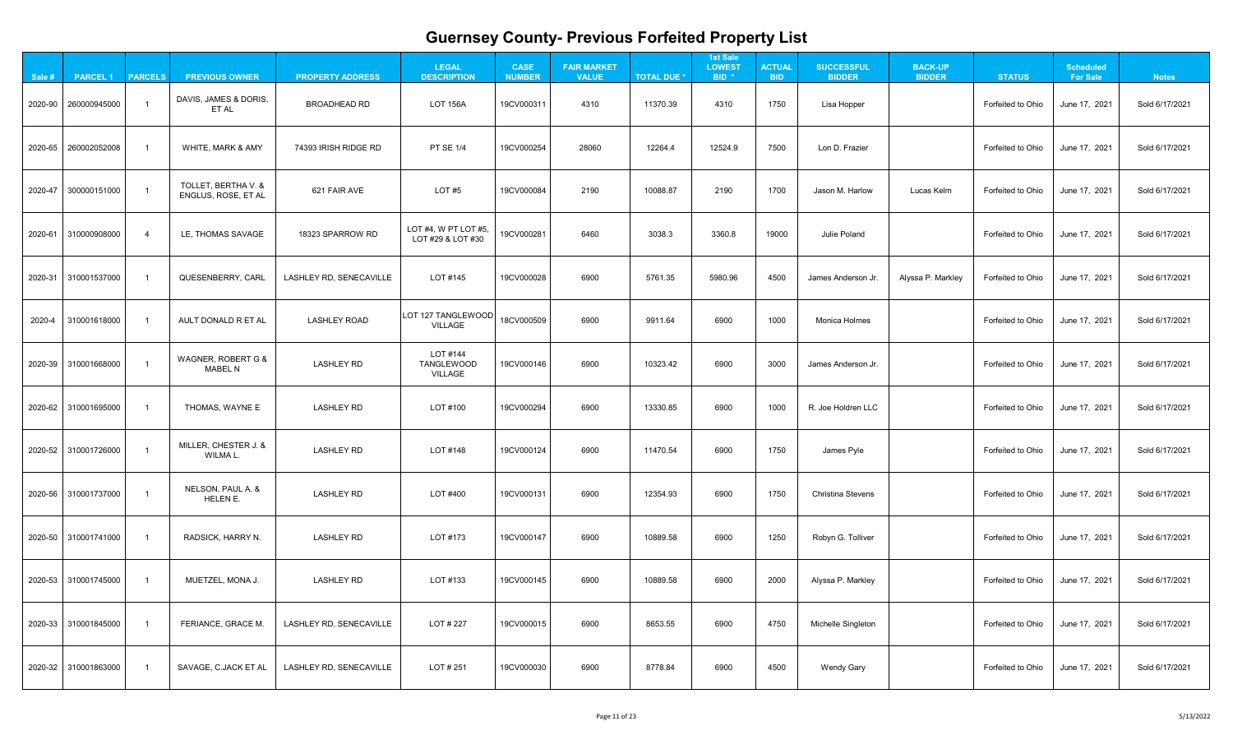| $\mathbf{A}$                                                     |  |
|------------------------------------------------------------------|--|
| 1<br>֧֧֧֧֧֧ׅ֧ׅ֧ׅ֧ׅ֧֧֧֚֚֚֚֚֚֚֚֚֚֚֚֚֚֚֚֚֚֚֚֚֚֚֚֚֚֚֚֚֚֚֚֚֚֝֓֝֜֜֜֜֝֬ |  |
| 21                                                               |  |
| 1<br>?                                                           |  |
| 1<br>l                                                           |  |
|                                                                  |  |
| 21                                                               |  |
| 21                                                               |  |
| 21                                                               |  |
| 21                                                               |  |
| 21                                                               |  |
| $\overline{21}$                                                  |  |
| 1<br>2                                                           |  |
| 1<br>י                                                           |  |

| Sale # | <b>PARCEL 1</b>             | <b>PARCELS</b> | <b>PREVIOUS OWNER</b>                      | <b>PROPERTY ADDRESS</b>        | <b>LEGAL</b><br><b>DESCRIPTION</b>              | <b>CASE</b><br><b>NUMBER</b> | <b>FAIR MARKET</b><br><b>VALUE</b> | <b>TOTAL DUE *</b> | <b>1st Sale</b><br><b>LOWEST</b><br>BID <sup>*</sup> | <b>ACTUAL</b><br><b>BID</b> | <b>SUCCESSFUL</b><br><b>BIDDER</b> | <b>BACK-UP</b><br><b>BIDDER</b> | <b>STATUS</b>     | <b>Scheduled</b><br><b>For Sale</b> | <b>Notes</b>   |
|--------|-----------------------------|----------------|--------------------------------------------|--------------------------------|-------------------------------------------------|------------------------------|------------------------------------|--------------------|------------------------------------------------------|-----------------------------|------------------------------------|---------------------------------|-------------------|-------------------------------------|----------------|
|        | 2020-90 260000945000        |                | DAVIS, JAMES & DORIS,<br>ET AL             | <b>BROADHEAD RD</b>            | <b>LOT 156A</b>                                 | 19CV000311                   | 4310                               | 11370.39           | 4310                                                 | 1750                        | Lisa Hopper                        |                                 | Forfeited to Ohio | June 17, 2021                       | Sold 6/17/2021 |
|        | 2020-65 260002052008        |                | <b>WHITE, MARK &amp; AMY</b>               | 74393 IRISH RIDGE RD           | <b>PT SE 1/4</b>                                | 19CV000254                   | 28060                              | 12264.4            | 12524.9                                              | 7500                        | Lon D. Frazier                     |                                 | Forfeited to Ohio | June 17, 2021                       | Sold 6/17/2021 |
|        | 2020-47 300000151000        |                | TOLLET, BERTHA V. &<br>ENGLUS, ROSE, ET AL | 621 FAIR AVE                   | LOT #5                                          | 19CV000084                   | 2190                               | 10088.87           | 2190                                                 | 1700                        | Jason M. Harlow                    | Lucas Kelm                      | Forfeited to Ohio | June 17, 2021                       | Sold 6/17/2021 |
|        | 2020-61 310000908000        | -4             | LE, THOMAS SAVAGE                          | 18323 SPARROW RD               | LOT #4, W PT LOT #5,<br>LOT #29 & LOT #30       | 19CV000281                   | 6460                               | 3038.3             | 3360.8                                               | 19000                       | <b>Julie Poland</b>                |                                 | Forfeited to Ohio | June 17, 2021                       | Sold 6/17/2021 |
|        | 2020-31 310001537000        |                | QUESENBERRY, CARL                          | LASHLEY RD, SENECAVILLE        | LOT #145                                        | 19CV000028                   | 6900                               | 5761.35            | 5980.96                                              | 4500                        | James Anderson Jr.                 | Alyssa P. Markley               | Forfeited to Ohio | June 17, 2021                       | Sold 6/17/2021 |
| 2020-4 | 310001618000                |                | AULT DONALD R ET AL                        | <b>LASHLEY ROAD</b>            | <b>LOT 127 TANGLEWOOD</b><br><b>VILLAGE</b>     | 18CV000509                   | 6900                               | 9911.64            | 6900                                                 | 1000                        | Monica Holmes                      |                                 | Forfeited to Ohio | June 17, 2021                       | Sold 6/17/2021 |
|        | 2020-39 310001668000        |                | WAGNER, ROBERT G &<br><b>MABEL N</b>       | <b>LASHLEY RD</b>              | LOT #144<br><b>TANGLEWOOD</b><br><b>VILLAGE</b> | 19CV000146                   | 6900                               | 10323.42           | 6900                                                 | 3000                        | James Anderson Jr.                 |                                 | Forfeited to Ohio | June 17, 2021                       | Sold 6/17/2021 |
|        | 2020-62 310001695000        |                | THOMAS, WAYNE E                            | <b>LASHLEY RD</b>              | LOT #100                                        | 19CV000294                   | 6900                               | 13330.85           | 6900                                                 | 1000                        | R. Joe Holdren LLC                 |                                 | Forfeited to Ohio | June 17, 2021                       | Sold 6/17/2021 |
|        | 2020-52 310001726000        |                | MILLER, CHESTER J. &<br>WILMA L.           | <b>LASHLEY RD</b>              | LOT #148                                        | 19CV000124                   | 6900                               | 11470.54           | 6900                                                 | 1750                        | James Pyle                         |                                 | Forfeited to Ohio | June 17, 2021                       | Sold 6/17/2021 |
|        | 2020-56 310001737000        |                | NELSON, PAUL A. &<br><b>HELEN E.</b>       | <b>LASHLEY RD</b>              | LOT #400                                        | 19CV000131                   | 6900                               | 12354.93           | 6900                                                 | 1750                        | <b>Christina Stevens</b>           |                                 | Forfeited to Ohio | June 17, 2021                       | Sold 6/17/2021 |
|        | 2020-50 310001741000        |                | RADSICK, HARRY N.                          | <b>LASHLEY RD</b>              | LOT #173                                        | 19CV000147                   | 6900                               | 10889.58           | 6900                                                 | 1250                        | Robyn G. Tolliver                  |                                 | Forfeited to Ohio | June 17, 2021                       | Sold 6/17/2021 |
|        | 2020-53 310001745000        |                | MUETZEL, MONA J.                           | <b>LASHLEY RD</b>              | LOT #133                                        | 19CV000145                   | 6900                               | 10889.58           | 6900                                                 | 2000                        | Alyssa P. Markley                  |                                 | Forfeited to Ohio | June 17, 2021                       | Sold 6/17/2021 |
|        | 2020-33 310001845000        |                | FERIANCE, GRACE M.                         | LASHLEY RD, SENECAVILLE        | LOT # 227                                       | 19CV000015                   | 6900                               | 8653.55            | 6900                                                 | 4750                        | Michelle Singleton                 |                                 | Forfeited to Ohio | June 17, 2021                       | Sold 6/17/2021 |
|        | $2020-32 \mid 310001863000$ |                | SAVAGE, C.JACK ET AL                       | <b>LASHLEY RD, SENECAVILLE</b> | LOT # 251                                       | 19CV000030                   | 6900                               | 8778.84            | 6900                                                 | 4500                        | <b>Wendy Gary</b>                  |                                 | Forfeited to Ohio | June 17, 2021                       | Sold 6/17/2021 |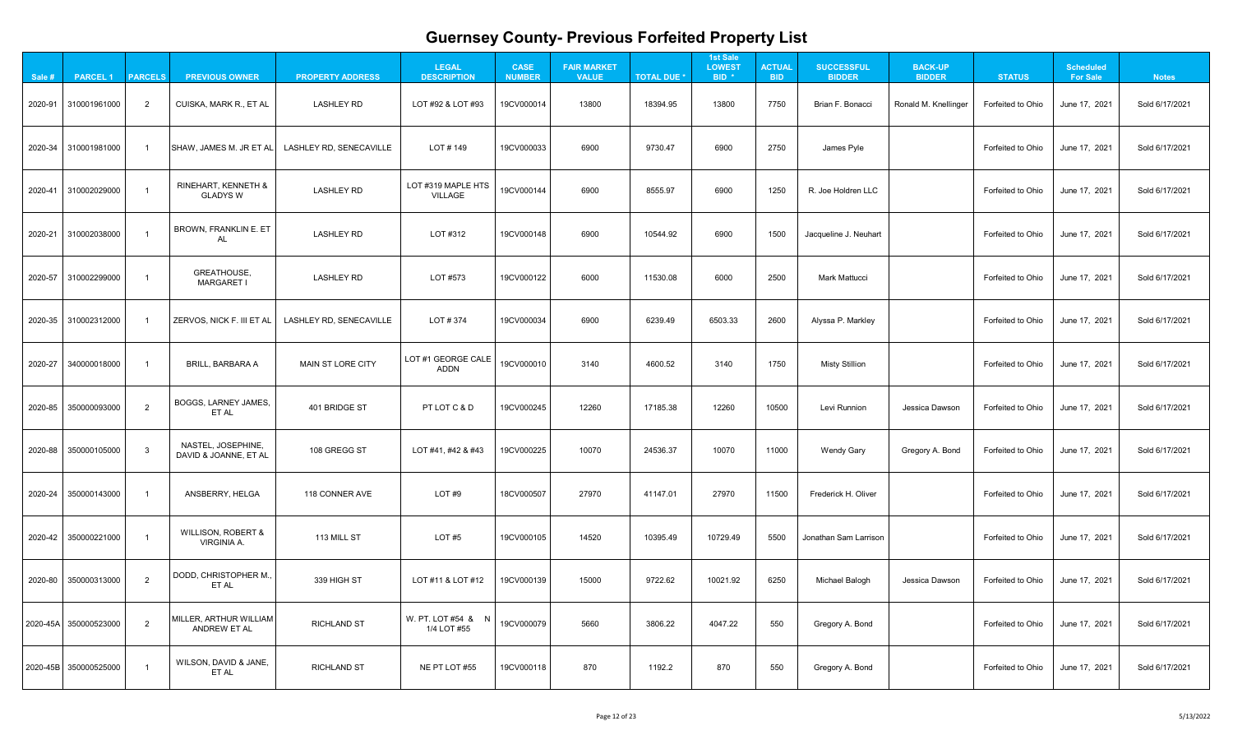| $\mathbf{A}$                                                     |  |
|------------------------------------------------------------------|--|
| 1<br>֧֧֧֧֧֧ׅ֧ׅ֧ׅ֧ׅ֧֧֧֚֚֚֚֚֚֚֚֚֚֚֚֚֚֚֚֚֚֚֚֚֚֚֚֚֚֚֚֚֚֚֚֚֚֝֓֝֜֜֜֜֝֬ |  |
| 21                                                               |  |
| 1<br>?                                                           |  |
| 1<br>l                                                           |  |
|                                                                  |  |
| 21                                                               |  |
| 21                                                               |  |
| 21                                                               |  |
| 21                                                               |  |
| 21                                                               |  |
| $\overline{21}$                                                  |  |
| 1<br>2                                                           |  |
| 1<br>י                                                           |  |

| Sale #  | <b>PARCEL 1</b>       | <b>PARCELS</b> | <b>PREVIOUS OWNER</b>                               | <b>PROPERTY ADDRESS</b>        | <b>LEGAL</b><br><b>DESCRIPTION</b>   | <b>CASE</b><br><b>NUMBER</b> | <b>FAIR MARKET</b><br><b>VALUE</b> | <b>TOTAL DUE *</b> | <b>1st Sale</b><br><b>LOWEST</b><br>BID <sup>*</sup> | <b>ACTUAL</b><br><b>BID</b> | <b>SUCCESSFUL</b><br><b>BIDDER</b> | <b>BACK-UP</b><br><b>BIDDER</b> | <b>STATUS</b>     | <b>Scheduled</b><br><b>For Sale</b> | <b>Notes</b>   |
|---------|-----------------------|----------------|-----------------------------------------------------|--------------------------------|--------------------------------------|------------------------------|------------------------------------|--------------------|------------------------------------------------------|-----------------------------|------------------------------------|---------------------------------|-------------------|-------------------------------------|----------------|
|         | 2020-91 310001961000  | $\overline{2}$ | CUISKA, MARK R., ET AL                              | <b>LASHLEY RD</b>              | LOT #92 & LOT #93                    | 19CV000014                   | 13800                              | 18394.95           | 13800                                                | 7750                        | Brian F. Bonacci                   | Ronald M. Knellinger            | Forfeited to Ohio | June 17, 2021                       | Sold 6/17/2021 |
|         | 2020-34 310001981000  |                | SHAW, JAMES M. JR ET AL                             | LASHLEY RD, SENECAVILLE        | LOT # 149                            | 19CV000033                   | 6900                               | 9730.47            | 6900                                                 | 2750                        | James Pyle                         |                                 | Forfeited to Ohio | June 17, 2021                       | Sold 6/17/2021 |
|         | 2020-41 310002029000  |                | RINEHART, KENNETH &<br><b>GLADYS W</b>              | <b>LASHLEY RD</b>              | LOT #319 MAPLE HTS<br><b>VILLAGE</b> | 19CV000144                   | 6900                               | 8555.97            | 6900                                                 | 1250                        | R. Joe Holdren LLC                 |                                 | Forfeited to Ohio | June 17, 2021                       | Sold 6/17/2021 |
|         | 2020-21 310002038000  |                | <b>BROWN, FRANKLIN E. ET</b><br>AL                  | <b>LASHLEY RD</b>              | LOT #312                             | 19CV000148                   | 6900                               | 10544.92           | 6900                                                 | 1500                        | Jacqueline J. Neuhart              |                                 | Forfeited to Ohio | June 17, 2021                       | Sold 6/17/2021 |
|         | 2020-57 310002299000  |                | GREATHOUSE,<br><b>MARGARET I</b>                    | <b>LASHLEY RD</b>              | LOT #573                             | 19CV000122                   | 6000                               | 11530.08           | 6000                                                 | 2500                        | <b>Mark Mattucci</b>               |                                 | Forfeited to Ohio | June 17, 2021                       | Sold 6/17/2021 |
|         | 2020-35 310002312000  |                | ZERVOS, NICK F. III ET AL                           | <b>LASHLEY RD, SENECAVILLE</b> | LOT # 374                            | 19CV000034                   | 6900                               | 6239.49            | 6503.33                                              | 2600                        | Alyssa P. Markley                  |                                 | Forfeited to Ohio | June 17, 2021                       | Sold 6/17/2021 |
| 2020-27 | 340000018000          |                | <b>BRILL, BARBARA A</b>                             | <b>MAIN ST LORE CITY</b>       | LOT #1 GEORGE CALE<br><b>ADDN</b>    | 19CV000010                   | 3140                               | 4600.52            | 3140                                                 | 1750                        | <b>Misty Stillion</b>              |                                 | Forfeited to Ohio | June 17, 2021                       | Sold 6/17/2021 |
|         | 2020-85 350000093000  | $\overline{2}$ | BOGGS, LARNEY JAMES,<br>ET AL                       | 401 BRIDGE ST                  | PT LOT C & D                         | 19CV000245                   | 12260                              | 17185.38           | 12260                                                | 10500                       | Levi Runnion                       | Jessica Dawson                  | Forfeited to Ohio | June 17, 2021                       | Sold 6/17/2021 |
|         | 2020-88 350000105000  | $\mathbf{3}$   | NASTEL, JOSEPHINE,<br>DAVID & JOANNE, ET AL         | 108 GREGG ST                   | LOT #41, #42 & #43                   | 19CV000225                   | 10070                              | 24536.37           | 10070                                                | 11000                       | <b>Wendy Gary</b>                  | Gregory A. Bond                 | Forfeited to Ohio | June 17, 2021                       | Sold 6/17/2021 |
|         | 2020-24 350000143000  |                | ANSBERRY, HELGA                                     | 118 CONNER AVE                 | LOT#9                                | 18CV000507                   | 27970                              | 41147.01           | 27970                                                | 11500                       | Frederick H. Oliver                |                                 | Forfeited to Ohio | June 17, 2021                       | Sold 6/17/2021 |
|         | 2020-42 350000221000  |                | <b>WILLISON, ROBERT &amp;</b><br><b>VIRGINIA A.</b> | 113 MILL ST                    | LOT#5                                | 19CV000105                   | 14520                              | 10395.49           | 10729.49                                             | 5500                        | Jonathan Sam Larrison              |                                 | Forfeited to Ohio | June 17, 2021                       | Sold 6/17/2021 |
|         | 2020-80 350000313000  | 2              | DODD, CHRISTOPHER M.,<br>ET AL                      | 339 HIGH ST                    | LOT #11 & LOT #12                    | 19CV000139                   | 15000                              | 9722.62            | 10021.92                                             | 6250                        | Michael Balogh                     | Jessica Dawson                  | Forfeited to Ohio | June 17, 2021                       | Sold 6/17/2021 |
|         | 2020-45A 350000523000 | 2              | MILLER, ARTHUR WILLIAM<br><b>ANDREW ET AL</b>       | <b>RICHLAND ST</b>             | W. PT. LOT #54 & N<br>1/4 LOT #55    | 19CV000079                   | 5660                               | 3806.22            | 4047.22                                              | 550                         | Gregory A. Bond                    |                                 | Forfeited to Ohio | June 17, 2021                       | Sold 6/17/2021 |
|         | 2020-45B 350000525000 |                | WILSON, DAVID & JANE,<br>ET AL                      | <b>RICHLAND ST</b>             | NE PT LOT #55                        | 19CV000118                   | 870                                | 1192.2             | 870                                                  | 550                         | Gregory A. Bond                    |                                 | Forfeited to Ohio | June 17, 2021                       | Sold 6/17/2021 |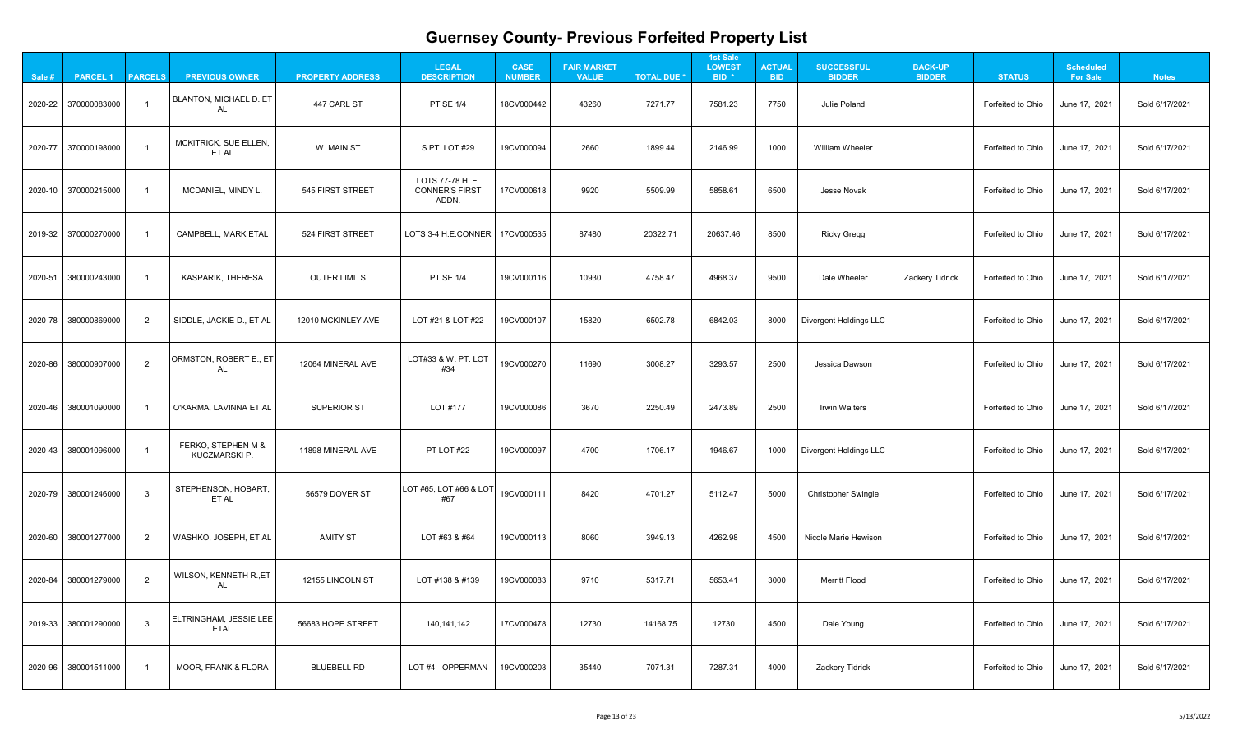| $\mathbf{A}$                                                     |  |
|------------------------------------------------------------------|--|
| 1<br>֧֧֧֧֧֧ׅ֧ׅ֧ׅ֧ׅ֧֧֧֚֚֚֚֚֚֚֚֚֚֚֚֚֚֚֚֚֚֚֚֚֚֚֚֚֚֚֚֚֚֚֚֚֚֝֓֝֜֜֜֜֝֬ |  |
| 21                                                               |  |
| 1<br>?                                                           |  |
| 1<br>l                                                           |  |
|                                                                  |  |
| 21                                                               |  |
| 21                                                               |  |
| 21                                                               |  |
| 21                                                               |  |
| 21                                                               |  |
| $\overline{21}$                                                  |  |
| 1<br>2                                                           |  |
| 1<br>י                                                           |  |

| Sale # | <b>PARCEL 1</b>      | <b>PARCELS</b> | <b>PREVIOUS OWNER</b>                 | <b>PROPERTY ADDRESS</b> | <b>LEGAL</b><br><b>DESCRIPTION</b>                 | <b>CASE</b><br><b>NUMBER</b> | <b>FAIR MARKET</b><br><b>VALUE</b> | <b>TOTAL DUE *</b> | <b>1st Sale</b><br><b>LOWEST</b><br>BID <sup>*</sup> | <b>ACTUAL</b><br><b>BID</b> | <b>SUCCESSFUL</b><br><b>BIDDER</b> | <b>BACK-UP</b><br><b>BIDDER</b> | <b>STATUS</b>     | <b>Scheduled</b><br><b>For Sale</b> | <b>Notes</b>   |
|--------|----------------------|----------------|---------------------------------------|-------------------------|----------------------------------------------------|------------------------------|------------------------------------|--------------------|------------------------------------------------------|-----------------------------|------------------------------------|---------------------------------|-------------------|-------------------------------------|----------------|
|        | 2020-22 370000083000 |                | BLANTON, MICHAEL D. ET<br>AL          | 447 CARL ST             | <b>PT SE 1/4</b>                                   | 18CV000442                   | 43260                              | 7271.77            | 7581.23                                              | 7750                        | <b>Julie Poland</b>                |                                 | Forfeited to Ohio | June 17, 2021                       | Sold 6/17/2021 |
|        | 2020-77 370000198000 |                | MCKITRICK, SUE ELLEN,<br>ET AL        | W. MAIN ST              | S PT. LOT #29                                      | 19CV000094                   | 2660                               | 1899.44            | 2146.99                                              | 1000                        | <b>William Wheeler</b>             |                                 | Forfeited to Ohio | June 17, 2021                       | Sold 6/17/2021 |
|        | 2020-10 370000215000 |                | MCDANIEL, MINDY L.                    | 545 FIRST STREET        | LOTS 77-78 H. E.<br><b>CONNER'S FIRST</b><br>ADDN. | 17CV000618                   | 9920                               | 5509.99            | 5858.61                                              | 6500                        | <b>Jesse Novak</b>                 |                                 | Forfeited to Ohio | June 17, 2021                       | Sold 6/17/2021 |
|        | 2019-32 370000270000 |                | <b>CAMPBELL, MARK ETAL</b>            | 524 FIRST STREET        | LOTS 3-4 H.E.CONNER                                | 17CV000535                   | 87480                              | 20322.71           | 20637.46                                             | 8500                        | <b>Ricky Gregg</b>                 |                                 | Forfeited to Ohio | June 17, 2021                       | Sold 6/17/2021 |
|        | 2020-51 380000243000 |                | <b>KASPARIK, THERESA</b>              | <b>OUTER LIMITS</b>     | <b>PT SE 1/4</b>                                   | 19CV000116                   | 10930                              | 4758.47            | 4968.37                                              | 9500                        | Dale Wheeler                       | <b>Zackery Tidrick</b>          | Forfeited to Ohio | June 17, 2021                       | Sold 6/17/2021 |
|        | 2020-78 380000869000 | $\overline{2}$ | SIDDLE, JACKIE D., ET AL              | 12010 MCKINLEY AVE      | LOT #21 & LOT #22                                  | 19CV000107                   | 15820                              | 6502.78            | 6842.03                                              | 8000                        | <b>Divergent Holdings LLC</b>      |                                 | Forfeited to Ohio | June 17, 2021                       | Sold 6/17/2021 |
|        | 2020-86 380000907000 | $\overline{2}$ | ORMSTON, ROBERT E., ET<br>AL          | 12064 MINERAL AVE       | LOT#33 & W. PT. LOT<br>#34                         | 19CV000270                   | 11690                              | 3008.27            | 3293.57                                              | 2500                        | Jessica Dawson                     |                                 | Forfeited to Ohio | June 17, 2021                       | Sold 6/17/2021 |
|        | 2020-46 380001090000 |                | O'KARMA, LAVINNA ET AL                | <b>SUPERIOR ST</b>      | LOT #177                                           | 19CV000086                   | 3670                               | 2250.49            | 2473.89                                              | 2500                        | <b>Irwin Walters</b>               |                                 | Forfeited to Ohio | June 17, 2021                       | Sold 6/17/2021 |
|        | 2020-43 380001096000 |                | FERKO, STEPHEN M &<br>KUCZMARSKI P.   | 11898 MINERAL AVE       | PT LOT #22                                         | 19CV000097                   | 4700                               | 1706.17            | 1946.67                                              | 1000                        | <b>Divergent Holdings LLC</b>      |                                 | Forfeited to Ohio | June 17, 2021                       | Sold 6/17/2021 |
|        | 2020-79 380001246000 | $\mathbf{3}$   | STEPHENSON, HOBART,<br>ET AL          | 56579 DOVER ST          | LOT #65, LOT #66 & LOT<br>#67                      | 19CV000111                   | 8420                               | 4701.27            | 5112.47                                              | 5000                        | <b>Christopher Swingle</b>         |                                 | Forfeited to Ohio | June 17, 2021                       | Sold 6/17/2021 |
|        | 2020-60 380001277000 | $\overline{2}$ | WASHKO, JOSEPH, ET AL                 | <b>AMITY ST</b>         | LOT #63 & #64                                      | 19CV000113                   | 8060                               | 3949.13            | 4262.98                                              | 4500                        | <b>Nicole Marie Hewison</b>        |                                 | Forfeited to Ohio | June 17, 2021                       | Sold 6/17/2021 |
|        | 2020-84 380001279000 | 2              | WILSON, KENNETH R., ET<br>AL          | 12155 LINCOLN ST        | LOT #138 & #139                                    | 19CV000083                   | 9710                               | 5317.71            | 5653.41                                              | 3000                        | <b>Merritt Flood</b>               |                                 | Forfeited to Ohio | June 17, 2021                       | Sold 6/17/2021 |
|        | 2019-33 380001290000 | 3              | ELTRINGHAM, JESSIE LEE<br><b>ETAL</b> | 56683 HOPE STREET       | 140,141,142                                        | 17CV000478                   | 12730                              | 14168.75           | 12730                                                | 4500                        | Dale Young                         |                                 | Forfeited to Ohio | June 17, 2021                       | Sold 6/17/2021 |
|        | 2020-96 380001511000 |                | MOOR, FRANK & FLORA                   | <b>BLUEBELL RD</b>      | LOT #4 - OPPERMAN                                  | 19CV000203                   | 35440                              | 7071.31            | 7287.31                                              | 4000                        | <b>Zackery Tidrick</b>             |                                 | Forfeited to Ohio | June 17, 2021                       | Sold 6/17/2021 |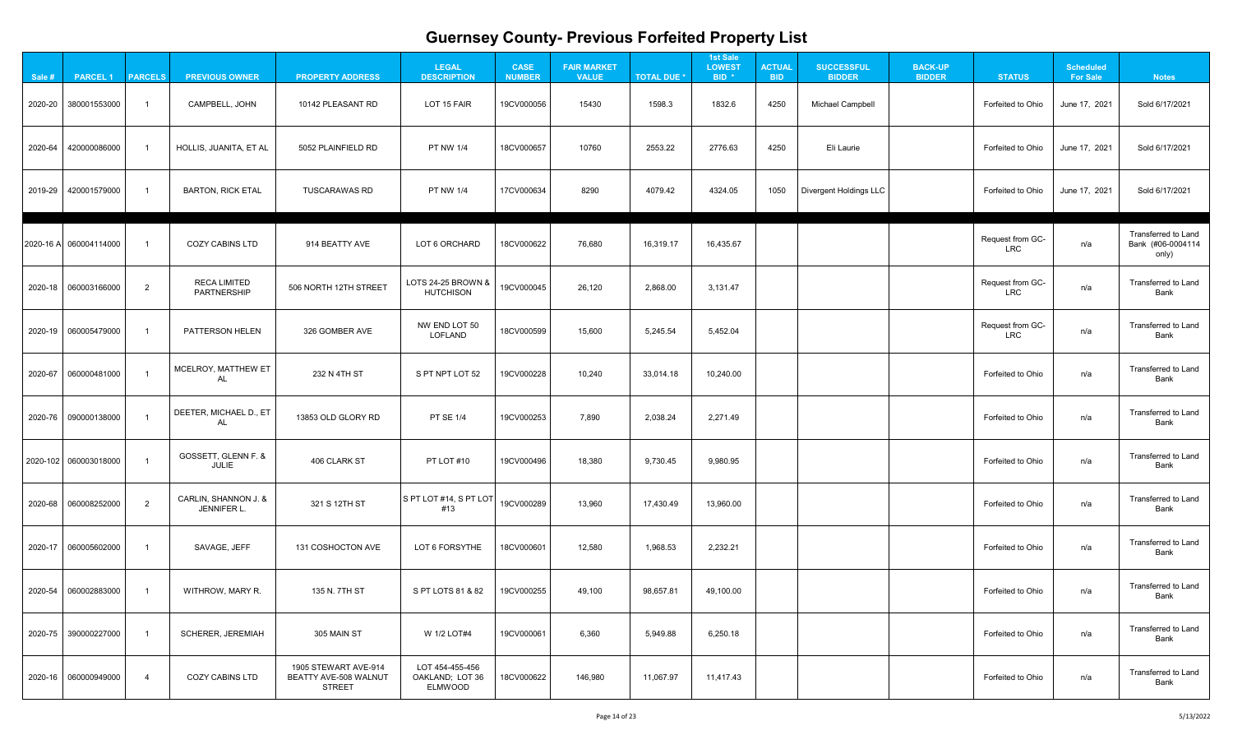| Sale #  | <b>PARCEL1</b>         | <b>PARCELS</b> | <b>PREVIOUS OWNER</b>                      | <b>PROPERTY ADDRESS</b>                                               | <b>LEGAL</b><br><b>DESCRIPTION</b>            | <b>CASE</b><br><b>NUMBER</b> | <b>FAIR MARKET</b><br><b>VALUE</b> | <b>TOTAL DUE *</b> | <b>1st Sale</b><br><b>LOWEST</b><br>BID <sup>*</sup> | <b>ACTUAL</b><br><b>BID</b> | <b>SUCCESSFUL</b><br><b>BIDDER</b> | <b>BACK-UP</b><br><b>BIDDER</b> | <b>STATUS</b>                  | <b>Scheduled</b><br><b>For Sale</b> | <b>Notes</b>                                      |
|---------|------------------------|----------------|--------------------------------------------|-----------------------------------------------------------------------|-----------------------------------------------|------------------------------|------------------------------------|--------------------|------------------------------------------------------|-----------------------------|------------------------------------|---------------------------------|--------------------------------|-------------------------------------|---------------------------------------------------|
| 2020-20 | 380001553000           |                | <b>CAMPBELL, JOHN</b>                      | 10142 PLEASANT RD                                                     | LOT 15 FAIR                                   | 19CV000056                   | 15430                              | 1598.3             | 1832.6                                               | 4250                        | <b>Michael Campbell</b>            |                                 | Forfeited to Ohio              | June 17, 2021                       | Sold 6/17/2021                                    |
|         | 2020-64 420000086000   |                | HOLLIS, JUANITA, ET AL                     | 5052 PLAINFIELD RD                                                    | <b>PT NW 1/4</b>                              | 18CV000657                   | 10760                              | 2553.22            | 2776.63                                              | 4250                        | Eli Laurie                         |                                 | Forfeited to Ohio              | June 17, 2021                       | Sold 6/17/2021                                    |
|         | 2019-29 420001579000   |                | <b>BARTON, RICK ETAL</b>                   | <b>TUSCARAWAS RD</b>                                                  | <b>PT NW 1/4</b>                              | 17CV000634                   | 8290                               | 4079.42            | 4324.05                                              | 1050                        | <b>Divergent Holdings LLC</b>      |                                 | Forfeited to Ohio              | June 17, 2021                       | Sold 6/17/2021                                    |
|         | 2020-16 A 060004114000 |                | <b>COZY CABINS LTD</b>                     | 914 BEATTY AVE                                                        | LOT 6 ORCHARD                                 | 18CV000622                   | 76,680                             | 16,319.17          | 16,435.67                                            |                             |                                    |                                 | Request from GC-<br><b>LRC</b> | n/a                                 | Transferred to Land<br>Bank (#06-0004114<br>only) |
|         | 2020-18 060003166000   | 2              | <b>RECA LIMITED</b><br><b>PARTNERSHIP</b>  | 506 NORTH 12TH STREET                                                 | LOTS 24-25 BROWN &<br><b>HUTCHISON</b>        | 19CV000045                   | 26,120                             | 2,868.00           | 3,131.47                                             |                             |                                    |                                 | Request from GC-<br><b>LRC</b> | n/a                                 | <b>Transferred to Land</b><br><b>Bank</b>         |
|         |                        |                | PATTERSON HELEN                            | 326 GOMBER AVE                                                        | NW END LOT 50<br>LOFLAND                      | 18CV000599                   | 15,600                             | 5,245.54           | 5,452.04                                             |                             |                                    |                                 | Request from GC-<br><b>LRC</b> | n/a                                 | <b>Transferred to Land</b><br><b>Bank</b>         |
|         | 2020-67 060000481000   |                | MCELROY, MATTHEW ET<br>AL                  | 232 N 4TH ST                                                          | S PT NPT LOT 52                               | 19CV000228                   | 10,240                             | 33,014.18          | 10,240.00                                            |                             |                                    |                                 | Forfeited to Ohio              | n/a                                 | <b>Transferred to Land</b><br><b>Bank</b>         |
|         | 2020-76 090000138000   |                | DEETER, MICHAEL D., ET<br>AL               | 13853 OLD GLORY RD                                                    | <b>PT SE 1/4</b>                              | 19CV000253                   | 7,890                              | 2,038.24           | 2,271.49                                             |                             |                                    |                                 | Forfeited to Ohio              | n/a                                 | <b>Transferred to Land</b><br><b>Bank</b>         |
|         | 2020-102 060003018000  |                | GOSSETT, GLENN F. &<br>JULIE               | 406 CLARK ST                                                          | PT LOT #10                                    | 19CV000496                   | 18,380                             | 9,730.45           | 9,980.95                                             |                             |                                    |                                 | Forfeited to Ohio              | n/a                                 | <b>Transferred to Land</b><br><b>Bank</b>         |
|         | 2020-68   060008252000 | $\overline{2}$ | CARLIN, SHANNON J. &<br><b>JENNIFER L.</b> | 321 S 12TH ST                                                         | $ S$ PT LOT #14, S PT LOT<br>#13              | 19CV000289                   | 13,960                             | 17,430.49          | 13,960.00                                            |                             |                                    |                                 | Forfeited to Ohio              | n/a                                 | <b>Transferred to Land</b><br><b>Bank</b>         |
|         | 2020-17   060005602000 |                | SAVAGE, JEFF                               | 131 COSHOCTON AVE                                                     | LOT 6 FORSYTHE                                | 18CV000601                   | 12,580                             | 1,968.53           | 2,232.21                                             |                             |                                    |                                 | Forfeited to Ohio              | n/a                                 | <b>Transferred to Land</b><br><b>Bank</b>         |
|         |                        |                | WITHROW, MARY R.                           | 135 N. 7TH ST                                                         | S PT LOTS 81 & 82                             | 19CV000255                   | 49,100                             | 98,657.81          | 49,100.00                                            |                             |                                    |                                 | Forfeited to Ohio              | n/a                                 | <b>Transferred to Land</b><br><b>Bank</b>         |
|         | 2020-75 390000227000   |                | <b>SCHERER, JEREMIAH</b>                   | 305 MAIN ST                                                           | W 1/2 LOT#4                                   | 19CV000061                   | 6,360                              | 5,949.88           | 6,250.18                                             |                             |                                    |                                 | Forfeited to Ohio              | n/a                                 | <b>Transferred to Land</b><br>Bank                |
|         |                        |                | <b>COZY CABINS LTD</b>                     | 1905 STEWART AVE-914<br><b>BEATTY AVE-508 WALNUT</b><br><b>STREET</b> | LOT 454-455-456<br>OAKLAND; LOT 36<br>ELMWOOD | 18CV000622                   | 146,980                            | 11,067.97          | 11,417.43                                            |                             |                                    |                                 | Forfeited to Ohio              | n/a                                 | <b>Transferred to Land</b><br><b>Bank</b>         |

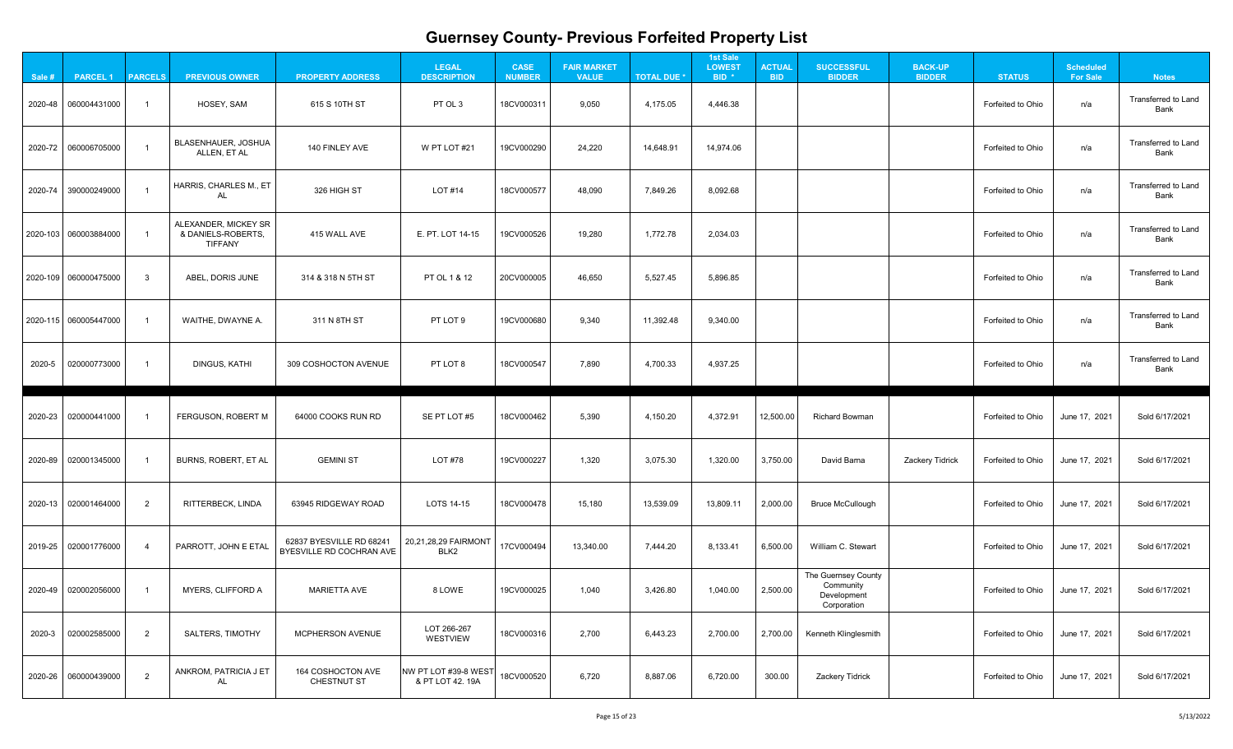| _and            |
|-----------------|
| _and            |
| _and            |
| _and            |
| _and            |
| _and            |
| _and            |
| 21              |
| 21              |
| $\overline{21}$ |
| 21              |
| 21              |
| 21              |
|                 |
|                 |

| Sale # | <b>PARCEL 1</b>                                                                     | <b>PARCELS</b> | <b>PREVIOUS OWNER</b>                                        | <b>PROPERTY ADDRESS</b>                              | <b>LEGAL</b><br><b>DESCRIPTION</b>       | <b>CASE</b><br><b>NUMBER</b> | <b>FAIR MARKET</b><br><b>VALUE</b> | <b>TOTAL DUE *</b> | <b>1st Sale</b><br><b>LOWEST</b><br>BID <sup>*</sup> | <b>ACTUAL</b><br><b>BID</b> | <b>SUCCESSFUL</b><br><b>BIDDER</b>                             | <b>BACK-UP</b><br><b>BIDDER</b> | <b>STATUS</b>     | <b>Scheduled</b><br><b>For Sale</b> | <b>Notes</b>                              |
|--------|-------------------------------------------------------------------------------------|----------------|--------------------------------------------------------------|------------------------------------------------------|------------------------------------------|------------------------------|------------------------------------|--------------------|------------------------------------------------------|-----------------------------|----------------------------------------------------------------|---------------------------------|-------------------|-------------------------------------|-------------------------------------------|
|        | $\begin{array}{ c c c c c c c c } \hline 2020-48 & 060004431000 \hline \end{array}$ |                | HOSEY, SAM                                                   | 615 S 10TH ST                                        | PT OL 3                                  | 18CV000311                   | 9,050                              | 4,175.05           | 4,446.38                                             |                             |                                                                |                                 | Forfeited to Ohio | n/a                                 | <b>Transferred to Land</b><br>Bank        |
|        | 2020-72 060006705000                                                                |                | <b>BLASENHAUER, JOSHUA</b><br>ALLEN, ET AL                   | 140 FINLEY AVE                                       | W PT LOT #21                             | 19CV000290                   | 24,220                             | 14,648.91          | 14,974.06                                            |                             |                                                                |                                 | Forfeited to Ohio | n/a                                 | <b>Transferred to Land</b><br>Bank        |
|        | 2020-74 390000249000                                                                |                | HARRIS, CHARLES M., ET<br>AL                                 | 326 HIGH ST                                          | <b>LOT #14</b>                           | 18CV000577                   | 48,090                             | 7,849.26           | 8,092.68                                             |                             |                                                                |                                 | Forfeited to Ohio | n/a                                 | <b>Transferred to Land</b><br>Bank        |
|        | 2020-103 060003884000                                                               |                | ALEXANDER, MICKEY SR<br>& DANIELS-ROBERTS,<br><b>TIFFANY</b> | 415 WALL AVE                                         | E. PT. LOT 14-15                         | 19CV000526                   | 19,280                             | 1,772.78           | 2,034.03                                             |                             |                                                                |                                 | Forfeited to Ohio | n/a                                 | <b>Transferred to Land</b><br><b>Bank</b> |
|        | 2020-109 060000475000                                                               | $\mathbf{3}$   | ABEL, DORIS JUNE                                             | 314 & 318 N 5TH ST                                   | PT OL 1 & 12                             | 20CV000005                   | 46,650                             | 5,527.45           | 5,896.85                                             |                             |                                                                |                                 | Forfeited to Ohio | n/a                                 | <b>Transferred to Land</b><br><b>Bank</b> |
|        | 2020-115 060005447000                                                               |                | WAITHE, DWAYNE A.                                            | 311 N 8TH ST                                         | PT LOT 9                                 | 19CV000680                   | 9,340                              | 11,392.48          | 9,340.00                                             |                             |                                                                |                                 | Forfeited to Ohio | n/a                                 | <b>Transferred to Land</b><br><b>Bank</b> |
| 2020-5 | 020000773000                                                                        |                | <b>DINGUS, KATHI</b>                                         | 309 COSHOCTON AVENUE                                 | PT LOT 8                                 | 18CV000547                   | 7,890                              | 4,700.33           | 4,937.25                                             |                             |                                                                |                                 | Forfeited to Ohio | n/a                                 | <b>Transferred to Land</b><br><b>Bank</b> |
|        | 2020-23 020000441000                                                                |                | FERGUSON, ROBERT M                                           | 64000 COOKS RUN RD                                   | SE PT LOT #5                             | 18CV000462                   | 5,390                              | 4,150.20           | 4,372.91                                             | 12,500.00                   | <b>Richard Bowman</b>                                          |                                 | Forfeited to Ohio | June 17, 2021                       | Sold 6/17/2021                            |
|        | 2020-89 020001345000                                                                |                | BURNS, ROBERT, ET AL                                         | <b>GEMINI ST</b>                                     | LOT #78                                  | 19CV000227                   | 1,320                              | 3,075.30           | 1,320.00                                             | 3,750.00                    | David Barna                                                    | Zackery Tidrick                 | Forfeited to Ohio | June 17, 2021                       | Sold 6/17/2021                            |
|        | 2020-13 020001464000                                                                | $\overline{2}$ | <b>RITTERBECK, LINDA</b>                                     | 63945 RIDGEWAY ROAD                                  | LOTS 14-15                               | 18CV000478                   | 15,180                             | 13,539.09          | 13,809.11                                            | 2,000.00                    | <b>Bruce McCullough</b>                                        |                                 | Forfeited to Ohio | June 17, 2021                       | Sold 6/17/2021                            |
|        | 2019-25 020001776000                                                                |                | PARROTT, JOHN E ETAL                                         | 62837 BYESVILLE RD 68241<br>BYESVILLE RD COCHRAN AVE | 20,21,28,29 FAIRMONT<br>BLK2             | 17CV000494                   | 13,340.00                          | 7,444.20           | 8,133.41                                             | 6,500.00                    | William C. Stewart                                             |                                 | Forfeited to Ohio | June 17, 2021                       | Sold 6/17/2021                            |
|        | 2020-49 020002056000                                                                |                | MYERS, CLIFFORD A                                            | <b>MARIETTA AVE</b>                                  | 8 LOWE                                   | 19CV000025                   | 1,040                              | 3,426.80           | 1,040.00                                             | 2,500.00                    | The Guernsey County<br>Community<br>Development<br>Corporation |                                 | Forfeited to Ohio | June 17, 2021                       | Sold 6/17/2021                            |
| 2020-3 | 020002585000                                                                        | $\overline{2}$ | <b>SALTERS, TIMOTHY</b>                                      | <b>MCPHERSON AVENUE</b>                              | LOT 266-267<br><b>WESTVIEW</b>           | 18CV000316                   | 2,700                              | 6,443.23           | 2,700.00                                             | 2,700.00                    | Kenneth Klinglesmith                                           |                                 | Forfeited to Ohio | June 17, 2021                       | Sold 6/17/2021                            |
|        | 2020-26 060000439000                                                                | $\overline{2}$ | ANKROM, PATRICIA J ET<br>AL                                  | 164 COSHOCTON AVE<br><b>CHESTNUT ST</b>              | NW PT LOT #39-8 WEST<br>& PT LOT 42. 19A | 18CV000520                   | 6,720                              | 8,887.06           | 6,720.00                                             | 300.00                      | <b>Zackery Tidrick</b>                                         |                                 | Forfeited to Ohio | June 17, 2021                       | Sold 6/17/2021                            |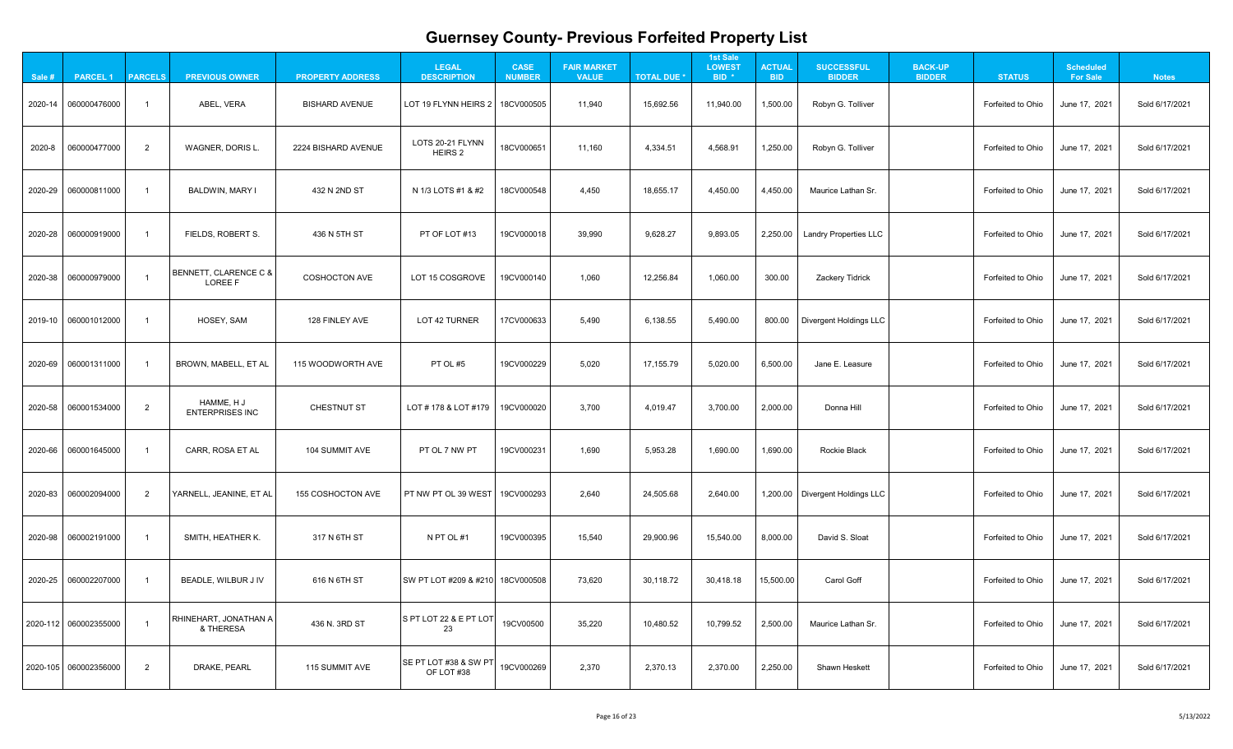| $\mathbf{A}$                                         |  |
|------------------------------------------------------|--|
| 1<br>֧֧֧֧֧֧ׅ֧֚֚֚֚֚֚֚֚֚֚֚֚֚֚֚֚֚֚֚֚֚֚֚֚֚֚֚֚֚֚֚֚֚֚֝֓֝֜֜ |  |
| 21                                                   |  |
| 1<br>?                                               |  |
| 1<br>l                                               |  |
|                                                      |  |
| 21                                                   |  |
| 21                                                   |  |
| 21                                                   |  |
| 21                                                   |  |
| 21                                                   |  |
| $\overline{21}$                                      |  |
| 1<br>2                                               |  |
| 1<br>י                                               |  |

| Sale # | <b>PARCEL 1</b>                       | <b>PARCELS</b> | <b>PREVIOUS OWNER</b>                | <b>PROPERTY ADDRESS</b>  | <b>LEGAL</b><br><b>DESCRIPTION</b>  | <b>CASE</b><br><b>NUMBER</b> | <b>FAIR MARKET</b><br><b>VALUE</b> | <b>TOTAL DUE *</b> | <b>1st Sale</b><br><b>LOWEST</b><br>BID <sup>*</sup> | <b>ACTUAL</b><br><b>BID</b> | <b>SUCCESSFUL</b><br><b>BIDDER</b> | <b>BACK-UP</b><br><b>BIDDER</b> | <b>STATUS</b>     | <b>Scheduled</b><br><b>For Sale</b> | <b>Notes</b>   |
|--------|---------------------------------------|----------------|--------------------------------------|--------------------------|-------------------------------------|------------------------------|------------------------------------|--------------------|------------------------------------------------------|-----------------------------|------------------------------------|---------------------------------|-------------------|-------------------------------------|----------------|
|        | 2020-14 060000476000                  |                | ABEL, VERA                           | <b>BISHARD AVENUE</b>    | LOT 19 FLYNN HEIRS 2                | 18CV000505                   | 11,940                             | 15,692.56          | 11,940.00                                            | 1,500.00                    | Robyn G. Tolliver                  |                                 | Forfeited to Ohio | June 17, 2021                       | Sold 6/17/2021 |
| 2020-8 | 060000477000                          | $\overline{2}$ | <b>WAGNER, DORIS L.</b>              | 2224 BISHARD AVENUE      | LOTS 20-21 FLYNN<br>HEIRS 2         | 18CV000651                   | 11,160                             | 4,334.51           | 4,568.91                                             | 1,250.00                    | Robyn G. Tolliver                  |                                 | Forfeited to Ohio | June 17, 2021                       | Sold 6/17/2021 |
|        | 2020-29 060000811000                  |                | <b>BALDWIN, MARY I</b>               | 432 N 2ND ST             | N 1/3 LOTS #1 & #2                  | 18CV000548                   | 4,450                              | 18,655.17          | 4,450.00                                             | 4,450.00                    | Maurice Lathan Sr.                 |                                 | Forfeited to Ohio | June 17, 2021                       | Sold 6/17/2021 |
|        | 2020-28 060000919000                  |                | FIELDS, ROBERT S.                    | 436 N 5TH ST             | PT OF LOT #13                       | 19CV000018                   | 39,990                             | 9,628.27           | 9,893.05                                             | 2,250.00                    | Landry Properties LLC              |                                 | Forfeited to Ohio | June 17, 2021                       | Sold 6/17/2021 |
|        | 2020-38 060000979000                  |                | BENNETT, CLARENCE C &<br>LOREE F     | <b>COSHOCTON AVE</b>     | LOT 15 COSGROVE                     | 19CV000140                   | 1,060                              | 12,256.84          | 1,060.00                                             | 300.00                      | <b>Zackery Tidrick</b>             |                                 | Forfeited to Ohio | June 17, 2021                       | Sold 6/17/2021 |
|        | 2019-10 060001012000                  |                | HOSEY, SAM                           | 128 FINLEY AVE           | LOT 42 TURNER                       | 17CV000633                   | 5,490                              | 6,138.55           | 5,490.00                                             | 800.00                      | Divergent Holdings LLC             |                                 | Forfeited to Ohio | June 17, 2021                       | Sold 6/17/2021 |
|        |                                       |                | BROWN, MABELL, ET AL                 | 115 WOODWORTH AVE        | PT OL #5                            | 19CV000229                   | 5,020                              | 17,155.79          | 5,020.00                                             | 6,500.00                    | Jane E. Leasure                    |                                 | Forfeited to Ohio | June 17, 2021                       | Sold 6/17/2021 |
|        | 2020-58 060001534000                  | 2              | HAMME, H J<br><b>ENTERPRISES INC</b> | CHESTNUT ST              | LOT # 178 & LOT #179                | 19CV000020                   | 3,700                              | 4,019.47           | 3,700.00                                             | 2,000.00                    | Donna Hill                         |                                 | Forfeited to Ohio | June 17, 2021                       | Sold 6/17/2021 |
|        |                                       |                | CARR, ROSA ET AL                     | 104 SUMMIT AVE           | PT OL 7 NW PT                       | 19CV000231                   | 1,690                              | 5,953.28           | 1,690.00                                             | 1,690.00                    | <b>Rockie Black</b>                |                                 | Forfeited to Ohio | June 17, 2021                       | Sold 6/17/2021 |
|        | 2020-83 060002094000                  | $\overline{2}$ | YARNELL, JEANINE, ET AL              | <b>155 COSHOCTON AVE</b> | <b>PT NW PT OL 39 WEST</b>          | 19CV000293                   | 2,640                              | 24,505.68          | 2,640.00                                             |                             | 1,200.00   Divergent Holdings LLC  |                                 | Forfeited to Ohio | June 17, 2021                       | Sold 6/17/2021 |
|        | 2020-98 060002191000                  |                | SMITH, HEATHER K.                    | 317 N 6TH ST             | N PT OL #1                          | 19CV000395                   | 15,540                             | 29,900.96          | 15,540.00                                            | 8,000.00                    | David S. Sloat                     |                                 | Forfeited to Ohio | June 17, 2021                       | Sold 6/17/2021 |
|        | 2020-25 060002207000                  |                | <b>BEADLE, WILBUR JIV</b>            | 616 N 6TH ST             | SW PT LOT #209 & #210   18CV000508  |                              | 73,620                             | 30,118.72          | 30,418.18                                            | 15,500.00                   | <b>Carol Goff</b>                  |                                 | Forfeited to Ohio | June 17, 2021                       | Sold 6/17/2021 |
|        | $\vert$ 2020-112 $\vert$ 060002355000 |                | RHINEHART, JONATHAN A<br>& THERESA   | 436 N. 3RD ST            | S PT LOT 22 & E PT LOT<br>23        | 19CV00500                    | 35,220                             | 10,480.52          | 10,799.52                                            | 2,500.00                    | Maurice Lathan Sr.                 |                                 | Forfeited to Ohio | June 17, 2021                       | Sold 6/17/2021 |
|        | 2020-105 060002356000                 | $\overline{2}$ | DRAKE, PEARL                         | 115 SUMMIT AVE           | SE PT LOT #38 & SW PT<br>OF LOT #38 | 19CV000269                   | 2,370                              | 2,370.13           | 2,370.00                                             | 2,250.00                    | <b>Shawn Heskett</b>               |                                 | Forfeited to Ohio | June 17, 2021                       | Sold 6/17/2021 |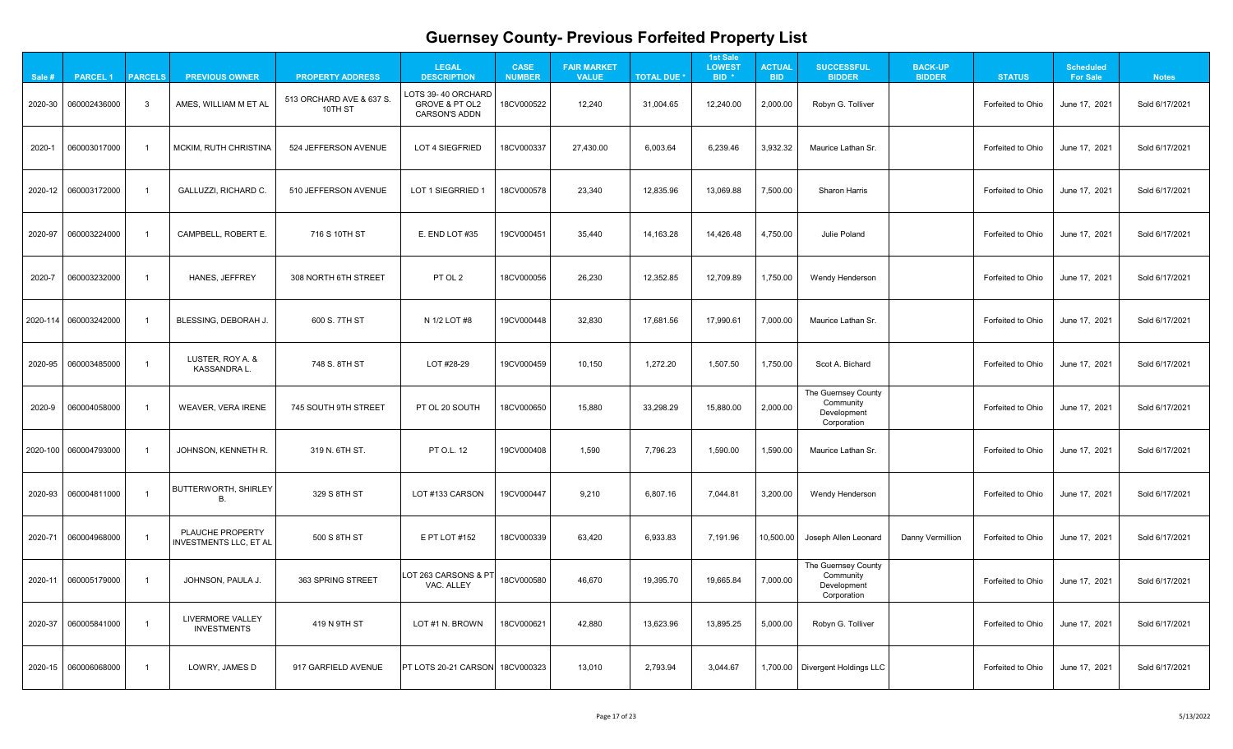| $\mathbf{A}$                                         |  |
|------------------------------------------------------|--|
| 1<br>֧֧֧֧֧֧ׅ֧֚֚֚֚֚֚֚֚֚֚֚֚֚֚֚֚֚֚֚֚֚֚֚֚֚֚֚֚֚֚֚֚֚֚֝֓֝֜֜ |  |
| 21                                                   |  |
| 1<br>?                                               |  |
| 1<br>l                                               |  |
|                                                      |  |
| 21                                                   |  |
| 21                                                   |  |
| 21                                                   |  |
| 21                                                   |  |
| 21                                                   |  |
| $\overline{21}$                                      |  |
| 1<br>2                                               |  |
| 1<br>י                                               |  |

| Sale # | <b>PARCEL 1</b>       | <b>PARCELS</b> | <b>PREVIOUS OWNER</b>                             | <b>PROPERTY ADDRESS</b>             | <b>LEGAL</b><br><b>DESCRIPTION</b>                                      | <b>CASE</b><br><b>NUMBER</b> | <b>FAIR MARKET</b><br><b>VALUE</b> | <b>TOTAL DUE *</b> | <b>1st Sale</b><br><b>LOWEST</b><br>BID <sup>*</sup> | <b>ACTUAL</b><br><b>BID</b> | <b>SUCCESSFUL</b><br><b>BIDDER</b>                             | <b>BACK-UP</b><br><b>BIDDER</b> | <b>STATUS</b>     | <b>Scheduled</b><br><b>For Sale</b> | <b>Notes</b>   |
|--------|-----------------------|----------------|---------------------------------------------------|-------------------------------------|-------------------------------------------------------------------------|------------------------------|------------------------------------|--------------------|------------------------------------------------------|-----------------------------|----------------------------------------------------------------|---------------------------------|-------------------|-------------------------------------|----------------|
|        | 2020-30 060002436000  | - 3            | AMES, WILLIAM M ET AL                             | 513 ORCHARD AVE & 637 S.<br>10TH ST | LOTS 39-40 ORCHARD<br><b>GROVE &amp; PT OL2</b><br><b>CARSON'S ADDN</b> | 18CV000522                   | 12,240                             | 31,004.65          | 12,240.00                                            | 2,000.00                    | Robyn G. Tolliver                                              |                                 | Forfeited to Ohio | June 17, 2021                       | Sold 6/17/2021 |
| 2020-1 | 060003017000          |                | <b>MCKIM, RUTH CHRISTINA</b>                      | 524 JEFFERSON AVENUE                | LOT 4 SIEGFRIED                                                         | 18CV000337                   | 27,430.00                          | 6,003.64           | 6,239.46                                             | 3,932.32                    | Maurice Lathan Sr.                                             |                                 | Forfeited to Ohio | June 17, 2021                       | Sold 6/17/2021 |
|        | 2020-12 060003172000  |                | <b>GALLUZZI, RICHARD C.</b>                       | 510 JEFFERSON AVENUE                | LOT 1 SIEGRRIED 1                                                       | 18CV000578                   | 23,340                             | 12,835.96          | 13,069.88                                            | 7,500.00                    | <b>Sharon Harris</b>                                           |                                 | Forfeited to Ohio | June 17, 2021                       | Sold 6/17/2021 |
|        | 2020-97 060003224000  |                | <b>CAMPBELL, ROBERT E.</b>                        | 716 S 10TH ST                       | E. END LOT #35                                                          | 19CV000451                   | 35,440                             | 14,163.28          | 14,426.48                                            | 4,750.00                    | <b>Julie Poland</b>                                            |                                 | Forfeited to Ohio | June 17, 2021                       | Sold 6/17/2021 |
| 2020-7 | 060003232000          |                | <b>HANES, JEFFREY</b>                             | 308 NORTH 6TH STREET                | PT OL 2                                                                 | 18CV000056                   | 26,230                             | 12,352.85          | 12,709.89                                            | 1,750.00                    | Wendy Henderson                                                |                                 | Forfeited to Ohio | June 17, 2021                       | Sold 6/17/2021 |
|        | 2020-114 060003242000 |                | BLESSING, DEBORAH J.                              | 600 S. 7TH ST                       | N 1/2 LOT #8                                                            | 19CV000448                   | 32,830                             | 17,681.56          | 17,990.61                                            | 7,000.00                    | Maurice Lathan Sr.                                             |                                 | Forfeited to Ohio | June 17, 2021                       | Sold 6/17/2021 |
|        | 2020-95 060003485000  |                | LUSTER, ROY A. &<br><b>KASSANDRA L.</b>           | 748 S. 8TH ST                       | LOT #28-29                                                              | 19CV000459                   | 10,150                             | 1,272.20           | 1,507.50                                             | 1,750.00                    | Scot A. Bichard                                                |                                 | Forfeited to Ohio | June 17, 2021                       | Sold 6/17/2021 |
| 2020-9 | 060004058000          |                | WEAVER, VERA IRENE                                | 745 SOUTH 9TH STREET                | PT OL 20 SOUTH                                                          | 18CV000650                   | 15,880                             | 33,298.29          | 15,880.00                                            | 2,000.00                    | The Guernsey County<br>Community<br>Development<br>Corporation |                                 | Forfeited to Ohio | June 17, 2021                       | Sold 6/17/2021 |
|        | 2020-100 060004793000 |                | JOHNSON, KENNETH R.                               | 319 N. 6TH ST.                      | <b>PT O.L. 12</b>                                                       | 19CV000408                   | 1,590                              | 7,796.23           | 1,590.00                                             | 1,590.00                    | Maurice Lathan Sr.                                             |                                 | Forfeited to Ohio | June 17, 2021                       | Sold 6/17/2021 |
|        | 2020-93 060004811000  |                | <b>BUTTERWORTH, SHIRLEY</b><br>В.                 | 329 S 8TH ST                        | LOT #133 CARSON                                                         | 19CV000447                   | 9,210                              | 6,807.16           | 7,044.81                                             | 3,200.00                    | Wendy Henderson                                                |                                 | Forfeited to Ohio | June 17, 2021                       | Sold 6/17/2021 |
|        | 2020-71 060004968000  |                | PLAUCHE PROPERTY<br><b>INVESTMENTS LLC, ET AL</b> | 500 S 8TH ST                        | E PT LOT #152                                                           | 18CV000339                   | 63,420                             | 6,933.83           | 7,191.96                                             | 10,500.00                   | Joseph Allen Leonard                                           | Danny Vermillion                | Forfeited to Ohio | June 17, 2021                       | Sold 6/17/2021 |
|        | 2020-11 060005179000  |                | JOHNSON, PAULA J.                                 | 363 SPRING STREET                   | LOT 263 CARSONS & PT<br>VAC. ALLEY                                      | 18CV000580                   | 46,670                             | 19,395.70          | 19,665.84                                            | 7,000.00                    | The Guernsey County<br>Community<br>Development<br>Corporation |                                 | Forfeited to Ohio | June 17, 2021                       | Sold 6/17/2021 |
|        | 2020-37 060005841000  |                | <b>LIVERMORE VALLEY</b><br><b>INVESTMENTS</b>     | 419 N 9TH ST                        | LOT #1 N. BROWN                                                         | 18CV000621                   | 42,880                             | 13,623.96          | 13,895.25                                            | 5,000.00                    | Robyn G. Tolliver                                              |                                 | Forfeited to Ohio | June 17, 2021                       | Sold 6/17/2021 |
|        |                       |                | LOWRY, JAMES D                                    | 917 GARFIELD AVENUE                 | <b>PT LOTS 20-21 CARSON 18CV000323</b>                                  |                              | 13,010                             | 2,793.94           | 3,044.67                                             |                             | 1,700.00   Divergent Holdings LLC                              |                                 | Forfeited to Ohio | June 17, 2021                       | Sold 6/17/2021 |
|        |                       |                |                                                   |                                     |                                                                         |                              |                                    |                    |                                                      |                             |                                                                |                                 |                   |                                     |                |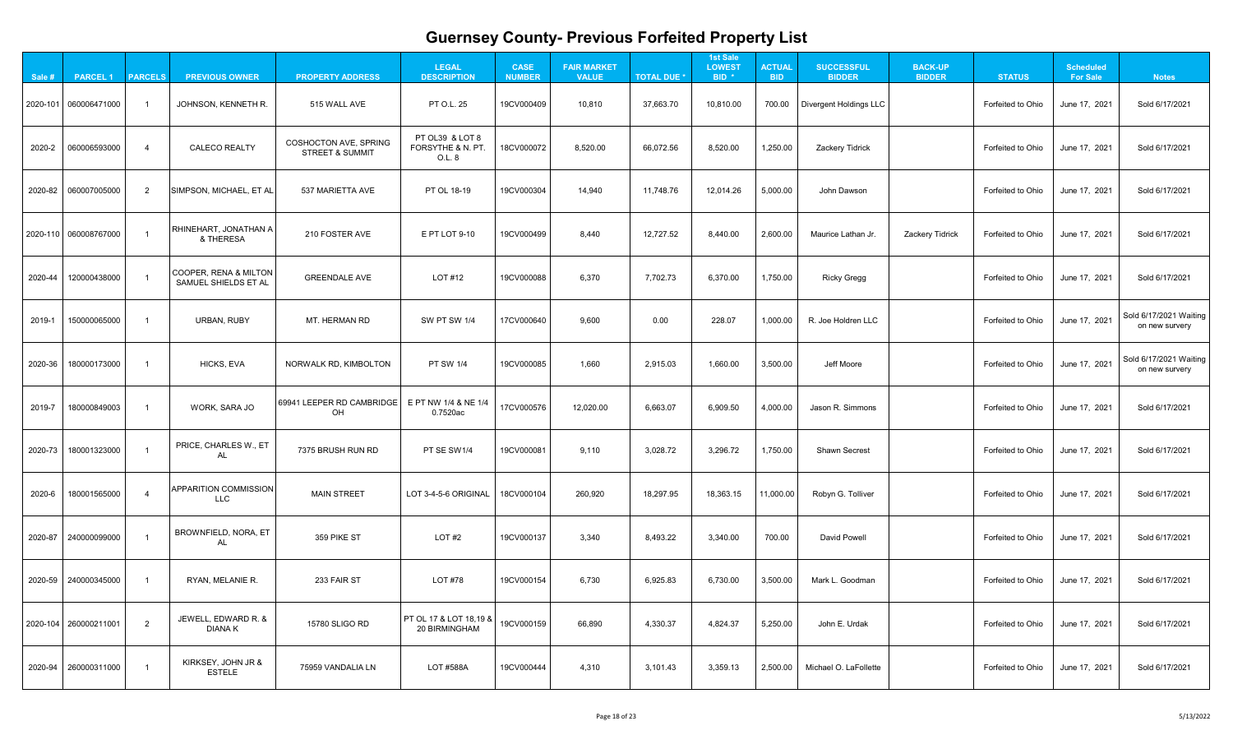| 21                  |
|---------------------|
| 21                  |
| 21                  |
| 21                  |
| 21                  |
| Vaiting<br>ery      |
| Vaiting<br>ery      |
| $\overline{21}$     |
| 21                  |
| 21                  |
| 21                  |
| 21                  |
| 2 <sup>1</sup><br>1 |
| 1                   |

| Sale #  | <b>PARCEL1</b>          | <b>PARCELS</b> | <b>PREVIOUS OWNER</b>                                | <b>PROPERTY ADDRESS</b>                                    | <b>LEGAL</b><br><b>DESCRIPTION</b>             | <b>CASE</b><br><b>NUMBER</b> | <b>FAIR MARKET</b><br><b>VALUE</b> | <b>TOTAL DUE *</b> | <b>1st Sale</b><br><b>LOWEST</b><br>BID <sup>*</sup> | <b>ACTUAL</b><br><b>BID</b> | <b>SUCCESSFUL</b><br><b>BIDDER</b> | <b>BACK-UP</b><br><b>BIDDER</b> | <b>STATUS</b>     | <b>Scheduled</b><br><b>For Sale</b> | <b>Notes</b>                             |
|---------|-------------------------|----------------|------------------------------------------------------|------------------------------------------------------------|------------------------------------------------|------------------------------|------------------------------------|--------------------|------------------------------------------------------|-----------------------------|------------------------------------|---------------------------------|-------------------|-------------------------------------|------------------------------------------|
|         | 2020-101 060006471000   |                | JOHNSON, KENNETH R.                                  | 515 WALL AVE                                               | <b>PT O.L. 25</b>                              | 19CV000409                   | 10,810                             | 37,663.70          | 10,810.00                                            | 700.00                      | Divergent Holdings LLC             |                                 | Forfeited to Ohio | June 17, 2021                       | Sold 6/17/2021                           |
| 2020-2  | 060006593000            |                | <b>CALECO REALTY</b>                                 | <b>COSHOCTON AVE, SPRING</b><br><b>STREET &amp; SUMMIT</b> | PT OL39 & LOT 8<br>FORSYTHE & N. PT.<br>O.L. 8 | 18CV000072                   | 8,520.00                           | 66,072.56          | 8,520.00                                             | 1,250.00                    | Zackery Tidrick                    |                                 | Forfeited to Ohio | June 17, 2021                       | Sold 6/17/2021                           |
|         | 2020-82 060007005000    |                | SIMPSON, MICHAEL, ET AL                              | 537 MARIETTA AVE                                           | PT OL 18-19                                    | 19CV000304                   | 14,940                             | 11,748.76          | 12,014.26                                            | 5,000.00                    | John Dawson                        |                                 | Forfeited to Ohio | June 17, 2021                       | Sold 6/17/2021                           |
|         | 2020-110 060008767000   |                | RHINEHART, JONATHAN A<br>& THERESA                   | 210 FOSTER AVE                                             | E PT LOT 9-10                                  | 19CV000499                   | 8,440                              | 12,727.52          | 8,440.00                                             | 2,600.00                    | Maurice Lathan Jr.                 | Zackery Tidrick                 | Forfeited to Ohio | June 17, 2021                       | Sold 6/17/2021                           |
| 2020-44 | 120000438000            |                | COOPER, RENA & MILTON<br><b>SAMUEL SHIELDS ET AL</b> | <b>GREENDALE AVE</b>                                       | LOT #12                                        | 19CV000088                   | 6,370                              | 7,702.73           | 6,370.00                                             | 1,750.00                    | <b>Ricky Gregg</b>                 |                                 | Forfeited to Ohio | June 17, 2021                       | Sold 6/17/2021                           |
| 2019-1  | 150000065000            |                | URBAN, RUBY                                          | MT. HERMAN RD                                              | <b>SW PT SW 1/4</b>                            | 17CV000640                   | 9,600                              | 0.00               | 228.07                                               | 1,000.00                    | R. Joe Holdren LLC                 |                                 | Forfeited to Ohio | June 17, 2021                       | Sold 6/17/2021 Waiting<br>on new survery |
| 2020-36 | 180000173000            |                | HICKS, EVA                                           | NORWALK RD, KIMBOLTON                                      | <b>PT SW 1/4</b>                               | 19CV000085                   | 1,660                              | 2,915.03           | 1,660.00                                             | 3,500.00                    | Jeff Moore                         |                                 | Forfeited to Ohio | June 17, 2021                       | Sold 6/17/2021 Waiting<br>on new survery |
| 2019-7  | 180000849003            |                | WORK, SARA JO                                        | 69941 LEEPER RD CAMBRIDGE<br>OH                            | E PT NW 1/4 & NE 1/4<br>0.7520ac               | 17CV000576                   | 12,020.00                          | 6,663.07           | 6,909.50                                             | 4,000.00                    | Jason R. Simmons                   |                                 | Forfeited to Ohio | June 17, 2021                       | Sold 6/17/2021                           |
| 2020-73 | 180001323000            |                | PRICE, CHARLES W., ET<br><b>AL</b>                   | 7375 BRUSH RUN RD                                          | PT SE SW1/4                                    | 19CV000081                   | 9,110                              | 3,028.72           | 3,296.72                                             | 1,750.00                    | <b>Shawn Secrest</b>               |                                 | Forfeited to Ohio | June 17, 2021                       | Sold 6/17/2021                           |
| 2020-6  | 180001565000            |                | <b>APPARITION COMMISSION</b><br><b>LLC</b>           | <b>MAIN STREET</b>                                         | LOT 3-4-5-6 ORIGINAL                           | 18CV000104                   | 260,920                            | 18,297.95          | 18,363.15                                            | 11,000.00                   | Robyn G. Tolliver                  |                                 | Forfeited to Ohio | June 17, 2021                       | Sold 6/17/2021                           |
| 2020-87 | 240000099000            |                | BROWNFIELD, NORA, ET<br><b>AL</b>                    | 359 PIKE ST                                                | LOT #2                                         | 19CV000137                   | 3,340                              | 8,493.22           | 3,340.00                                             | 700.00                      | <b>David Powell</b>                |                                 | Forfeited to Ohio | June 17, 2021                       | Sold 6/17/2021                           |
|         | 2020-59 240000345000    |                | RYAN, MELANIE R.                                     | 233 FAIR ST                                                | <b>LOT #78</b>                                 | 19CV000154                   | 6,730                              | 6,925.83           | 6,730.00                                             | 3,500.00                    | Mark L. Goodman                    |                                 | Forfeited to Ohio | June 17, 2021                       | Sold 6/17/2021                           |
|         | 2020-104   260000211001 | 2              | JEWELL, EDWARD R. &<br><b>DIANAK</b>                 | 15780 SLIGO RD                                             | PT OL 17 & LOT 18,19 & !<br>20 BIRMINGHAM      | 19CV000159                   | 66,890                             | 4,330.37           | 4,824.37                                             | 5,250.00                    | John E. Urdak                      |                                 | Forfeited to Ohio | June 17, 2021                       | Sold 6/17/2021                           |
|         | 2020-94 260000311000    |                | KIRKSEY, JOHN JR &<br><b>ESTELE</b>                  | 75959 VANDALIA LN                                          | LOT #588A                                      | 19CV000444                   | 4,310                              | 3,101.43           | 3,359.13                                             | 2,500.00                    | Michael O. LaFollette              |                                 | Forfeited to Ohio | June 17, 2021                       | Sold 6/17/2021                           |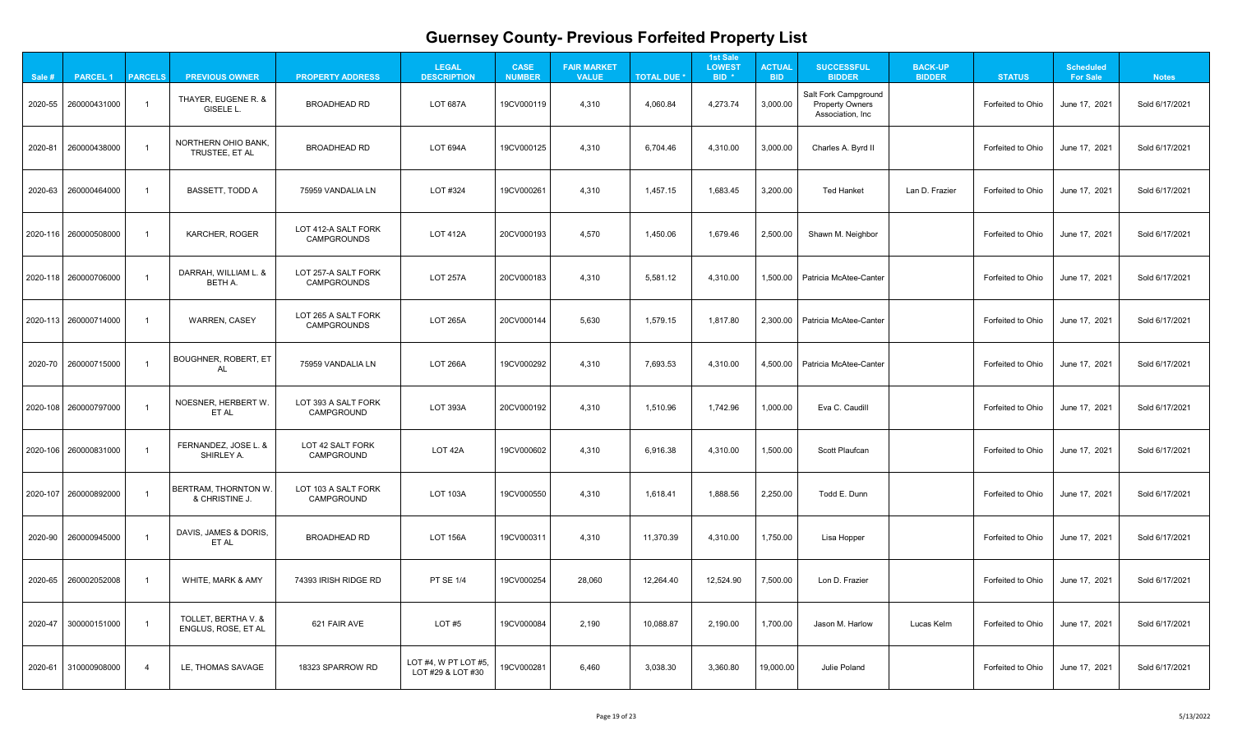| 21                    |
|-----------------------|
| 21                    |
| 21                    |
| 21                    |
| $\overline{.}1$<br>٢  |
|                       |
| 21                    |
| 21                    |
| 21                    |
| 21                    |
| 21                    |
| 21                    |
| 21                    |
| Ź<br>$\overline{2}$ 1 |
|                       |

| Sale # | <b>PARCEL 1</b>         | <b>PARCELS</b> | <b>PREVIOUS OWNER</b>                        | <b>PROPERTY ADDRESS</b>                   | <b>LEGAL</b><br><b>DESCRIPTION</b>              | <b>CASE</b><br><b>NUMBER</b> | <b>FAIR MARKET</b><br><b>VALUE</b> | <b>TOTAL DUE *</b> | <b>1st Sale</b><br><b>LOWEST</b><br>BID <sup>*</sup> | <b>ACTUAL</b><br><b>BID</b> | <b>SUCCESSFUL</b><br><b>BIDDER</b>                                        | <b>BACK-UP</b><br><b>BIDDER</b> | <b>STATUS</b>     | <b>Scheduled</b><br><b>For Sale</b> | <b>Notes</b>   |
|--------|-------------------------|----------------|----------------------------------------------|-------------------------------------------|-------------------------------------------------|------------------------------|------------------------------------|--------------------|------------------------------------------------------|-----------------------------|---------------------------------------------------------------------------|---------------------------------|-------------------|-------------------------------------|----------------|
|        | 2020-55 260000431000    |                | THAYER, EUGENE R. &<br>GISELE L.             | <b>BROADHEAD RD</b>                       | <b>LOT 687A</b>                                 | 19CV000119                   | 4,310                              | 4,060.84           | 4,273.74                                             | 3,000.00                    | <b>Salt Fork Campground</b><br><b>Property Owners</b><br>Association, Inc |                                 | Forfeited to Ohio | June 17, 2021                       | Sold 6/17/2021 |
|        | 2020-81 260000438000    |                | <b>NORTHERN OHIO BANK,</b><br>TRUSTEE, ET AL | <b>BROADHEAD RD</b>                       | <b>LOT 694A</b>                                 | 19CV000125                   | 4,310                              | 6,704.46           | 4,310.00                                             | 3,000.00                    | Charles A. Byrd II                                                        |                                 | Forfeited to Ohio | June 17, 2021                       | Sold 6/17/2021 |
|        | 2020-63 260000464000    |                | <b>BASSETT, TODD A</b>                       | 75959 VANDALIA LN                         | LOT #324                                        | 19CV000261                   | 4,310                              | 1,457.15           | 1,683.45                                             | 3,200.00                    | <b>Ted Hanket</b>                                                         | Lan D. Frazier                  | Forfeited to Ohio | June 17, 2021                       | Sold 6/17/2021 |
|        | 2020-116 260000508000   |                | <b>KARCHER, ROGER</b>                        | LOT 412-A SALT FORK<br><b>CAMPGROUNDS</b> | <b>LOT 412A</b>                                 | 20CV000193                   | 4,570                              | 1,450.06           | 1,679.46                                             | 2,500.00                    | Shawn M. Neighbor                                                         |                                 | Forfeited to Ohio | June 17, 2021                       | Sold 6/17/2021 |
|        | 2020-118 260000706000   |                | DARRAH, WILLIAM L. &<br><b>BETH A.</b>       | LOT 257-A SALT FORK<br><b>CAMPGROUNDS</b> | <b>LOT 257A</b>                                 | 20CV000183                   | 4,310                              | 5,581.12           | 4,310.00                                             |                             | 1,500.00   Patricia McAtee-Canter                                         |                                 | Forfeited to Ohio | June 17, 2021                       | Sold 6/17/2021 |
|        | 2020-113 260000714000   |                | <b>WARREN, CASEY</b>                         | LOT 265 A SALT FORK<br>CAMPGROUNDS        | <b>LOT 265A</b>                                 | 20CV000144                   | 5,630                              | 1,579.15           | 1,817.80                                             |                             | 2,300.00   Patricia McAtee-Canter                                         |                                 | Forfeited to Ohio | June 17, 2021                       | Sold 6/17/2021 |
|        | 2020-70 260000715000    |                | <b>BOUGHNER, ROBERT, ET</b>                  | 75959 VANDALIA LN                         | <b>LOT 266A</b>                                 | 19CV000292                   | 4,310                              | 7,693.53           | 4,310.00                                             |                             | 4,500.00   Patricia McAtee-Canter                                         |                                 | Forfeited to Ohio | June 17, 2021                       | Sold 6/17/2021 |
|        | 2020-108 260000797000   |                | NOESNER, HERBERT W.<br>ET AL                 | LOT 393 A SALT FORK<br><b>CAMPGROUND</b>  | <b>LOT 393A</b>                                 | 20CV000192                   | 4,310                              | 1,510.96           | 1,742.96                                             | 1,000.00                    | Eva C. Caudill                                                            |                                 | Forfeited to Ohio | June 17, 2021                       | Sold 6/17/2021 |
|        | 2020-106   260000831000 |                | FERNANDEZ, JOSE L. &<br><b>SHIRLEY A.</b>    | LOT 42 SALT FORK<br><b>CAMPGROUND</b>     | LOT 42A                                         | 19CV000602                   | 4,310                              | 6,916.38           | 4,310.00                                             | 1,500.00                    | <b>Scott Plaufcan</b>                                                     |                                 | Forfeited to Ohio | June 17, 2021                       | Sold 6/17/2021 |
|        | 2020-107 260000892000   |                | BERTRAM, THORNTON W.<br>& CHRISTINE J.       | LOT 103 A SALT FORK<br>CAMPGROUND         | <b>LOT 103A</b>                                 | 19CV000550                   | 4,310                              | 1,618.41           | 1,888.56                                             | 2,250.00                    | Todd E. Dunn                                                              |                                 | Forfeited to Ohio | June 17, 2021                       | Sold 6/17/2021 |
|        | 2020-90 260000945000    |                | DAVIS, JAMES & DORIS,<br>ET AL               | <b>BROADHEAD RD</b>                       | <b>LOT 156A</b>                                 | 19CV000311                   | 4,310                              | 11,370.39          | 4,310.00                                             | 1,750.00                    | Lisa Hopper                                                               |                                 | Forfeited to Ohio | June 17, 2021                       | Sold 6/17/2021 |
|        | 2020-65 260002052008    |                | <b>WHITE, MARK &amp; AMY</b>                 | 74393 IRISH RIDGE RD                      | <b>PT SE 1/4</b>                                | 19CV000254                   | 28,060                             | 12,264.40          | 12,524.90                                            | 7,500.00                    | Lon D. Frazier                                                            |                                 | Forfeited to Ohio | June 17, 2021                       | Sold 6/17/2021 |
|        | 2020-47 300000151000    |                | TOLLET, BERTHA V. &<br>ENGLUS, ROSE, ET AL   | 621 FAIR AVE                              | LOT#5                                           | 19CV000084                   | 2,190                              | 10,088.87          | 2,190.00                                             | 1,700.00                    | Jason M. Harlow                                                           | Lucas Kelm                      | Forfeited to Ohio | June 17, 2021                       | Sold 6/17/2021 |
|        | 2020-61 310000908000    |                | LE, THOMAS SAVAGE                            | 18323 SPARROW RD                          | LOT $#4$ , W PT LOT $#5$ ,<br>LOT #29 & LOT #30 | 19CV000281                   | 6,460                              | 3,038.30           | 3,360.80                                             | 19,000.00                   | <b>Julie Poland</b>                                                       |                                 | Forfeited to Ohio | June 17, 2021                       | Sold 6/17/2021 |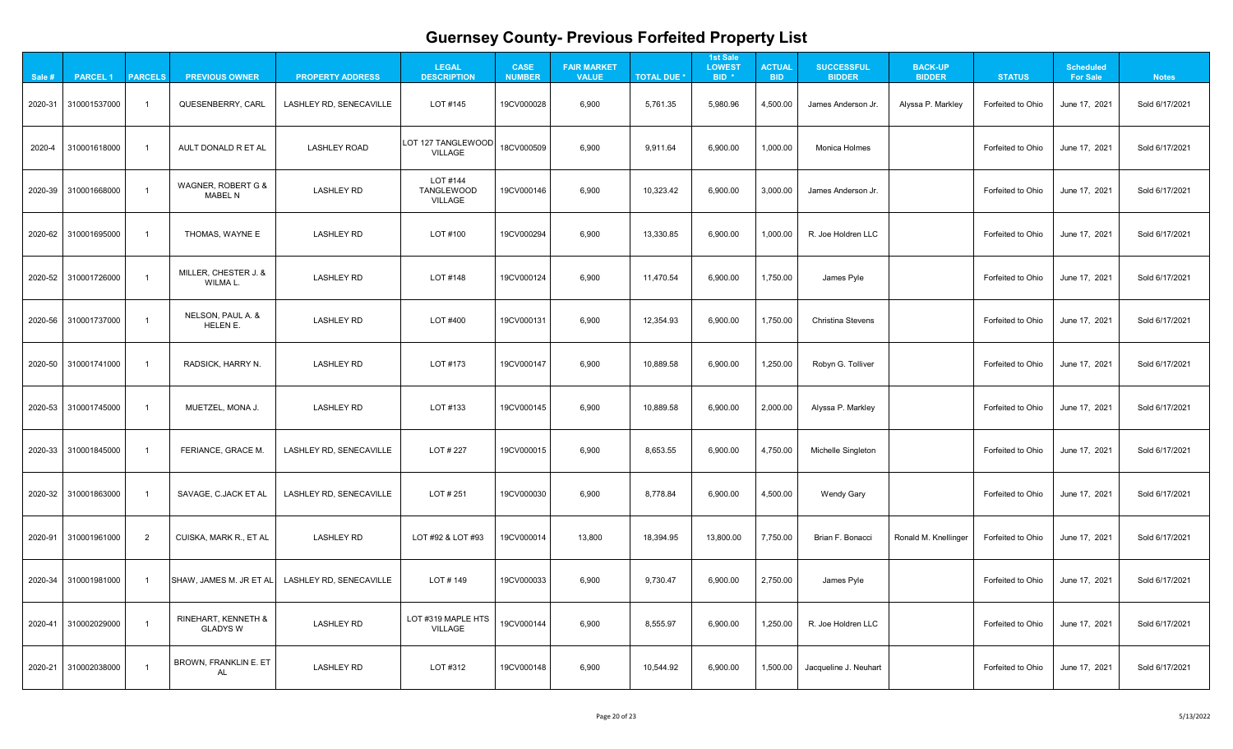| $\mathbf{A}$                                         |  |
|------------------------------------------------------|--|
| 1<br>֧֧֧֧֧֧ׅ֧֚֚֚֚֚֚֚֚֚֚֚֚֚֚֚֚֚֚֚֚֚֚֚֚֚֚֚֚֚֚֚֚֚֚֝֓֝֜֜ |  |
| 21                                                   |  |
| 1<br>?                                               |  |
| 1<br>l                                               |  |
|                                                      |  |
| 21                                                   |  |
| 21                                                   |  |
| 21                                                   |  |
| 21                                                   |  |
| 21                                                   |  |
| $\overline{21}$                                      |  |
| 1<br>2                                               |  |
| 1<br>י                                               |  |

| Sale # | <b>PARCEL 1</b>      | <b>PARCELS</b> | <b>PREVIOUS OWNER</b>                             | <b>PROPERTY ADDRESS</b>        | <b>LEGAL</b><br><b>DESCRIPTION</b>          | <b>CASE</b><br><b>NUMBER</b> | <b>FAIR MARKET</b><br><b>VALUE</b> | <b>TOTAL DUE *</b> | <b>1st Sale</b><br><b>LOWEST</b><br>BID <sup>*</sup> | <b>ACTUAL</b><br><b>BID</b> | <b>SUCCESSFUL</b><br><b>BIDDER</b> | <b>BACK-UP</b><br><b>BIDDER</b> | <b>STATUS</b>     | <b>Scheduled</b><br><b>For Sale</b> | <b>Notes</b>   |
|--------|----------------------|----------------|---------------------------------------------------|--------------------------------|---------------------------------------------|------------------------------|------------------------------------|--------------------|------------------------------------------------------|-----------------------------|------------------------------------|---------------------------------|-------------------|-------------------------------------|----------------|
|        | 2020-31 310001537000 |                | QUESENBERRY, CARL                                 | LASHLEY RD, SENECAVILLE        | LOT #145                                    | 19CV000028                   | 6,900                              | 5,761.35           | 5,980.96                                             | 4,500.00                    | James Anderson Jr.                 | Alyssa P. Markley               | Forfeited to Ohio | June 17, 2021                       | Sold 6/17/2021 |
| 2020-4 | 310001618000         |                | AULT DONALD R ET AL                               | <b>LASHLEY ROAD</b>            | <b>LOT 127 TANGLEWOOD</b><br><b>VILLAGE</b> | 18CV000509                   | 6,900                              | 9,911.64           | 6,900.00                                             | 1,000.00                    | <b>Monica Holmes</b>               |                                 | Forfeited to Ohio | June 17, 2021                       | Sold 6/17/2021 |
|        | 2020-39 310001668000 |                | WAGNER, ROBERT G &<br><b>MABEL N</b>              | <b>LASHLEY RD</b>              | LOT #144<br><b>TANGLEWOOD</b><br>VILLAGE    | 19CV000146                   | 6,900                              | 10,323.42          | 6,900.00                                             | 3,000.00                    | James Anderson Jr.                 |                                 | Forfeited to Ohio | June 17, 2021                       | Sold 6/17/2021 |
|        | 2020-62 310001695000 |                | THOMAS, WAYNE E                                   | <b>LASHLEY RD</b>              | LOT #100                                    | 19CV000294                   | 6,900                              | 13,330.85          | 6,900.00                                             | 1,000.00                    | R. Joe Holdren LLC                 |                                 | Forfeited to Ohio | June 17, 2021                       | Sold 6/17/2021 |
|        | 2020-52 310001726000 |                | MILLER, CHESTER J. &<br>WILMA L.                  | <b>LASHLEY RD</b>              | LOT #148                                    | 19CV000124                   | 6,900                              | 11,470.54          | 6,900.00                                             | 1,750.00                    | James Pyle                         |                                 | Forfeited to Ohio | June 17, 2021                       | Sold 6/17/2021 |
|        | 2020-56 310001737000 |                | NELSON, PAUL A. &<br>HELEN E.                     | <b>LASHLEY RD</b>              | LOT #400                                    | 19CV000131                   | 6,900                              | 12,354.93          | 6,900.00                                             | 1,750.00                    | <b>Christina Stevens</b>           |                                 | Forfeited to Ohio | June 17, 2021                       | Sold 6/17/2021 |
|        | 2020-50 310001741000 |                | <b>RADSICK, HARRY N.</b>                          | <b>LASHLEY RD</b>              | LOT #173                                    | 19CV000147                   | 6,900                              | 10,889.58          | 6,900.00                                             | 1,250.00                    | Robyn G. Tolliver                  |                                 | Forfeited to Ohio | June 17, 2021                       | Sold 6/17/2021 |
|        | 2020-53 310001745000 |                | MUETZEL, MONA J.                                  | <b>LASHLEY RD</b>              | LOT #133                                    | 19CV000145                   | 6,900                              | 10,889.58          | 6,900.00                                             | 2,000.00                    | Alyssa P. Markley                  |                                 | Forfeited to Ohio | June 17, 2021                       | Sold 6/17/2021 |
|        | 2020-33 310001845000 |                | FERIANCE, GRACE M.                                | LASHLEY RD, SENECAVILLE        | LOT # 227                                   | 19CV000015                   | 6,900                              | 8,653.55           | 6,900.00                                             | 4,750.00                    | Michelle Singleton                 |                                 | Forfeited to Ohio | June 17, 2021                       | Sold 6/17/2021 |
|        | 2020-32 310001863000 |                | SAVAGE, C.JACK ET AL                              | LASHLEY RD, SENECAVILLE        | LOT # 251                                   | 19CV000030                   | 6,900                              | 8,778.84           | 6,900.00                                             | 4,500.00                    | <b>Wendy Gary</b>                  |                                 | Forfeited to Ohio | June 17, 2021                       | Sold 6/17/2021 |
|        | 2020-91 310001961000 | $\overline{2}$ | CUISKA, MARK R., ET AL                            | <b>LASHLEY RD</b>              | LOT #92 & LOT #93                           | 19CV000014                   | 13,800                             | 18,394.95          | 13,800.00                                            | 7,750.00                    | Brian F. Bonacci                   | Ronald M. Knellinger            | Forfeited to Ohio | June 17, 2021                       | Sold 6/17/2021 |
|        | 2020-34 310001981000 |                | SHAW, JAMES M. JR ET AL                           | <b>LASHLEY RD, SENECAVILLE</b> | LOT#149                                     | 19CV000033                   | 6,900                              | 9,730.47           | 6,900.00                                             | 2,750.00                    | James Pyle                         |                                 | Forfeited to Ohio | June 17, 2021                       | Sold 6/17/2021 |
|        | 2020-41 310002029000 |                | <b>RINEHART, KENNETH &amp;</b><br><b>GLADYS W</b> | <b>LASHLEY RD</b>              | LOT #319 MAPLE HTS<br><b>VILLAGE</b>        | 19CV000144                   | 6,900                              | 8,555.97           | 6,900.00                                             | 1,250.00                    | R. Joe Holdren LLC                 |                                 | Forfeited to Ohio | June 17, 2021                       | Sold 6/17/2021 |
|        | 2020-21 310002038000 |                | <b>BROWN, FRANKLIN E. ET</b><br>AL                | <b>LASHLEY RD</b>              | LOT #312                                    | 19CV000148                   | 6,900                              | 10,544.92          | 6,900.00                                             | 1,500.00                    | Jacqueline J. Neuhart              |                                 | Forfeited to Ohio | June 17, 2021                       | Sold 6/17/2021 |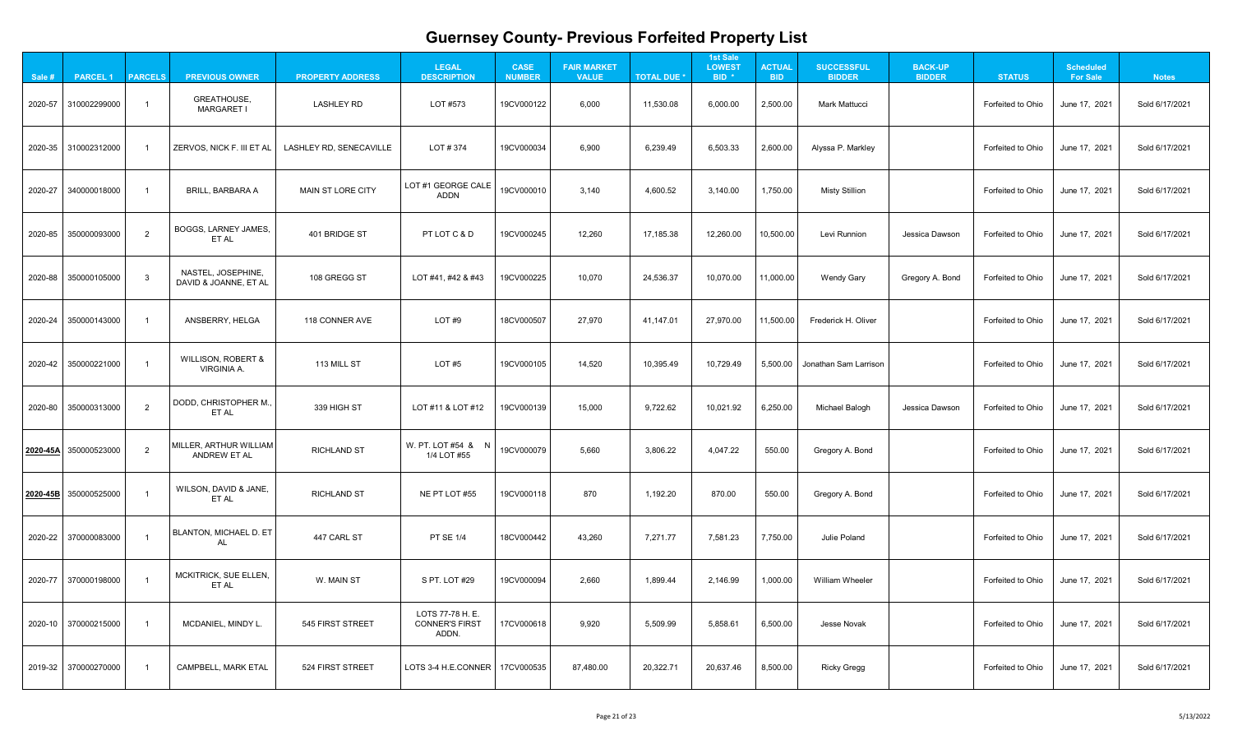| $\mathbf{A}$                                         |  |
|------------------------------------------------------|--|
| 1<br>֧֧֧֧֧֧ׅ֧֚֚֚֚֚֚֚֚֚֚֚֚֚֚֚֚֚֚֚֚֚֚֚֚֚֚֚֚֚֚֚֚֚֚֝֓֝֜֜ |  |
| 21                                                   |  |
| 1<br>?                                               |  |
| 1<br>l                                               |  |
|                                                      |  |
| 21                                                   |  |
| 21                                                   |  |
| 21                                                   |  |
| 21                                                   |  |
| 21                                                   |  |
| $\overline{21}$                                      |  |
| 1<br>2                                               |  |
| 1<br>י                                               |  |

| Sale #   | <b>PARCEL 1</b>          | <b>PARCELS</b> | <b>PREVIOUS OWNER</b>                               | <b>PROPERTY ADDRESS</b> | <b>LEGAL</b><br><b>DESCRIPTION</b>                 | <b>CASE</b><br><b>NUMBER</b> | <b>FAIR MARKET</b><br><b>VALUE</b> | <b>TOTAL DUE *</b> | <b>1st Sale</b><br><b>LOWEST</b><br>BID <sup>*</sup> | <b>ACTUAL</b><br><b>BID</b> | <b>SUCCESSFUL</b><br><b>BIDDER</b> | <b>BACK-UP</b><br><b>BIDDER</b> | <b>STATUS</b>     | <b>Scheduled</b><br><b>For Sale</b> | <b>Notes</b>   |
|----------|--------------------------|----------------|-----------------------------------------------------|-------------------------|----------------------------------------------------|------------------------------|------------------------------------|--------------------|------------------------------------------------------|-----------------------------|------------------------------------|---------------------------------|-------------------|-------------------------------------|----------------|
|          | 2020-57 310002299000     |                | GREATHOUSE,<br><b>MARGARET I</b>                    | <b>LASHLEY RD</b>       | LOT #573                                           | 19CV000122                   | 6,000                              | 11,530.08          | 6,000.00                                             | 2,500.00                    | <b>Mark Mattucci</b>               |                                 | Forfeited to Ohio | June 17, 2021                       | Sold 6/17/2021 |
|          | 2020-35 310002312000     |                | ZERVOS, NICK F. III ET AL                           | LASHLEY RD, SENECAVILLE | LOT # 374                                          | 19CV000034                   | 6,900                              | 6,239.49           | 6,503.33                                             | 2,600.00                    | Alyssa P. Markley                  |                                 | Forfeited to Ohio | June 17, 2021                       | Sold 6/17/2021 |
| 2020-27  | 340000018000             |                | <b>BRILL, BARBARA A</b>                             | MAIN ST LORE CITY       | LOT #1 GEORGE CALE<br><b>ADDN</b>                  | 19CV000010                   | 3,140                              | 4,600.52           | 3,140.00                                             | 1,750.00                    | <b>Misty Stillion</b>              |                                 | Forfeited to Ohio | June 17, 2021                       | Sold 6/17/2021 |
|          | 2020-85 350000093000     | 2              | BOGGS, LARNEY JAMES,<br>ET AL                       | 401 BRIDGE ST           | PT LOT C & D                                       | 19CV000245                   | 12,260                             | 17,185.38          | 12,260.00                                            | 10,500.00                   | Levi Runnion                       | Jessica Dawson                  | Forfeited to Ohio | June 17, 2021                       | Sold 6/17/2021 |
|          | 2020-88 350000105000     | $\mathcal{R}$  | NASTEL, JOSEPHINE,<br>DAVID & JOANNE, ET AL         | 108 GREGG ST            | LOT #41, #42 & #43                                 | 19CV000225                   | 10,070                             | 24,536.37          | 10,070.00                                            | 11,000.00                   | <b>Wendy Gary</b>                  | Gregory A. Bond                 | Forfeited to Ohio | June 17, 2021                       | Sold 6/17/2021 |
|          | 2020-24 350000143000     |                | ANSBERRY, HELGA                                     | 118 CONNER AVE          | LOT#9                                              | 18CV000507                   | 27,970                             | 41,147.01          | 27,970.00                                            | 11,500.00                   | Frederick H. Oliver                |                                 | Forfeited to Ohio | June 17, 2021                       | Sold 6/17/2021 |
|          | 2020-42 350000221000     |                | <b>WILLISON, ROBERT &amp;</b><br><b>VIRGINIA A.</b> | 113 MILL ST             | LOT #5                                             | 19CV000105                   | 14,520                             | 10,395.49          | 10,729.49                                            |                             | 5,500.00 Jonathan Sam Larrison     |                                 | Forfeited to Ohio | June 17, 2021                       | Sold 6/17/2021 |
|          | 2020-80 350000313000     | 2              | DODD, CHRISTOPHER M.,<br>ET AL                      | 339 HIGH ST             | LOT #11 & LOT #12                                  | 19CV000139                   | 15,000                             | 9,722.62           | 10,021.92                                            | 6,250.00                    | Michael Balogh                     | Jessica Dawson                  | Forfeited to Ohio | June 17, 2021                       | Sold 6/17/2021 |
| 2020-45A | 350000523000             | $\overline{2}$ | MILLER, ARTHUR WILLIAM<br><b>ANDREW ET AL</b>       | <b>RICHLAND ST</b>      | W. PT. LOT #54 & N<br>1/4 LOT #55                  | 19CV000079                   | 5,660                              | 3,806.22           | 4,047.22                                             | 550.00                      | Gregory A. Bond                    |                                 | Forfeited to Ohio | June 17, 2021                       | Sold 6/17/2021 |
|          | $ 2020-45B 350000525000$ |                | WILSON, DAVID & JANE,<br>ET AL                      | <b>RICHLAND ST</b>      | NE PT LOT #55                                      | 19CV000118                   | 870                                | 1,192.20           | 870.00                                               | 550.00                      | Gregory A. Bond                    |                                 | Forfeited to Ohio | June 17, 2021                       | Sold 6/17/2021 |
|          | 2020-22 370000083000     |                | BLANTON, MICHAEL D. ET<br>AL                        | 447 CARL ST             | <b>PT SE 1/4</b>                                   | 18CV000442                   | 43,260                             | 7,271.77           | 7,581.23                                             | 7,750.00                    | <b>Julie Poland</b>                |                                 | Forfeited to Ohio | June 17, 2021                       | Sold 6/17/2021 |
|          | 2020-77 370000198000     |                | MCKITRICK, SUE ELLEN,<br>ET AL                      | W. MAIN ST              | S PT. LOT #29                                      | 19CV000094                   | 2,660                              | 1,899.44           | 2,146.99                                             | 1,000.00                    | William Wheeler                    |                                 | Forfeited to Ohio | June 17, 2021                       | Sold 6/17/2021 |
|          | 2020-10 370000215000     |                | MCDANIEL, MINDY L.                                  | 545 FIRST STREET        | LOTS 77-78 H. E.<br><b>CONNER'S FIRST</b><br>ADDN. | 17CV000618                   | 9,920                              | 5,509.99           | 5,858.61                                             | 6,500.00                    | <b>Jesse Novak</b>                 |                                 | Forfeited to Ohio | June 17, 2021                       | Sold 6/17/2021 |
|          | 2019-32 370000270000     |                | <b>CAMPBELL, MARK ETAL</b>                          | 524 FIRST STREET        | LOTS 3-4 H.E.CONNER   17CV000535                   |                              | 87,480.00                          | 20,322.71          | 20,637.46                                            | 8,500.00                    | <b>Ricky Gregg</b>                 |                                 | Forfeited to Ohio | June 17, 2021                       | Sold 6/17/2021 |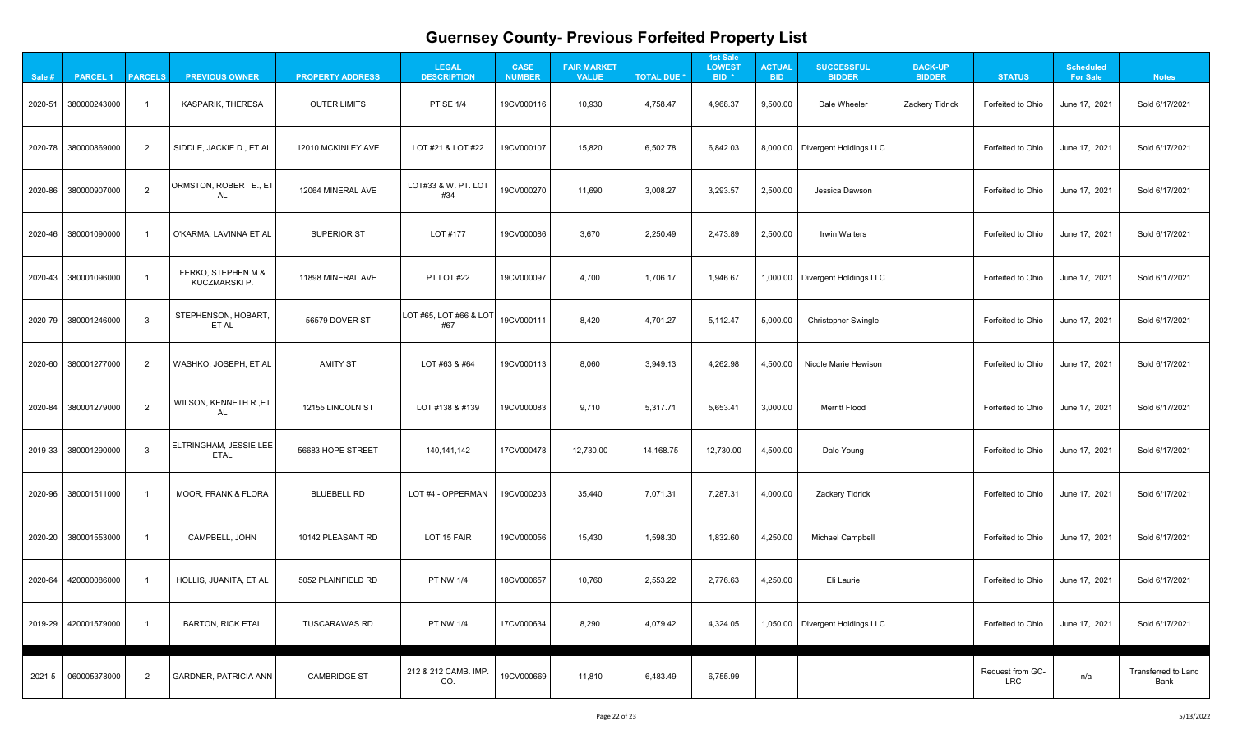|                 | $\overline{.}1$ |
|-----------------|-----------------|
| 2               | l<br>i1         |
|                 | $\dot{.}1$      |
|                 | <u>?</u> 1      |
|                 | $\overline{.}1$ |
|                 | I               |
| 21              |                 |
| 21              |                 |
| $\overline{21}$ |                 |
| 21              |                 |
| 21              |                 |
| 21              |                 |
| 2               | 1               |
|                 | Land            |
|                 |                 |

| Sale # | <b>PARCEL1</b>       | <b>PARCELS</b> | <b>PREVIOUS OWNER</b>                        | <b>PROPERTY ADDRESS</b> | <b>LEGAL</b><br><b>DESCRIPTION</b> | <b>CASE</b><br><b>NUMBER</b> | <b>FAIR MARKET</b><br><b>VALUE</b> | <b>TOTAL DUE *</b> | <b>1st Sale</b><br><b>LOWEST</b><br>BID <sup>*</sup> | <b>ACTUAL</b><br><b>BID</b> | <b>SUCCESSFUL</b><br><b>BIDDER</b> | <b>BACK-UP</b><br><b>BIDDER</b> | <b>STATUS</b>                  | <b>Scheduled</b><br><b>For Sale</b> | <b>Notes</b>                       |
|--------|----------------------|----------------|----------------------------------------------|-------------------------|------------------------------------|------------------------------|------------------------------------|--------------------|------------------------------------------------------|-----------------------------|------------------------------------|---------------------------------|--------------------------------|-------------------------------------|------------------------------------|
|        | 2020-51 380000243000 |                | <b>KASPARIK, THERESA</b>                     | <b>OUTER LIMITS</b>     | <b>PT SE 1/4</b>                   | 19CV000116                   | 10,930                             | 4,758.47           | 4,968.37                                             | 9,500.00                    | Dale Wheeler                       | Zackery Tidrick                 | Forfeited to Ohio              | June 17, 2021                       | Sold 6/17/2021                     |
|        | 2020-78 380000869000 | $\overline{2}$ | SIDDLE, JACKIE D., ET AL                     | 12010 MCKINLEY AVE      | LOT #21 & LOT #22                  | 19CV000107                   | 15,820                             | 6,502.78           | 6,842.03                                             |                             | 8,000.00   Divergent Holdings LLC  |                                 | Forfeited to Ohio              | June 17, 2021                       | Sold 6/17/2021                     |
|        | 2020-86 380000907000 | $\overline{2}$ | ORMSTON, ROBERT E., ET<br>AL                 | 12064 MINERAL AVE       | LOT#33 & W. PT. LOT<br>#34         | 19CV000270                   | 11,690                             | 3,008.27           | 3,293.57                                             | 2,500.00                    | Jessica Dawson                     |                                 | Forfeited to Ohio              | June 17, 2021                       | Sold 6/17/2021                     |
|        | 2020-46 380001090000 |                | O'KARMA, LAVINNA ET AL                       | <b>SUPERIOR ST</b>      | LOT #177                           | 19CV000086                   | 3,670                              | 2,250.49           | 2,473.89                                             | 2,500.00                    | <b>Irwin Walters</b>               |                                 | Forfeited to Ohio              | June 17, 2021                       | Sold 6/17/2021                     |
|        | 2020-43 380001096000 |                | FERKO, STEPHEN M &<br><b>KUCZMARSKI P.</b>   | 11898 MINERAL AVE       | PT LOT #22                         | 19CV000097                   | 4,700                              | 1,706.17           | 1,946.67                                             |                             | 1,000.00   Divergent Holdings LLC  |                                 | Forfeited to Ohio              | June 17, 2021                       | Sold 6/17/2021                     |
|        | 2020-79 380001246000 | $\mathbf{3}$   | STEPHENSON, HOBART,<br>ET AL                 | 56579 DOVER ST          | LOT #65, LOT #66 & LOT<br>#67      | 19CV000111                   | 8,420                              | 4,701.27           | 5,112.47                                             | 5,000.00                    | <b>Christopher Swingle</b>         |                                 | Forfeited to Ohio              | June 17, 2021                       | Sold 6/17/2021                     |
|        | 2020-60 380001277000 | 2              | WASHKO, JOSEPH, ET AL                        | <b>AMITY ST</b>         | LOT #63 & #64                      | 19CV000113                   | 8,060                              | 3,949.13           | 4,262.98                                             | 4,500.00                    | Nicole Marie Hewison               |                                 | Forfeited to Ohio              | June 17, 2021                       | Sold 6/17/2021                     |
|        | 2020-84 380001279000 | $\overline{2}$ | <b>WILSON, KENNETH R., ET</b>                | 12155 LINCOLN ST        | LOT #138 & #139                    | 19CV000083                   | 9,710                              | 5,317.71           | 5,653.41                                             | 3,000.00                    | <b>Merritt Flood</b>               |                                 | Forfeited to Ohio              | June 17, 2021                       | Sold 6/17/2021                     |
|        | 2019-33 380001290000 | $\mathbf{3}$   | <b>ELTRINGHAM, JESSIE LEE</b><br><b>ETAL</b> | 56683 HOPE STREET       | 140,141,142                        | 17CV000478                   | 12,730.00                          | 14,168.75          | 12,730.00                                            | 4,500.00                    | Dale Young                         |                                 | Forfeited to Ohio              | June 17, 2021                       | Sold 6/17/2021                     |
|        | 2020-96 380001511000 |                | <b>MOOR, FRANK &amp; FLORA</b>               | <b>BLUEBELL RD</b>      | LOT #4 - OPPERMAN                  | 19CV000203                   | 35,440                             | 7,071.31           | 7,287.31                                             | 4,000.00                    | <b>Zackery Tidrick</b>             |                                 | Forfeited to Ohio              | June 17, 2021                       | Sold 6/17/2021                     |
|        | 2020-20 380001553000 |                | CAMPBELL, JOHN                               | 10142 PLEASANT RD       | LOT 15 FAIR                        | 19CV000056                   | 15,430                             | 1,598.30           | 1,832.60                                             | 4,250.00                    | <b>Michael Campbell</b>            |                                 | Forfeited to Ohio              | June 17, 2021                       | Sold 6/17/2021                     |
|        | 2020-64 420000086000 |                | HOLLIS, JUANITA, ET AL                       | 5052 PLAINFIELD RD      | <b>PT NW 1/4</b>                   | 18CV000657                   | 10,760                             | 2,553.22           | 2,776.63                                             | 4,250.00                    | Eli Laurie                         |                                 | Forfeited to Ohio              | June 17, 2021                       | Sold 6/17/2021                     |
|        | 2019-29 420001579000 |                | <b>BARTON, RICK ETAL</b>                     | <b>TUSCARAWAS RD</b>    | <b>PT NW 1/4</b>                   | 17CV000634                   | 8,290                              | 4,079.42           | 4,324.05                                             |                             | 1,050.00   Divergent Holdings LLC  |                                 | Forfeited to Ohio              | June 17, 2021                       | Sold 6/17/2021                     |
| 2021-5 | 060005378000         | $\overline{2}$ | <b>GARDNER, PATRICIA ANN</b>                 | <b>CAMBRIDGE ST</b>     | 212 & 212 CAMB. IMP.<br>CO.        | 19CV000669                   | 11,810                             | 6,483.49           | 6,755.99                                             |                             |                                    |                                 | Request from GC-<br><b>LRC</b> | n/a                                 | <b>Transferred to Land</b><br>Bank |